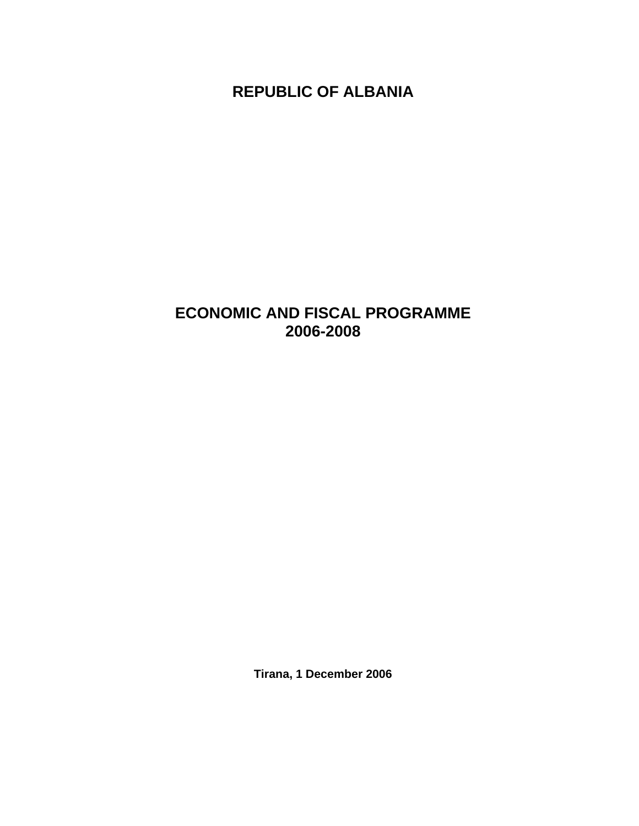**REPUBLIC OF ALBANIA** 

# **ECONOMIC AND FISCAL PROGRAMME 2006-2008**

**Tirana, 1 December 2006**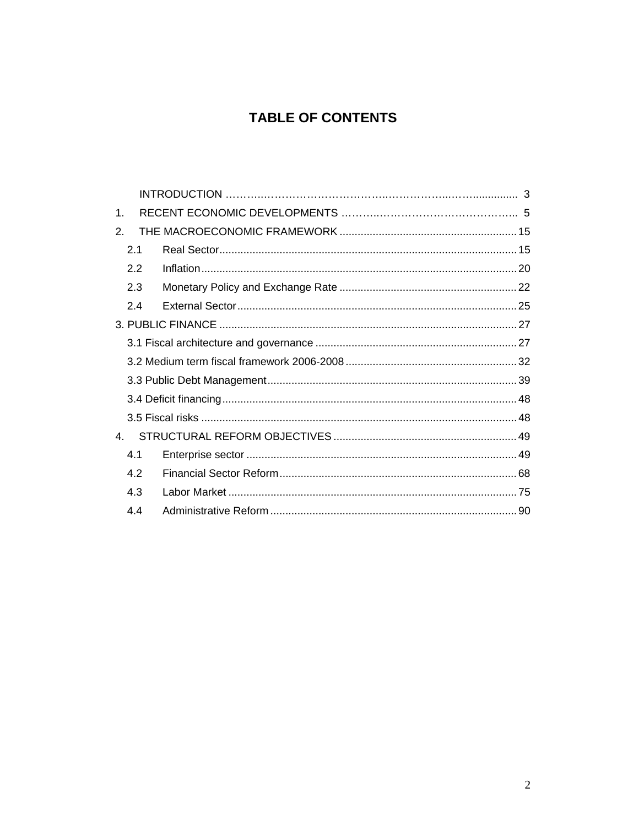## **TABLE OF CONTENTS**

| $\mathbf 1$ .  |     |  |  |
|----------------|-----|--|--|
| 2.             |     |  |  |
|                | 2.1 |  |  |
|                | 2.2 |  |  |
|                | 2.3 |  |  |
|                | 2.4 |  |  |
|                |     |  |  |
|                |     |  |  |
|                |     |  |  |
|                |     |  |  |
|                |     |  |  |
|                |     |  |  |
| 4 <sub>1</sub> |     |  |  |
|                | 4.1 |  |  |
|                | 4.2 |  |  |
|                | 4.3 |  |  |
|                | 4.4 |  |  |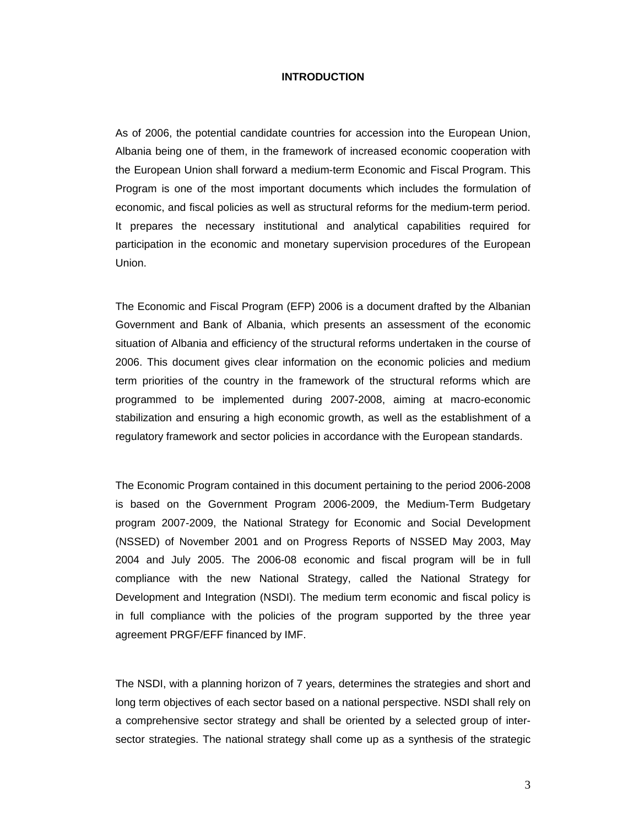## **INTRODUCTION**

As of 2006, the potential candidate countries for accession into the European Union, Albania being one of them, in the framework of increased economic cooperation with the European Union shall forward a medium-term Economic and Fiscal Program. This Program is one of the most important documents which includes the formulation of economic, and fiscal policies as well as structural reforms for the medium-term period. It prepares the necessary institutional and analytical capabilities required for participation in the economic and monetary supervision procedures of the European Union.

The Economic and Fiscal Program (EFP) 2006 is a document drafted by the Albanian Government and Bank of Albania, which presents an assessment of the economic situation of Albania and efficiency of the structural reforms undertaken in the course of 2006. This document gives clear information on the economic policies and medium term priorities of the country in the framework of the structural reforms which are programmed to be implemented during 2007-2008, aiming at macro-economic stabilization and ensuring a high economic growth, as well as the establishment of a regulatory framework and sector policies in accordance with the European standards.

The Economic Program contained in this document pertaining to the period 2006-2008 is based on the Government Program 2006-2009, the Medium-Term Budgetary program 2007-2009, the National Strategy for Economic and Social Development (NSSED) of November 2001 and on Progress Reports of NSSED May 2003, May 2004 and July 2005. The 2006-08 economic and fiscal program will be in full compliance with the new National Strategy, called the National Strategy for Development and Integration (NSDI). The medium term economic and fiscal policy is in full compliance with the policies of the program supported by the three year agreement PRGF/EFF financed by IMF.

The NSDI, with a planning horizon of 7 years, determines the strategies and short and long term objectives of each sector based on a national perspective. NSDI shall rely on a comprehensive sector strategy and shall be oriented by a selected group of intersector strategies. The national strategy shall come up as a synthesis of the strategic

3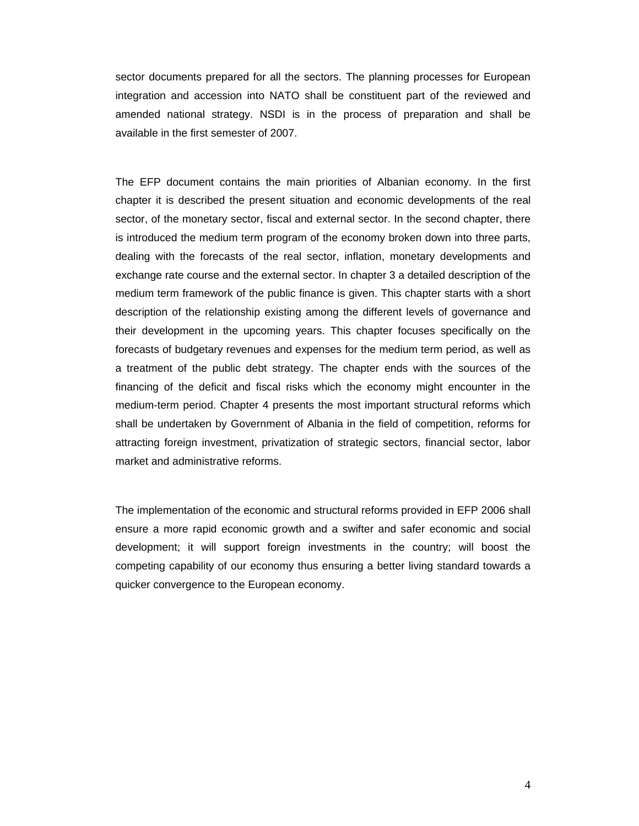sector documents prepared for all the sectors. The planning processes for European integration and accession into NATO shall be constituent part of the reviewed and amended national strategy. NSDI is in the process of preparation and shall be available in the first semester of 2007.

The EFP document contains the main priorities of Albanian economy. In the first chapter it is described the present situation and economic developments of the real sector, of the monetary sector, fiscal and external sector. In the second chapter, there is introduced the medium term program of the economy broken down into three parts, dealing with the forecasts of the real sector, inflation, monetary developments and exchange rate course and the external sector. In chapter 3 a detailed description of the medium term framework of the public finance is given. This chapter starts with a short description of the relationship existing among the different levels of governance and their development in the upcoming years. This chapter focuses specifically on the forecasts of budgetary revenues and expenses for the medium term period, as well as a treatment of the public debt strategy. The chapter ends with the sources of the financing of the deficit and fiscal risks which the economy might encounter in the medium-term period. Chapter 4 presents the most important structural reforms which shall be undertaken by Government of Albania in the field of competition, reforms for attracting foreign investment, privatization of strategic sectors, financial sector, labor market and administrative reforms.

The implementation of the economic and structural reforms provided in EFP 2006 shall ensure a more rapid economic growth and a swifter and safer economic and social development; it will support foreign investments in the country; will boost the competing capability of our economy thus ensuring a better living standard towards a quicker convergence to the European economy.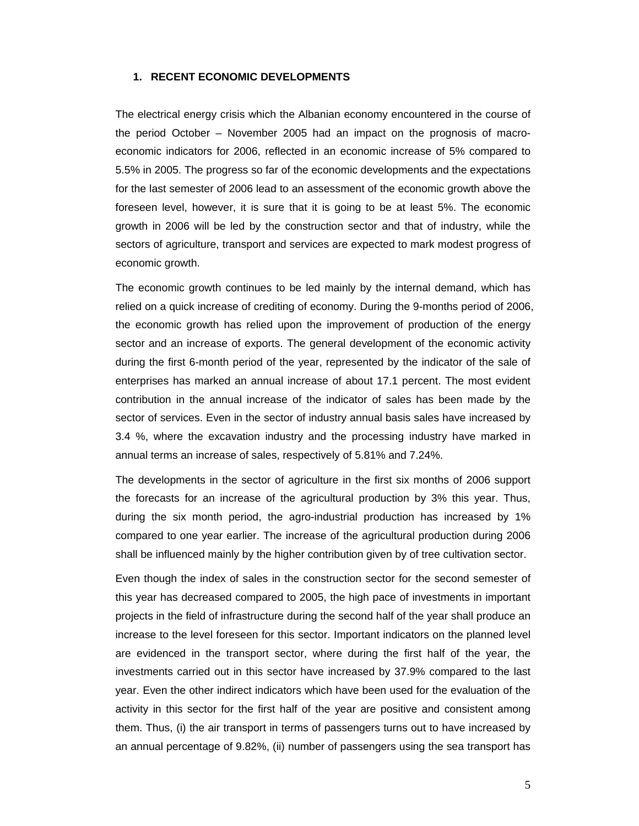## **1. RECENT ECONOMIC DEVELOPMENTS**

The electrical energy crisis which the Albanian economy encountered in the course of the period October – November 2005 had an impact on the prognosis of macroeconomic indicators for 2006, reflected in an economic increase of 5% compared to 5.5% in 2005. The progress so far of the economic developments and the expectations for the last semester of 2006 lead to an assessment of the economic growth above the foreseen level, however, it is sure that it is going to be at least 5%. The economic growth in 2006 will be led by the construction sector and that of industry, while the sectors of agriculture, transport and services are expected to mark modest progress of economic growth.

The economic growth continues to be led mainly by the internal demand, which has relied on a quick increase of crediting of economy. During the 9-months period of 2006, the economic growth has relied upon the improvement of production of the energy sector and an increase of exports. The general development of the economic activity during the first 6-month period of the year, represented by the indicator of the sale of enterprises has marked an annual increase of about 17.1 percent. The most evident contribution in the annual increase of the indicator of sales has been made by the sector of services. Even in the sector of industry annual basis sales have increased by 3.4 %, where the excavation industry and the processing industry have marked in annual terms an increase of sales, respectively of 5.81% and 7.24%.

The developments in the sector of agriculture in the first six months of 2006 support the forecasts for an increase of the agricultural production by 3% this year. Thus, during the six month period, the agro-industrial production has increased by 1% compared to one year earlier. The increase of the agricultural production during 2006 shall be influenced mainly by the higher contribution given by of tree cultivation sector.

Even though the index of sales in the construction sector for the second semester of this year has decreased compared to 2005, the high pace of investments in important projects in the field of infrastructure during the second half of the year shall produce an increase to the level foreseen for this sector. Important indicators on the planned level are evidenced in the transport sector, where during the first half of the year, the investments carried out in this sector have increased by 37.9% compared to the last year. Even the other indirect indicators which have been used for the evaluation of the activity in this sector for the first half of the year are positive and consistent among them. Thus, (i) the air transport in terms of passengers turns out to have increased by an annual percentage of 9.82%, (ii) number of passengers using the sea transport has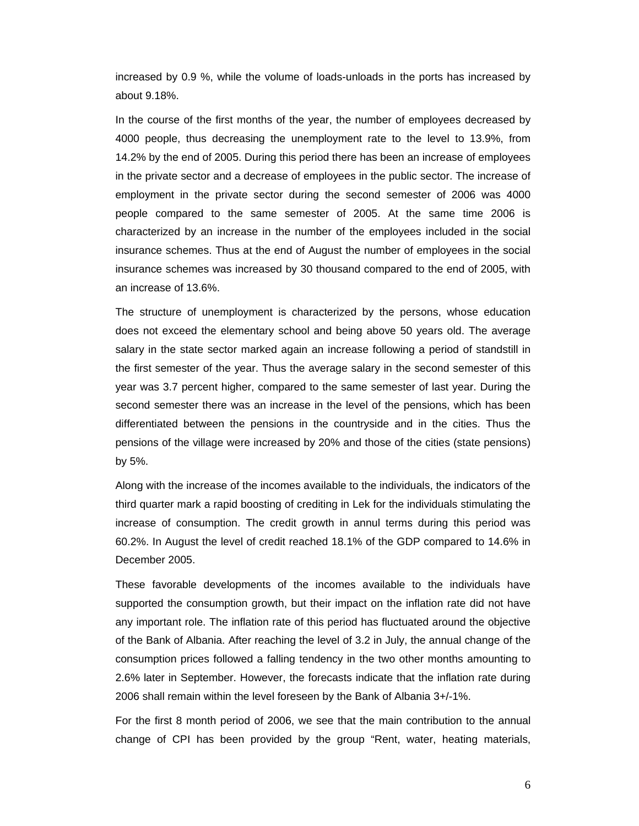increased by 0.9 %, while the volume of loads-unloads in the ports has increased by about 9.18%.

In the course of the first months of the year, the number of employees decreased by 4000 people, thus decreasing the unemployment rate to the level to 13.9%, from 14.2% by the end of 2005. During this period there has been an increase of employees in the private sector and a decrease of employees in the public sector. The increase of employment in the private sector during the second semester of 2006 was 4000 people compared to the same semester of 2005. At the same time 2006 is characterized by an increase in the number of the employees included in the social insurance schemes. Thus at the end of August the number of employees in the social insurance schemes was increased by 30 thousand compared to the end of 2005, with an increase of 13.6%.

The structure of unemployment is characterized by the persons, whose education does not exceed the elementary school and being above 50 years old. The average salary in the state sector marked again an increase following a period of standstill in the first semester of the year. Thus the average salary in the second semester of this year was 3.7 percent higher, compared to the same semester of last year. During the second semester there was an increase in the level of the pensions, which has been differentiated between the pensions in the countryside and in the cities. Thus the pensions of the village were increased by 20% and those of the cities (state pensions) by 5%.

Along with the increase of the incomes available to the individuals, the indicators of the third quarter mark a rapid boosting of crediting in Lek for the individuals stimulating the increase of consumption. The credit growth in annul terms during this period was 60.2%. In August the level of credit reached 18.1% of the GDP compared to 14.6% in December 2005.

These favorable developments of the incomes available to the individuals have supported the consumption growth, but their impact on the inflation rate did not have any important role. The inflation rate of this period has fluctuated around the objective of the Bank of Albania. After reaching the level of 3.2 in July, the annual change of the consumption prices followed a falling tendency in the two other months amounting to 2.6% later in September. However, the forecasts indicate that the inflation rate during 2006 shall remain within the level foreseen by the Bank of Albania 3+/-1%.

For the first 8 month period of 2006, we see that the main contribution to the annual change of CPI has been provided by the group "Rent, water, heating materials,

6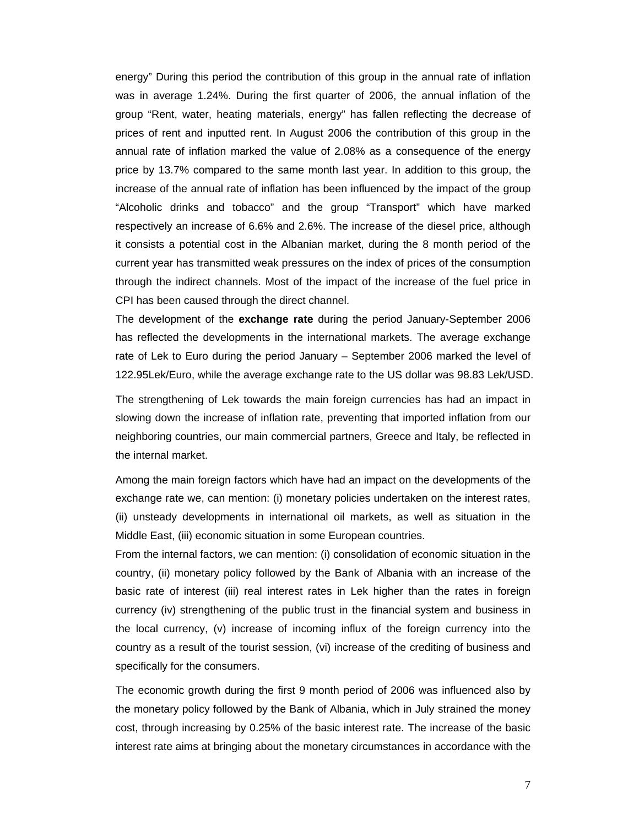energy" During this period the contribution of this group in the annual rate of inflation was in average 1.24%. During the first quarter of 2006, the annual inflation of the group "Rent, water, heating materials, energy" has fallen reflecting the decrease of prices of rent and inputted rent. In August 2006 the contribution of this group in the annual rate of inflation marked the value of 2.08% as a consequence of the energy price by 13.7% compared to the same month last year. In addition to this group, the increase of the annual rate of inflation has been influenced by the impact of the group "Alcoholic drinks and tobacco" and the group "Transport" which have marked respectively an increase of 6.6% and 2.6%. The increase of the diesel price, although it consists a potential cost in the Albanian market, during the 8 month period of the current year has transmitted weak pressures on the index of prices of the consumption through the indirect channels. Most of the impact of the increase of the fuel price in CPI has been caused through the direct channel.

The development of the **exchange rate** during the period January-September 2006 has reflected the developments in the international markets. The average exchange rate of Lek to Euro during the period January – September 2006 marked the level of 122.95Lek/Euro, while the average exchange rate to the US dollar was 98.83 Lek/USD.

The strengthening of Lek towards the main foreign currencies has had an impact in slowing down the increase of inflation rate, preventing that imported inflation from our neighboring countries, our main commercial partners, Greece and Italy, be reflected in the internal market.

Among the main foreign factors which have had an impact on the developments of the exchange rate we, can mention: (i) monetary policies undertaken on the interest rates, (ii) unsteady developments in international oil markets, as well as situation in the Middle East, (iii) economic situation in some European countries.

From the internal factors, we can mention: (i) consolidation of economic situation in the country, (ii) monetary policy followed by the Bank of Albania with an increase of the basic rate of interest (iii) real interest rates in Lek higher than the rates in foreign currency (iv) strengthening of the public trust in the financial system and business in the local currency, (v) increase of incoming influx of the foreign currency into the country as a result of the tourist session, (vi) increase of the crediting of business and specifically for the consumers.

The economic growth during the first 9 month period of 2006 was influenced also by the monetary policy followed by the Bank of Albania, which in July strained the money cost, through increasing by 0.25% of the basic interest rate. The increase of the basic interest rate aims at bringing about the monetary circumstances in accordance with the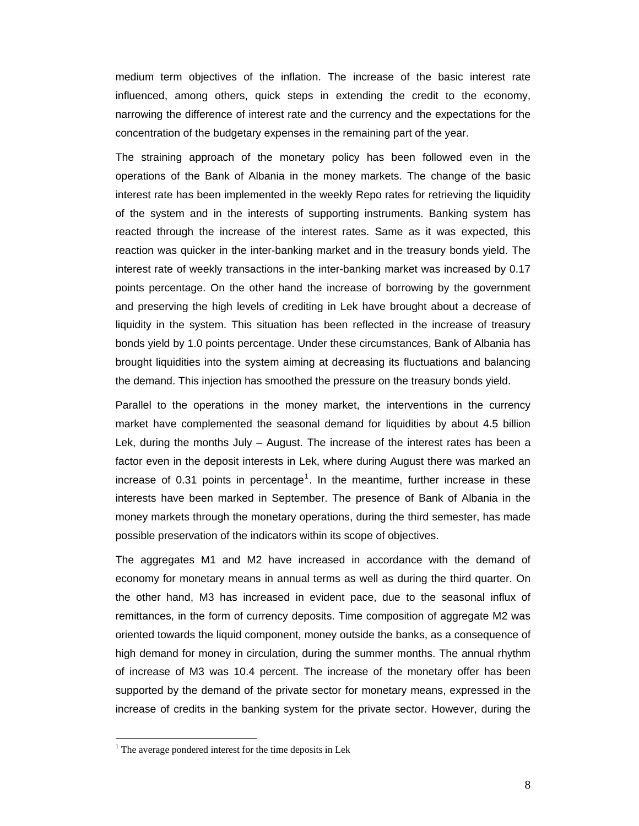medium term objectives of the inflation. The increase of the basic interest rate influenced, among others, quick steps in extending the credit to the economy, narrowing the difference of interest rate and the currency and the expectations for the concentration of the budgetary expenses in the remaining part of the year.

The straining approach of the monetary policy has been followed even in the operations of the Bank of Albania in the money markets. The change of the basic interest rate has been implemented in the weekly Repo rates for retrieving the liquidity of the system and in the interests of supporting instruments. Banking system has reacted through the increase of the interest rates. Same as it was expected, this reaction was quicker in the inter-banking market and in the treasury bonds yield. The interest rate of weekly transactions in the inter-banking market was increased by 0.17 points percentage. On the other hand the increase of borrowing by the government and preserving the high levels of crediting in Lek have brought about a decrease of liquidity in the system. This situation has been reflected in the increase of treasury bonds yield by 1.0 points percentage. Under these circumstances, Bank of Albania has brought liquidities into the system aiming at decreasing its fluctuations and balancing the demand. This injection has smoothed the pressure on the treasury bonds yield.

Parallel to the operations in the money market, the interventions in the currency market have complemented the seasonal demand for liquidities by about 4.5 billion Lek, during the months July – August. The increase of the interest rates has been a factor even in the deposit interests in Lek, where during August there was marked an increase of 0.31 points in percentage<sup>1</sup>. In the meantime, further increase in these interests have been marked in September. The presence of Bank of Albania in the money markets through the monetary operations, during the third semester, has made possible preservation of the indicators within its scope of objectives.

The aggregates M1 and M2 have increased in accordance with the demand of economy for monetary means in annual terms as well as during the third quarter. On the other hand, M3 has increased in evident pace, due to the seasonal influx of remittances, in the form of currency deposits. Time composition of aggregate M2 was oriented towards the liquid component, money outside the banks, as a consequence of high demand for money in circulation, during the summer months. The annual rhythm of increase of M3 was 10.4 percent. The increase of the monetary offer has been supported by the demand of the private sector for monetary means, expressed in the increase of credits in the banking system for the private sector. However, during the

 $1$ <sup>1</sup> The average pondered interest for the time deposits in Lek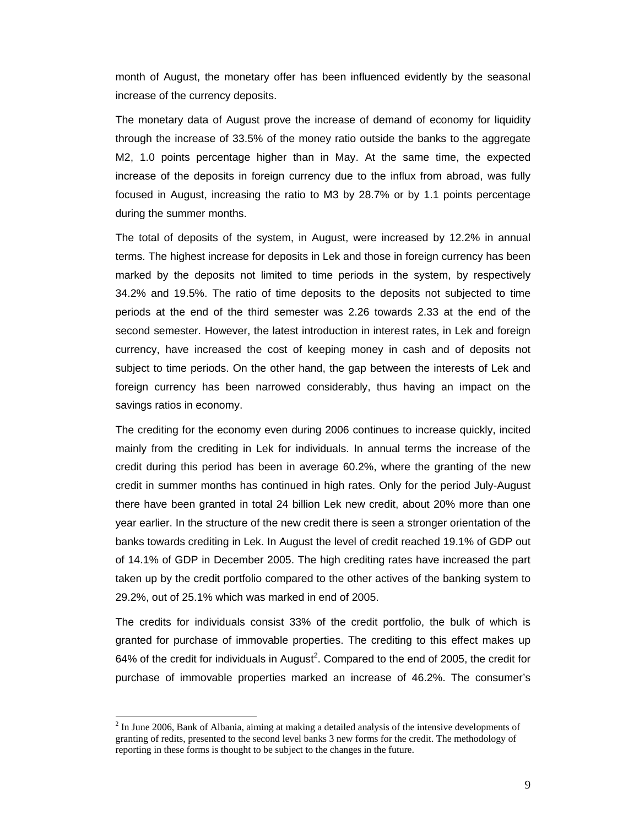month of August, the monetary offer has been influenced evidently by the seasonal increase of the currency deposits.

The monetary data of August prove the increase of demand of economy for liquidity through the increase of 33.5% of the money ratio outside the banks to the aggregate M2, 1.0 points percentage higher than in May. At the same time, the expected increase of the deposits in foreign currency due to the influx from abroad, was fully focused in August, increasing the ratio to M3 by 28.7% or by 1.1 points percentage during the summer months.

The total of deposits of the system, in August, were increased by 12.2% in annual terms. The highest increase for deposits in Lek and those in foreign currency has been marked by the deposits not limited to time periods in the system, by respectively 34.2% and 19.5%. The ratio of time deposits to the deposits not subjected to time periods at the end of the third semester was 2.26 towards 2.33 at the end of the second semester. However, the latest introduction in interest rates, in Lek and foreign currency, have increased the cost of keeping money in cash and of deposits not subject to time periods. On the other hand, the gap between the interests of Lek and foreign currency has been narrowed considerably, thus having an impact on the savings ratios in economy.

The crediting for the economy even during 2006 continues to increase quickly, incited mainly from the crediting in Lek for individuals. In annual terms the increase of the credit during this period has been in average 60.2%, where the granting of the new credit in summer months has continued in high rates. Only for the period July-August there have been granted in total 24 billion Lek new credit, about 20% more than one year earlier. In the structure of the new credit there is seen a stronger orientation of the banks towards crediting in Lek. In August the level of credit reached 19.1% of GDP out of 14.1% of GDP in December 2005. The high crediting rates have increased the part taken up by the credit portfolio compared to the other actives of the banking system to 29.2%, out of 25.1% which was marked in end of 2005.

The credits for individuals consist 33% of the credit portfolio, the bulk of which is granted for purchase of immovable properties. The crediting to this effect makes up 64% of the credit for individuals in August<sup>2</sup>. Compared to the end of 2005, the credit for purchase of immovable properties marked an increase of 46.2%. The consumer's

 $2$  In June 2006, Bank of Albania, aiming at making a detailed analysis of the intensive developments of granting of redits, presented to the second level banks 3 new forms for the credit. The methodology of reporting in these forms is thought to be subject to the changes in the future.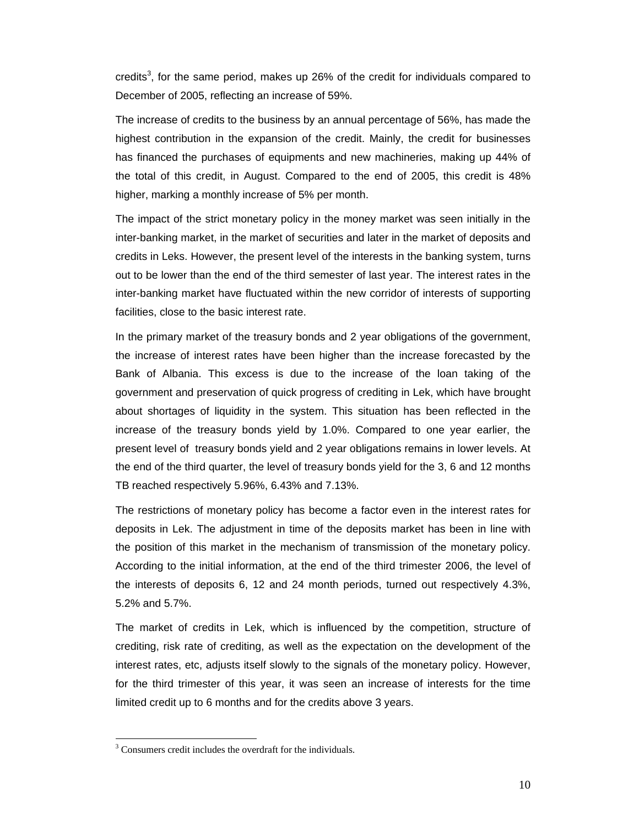credits<sup>3</sup>, for the same period, makes up 26% of the credit for individuals compared to December of 2005, reflecting an increase of 59%.

The increase of credits to the business by an annual percentage of 56%, has made the highest contribution in the expansion of the credit. Mainly, the credit for businesses has financed the purchases of equipments and new machineries, making up 44% of the total of this credit, in August. Compared to the end of 2005, this credit is 48% higher, marking a monthly increase of 5% per month.

The impact of the strict monetary policy in the money market was seen initially in the inter-banking market, in the market of securities and later in the market of deposits and credits in Leks. However, the present level of the interests in the banking system, turns out to be lower than the end of the third semester of last year. The interest rates in the inter-banking market have fluctuated within the new corridor of interests of supporting facilities, close to the basic interest rate.

In the primary market of the treasury bonds and 2 year obligations of the government, the increase of interest rates have been higher than the increase forecasted by the Bank of Albania. This excess is due to the increase of the loan taking of the government and preservation of quick progress of crediting in Lek, which have brought about shortages of liquidity in the system. This situation has been reflected in the increase of the treasury bonds yield by 1.0%. Compared to one year earlier, the present level of treasury bonds yield and 2 year obligations remains in lower levels. At the end of the third quarter, the level of treasury bonds yield for the 3, 6 and 12 months TB reached respectively 5.96%, 6.43% and 7.13%.

The restrictions of monetary policy has become a factor even in the interest rates for deposits in Lek. The adjustment in time of the deposits market has been in line with the position of this market in the mechanism of transmission of the monetary policy. According to the initial information, at the end of the third trimester 2006, the level of the interests of deposits 6, 12 and 24 month periods, turned out respectively 4.3%, 5.2% and 5.7%.

The market of credits in Lek, which is influenced by the competition, structure of crediting, risk rate of crediting, as well as the expectation on the development of the interest rates, etc, adjusts itself slowly to the signals of the monetary policy. However, for the third trimester of this year, it was seen an increase of interests for the time limited credit up to 6 months and for the credits above 3 years.

<sup>&</sup>lt;sup>3</sup> Consumers credit includes the overdraft for the individuals.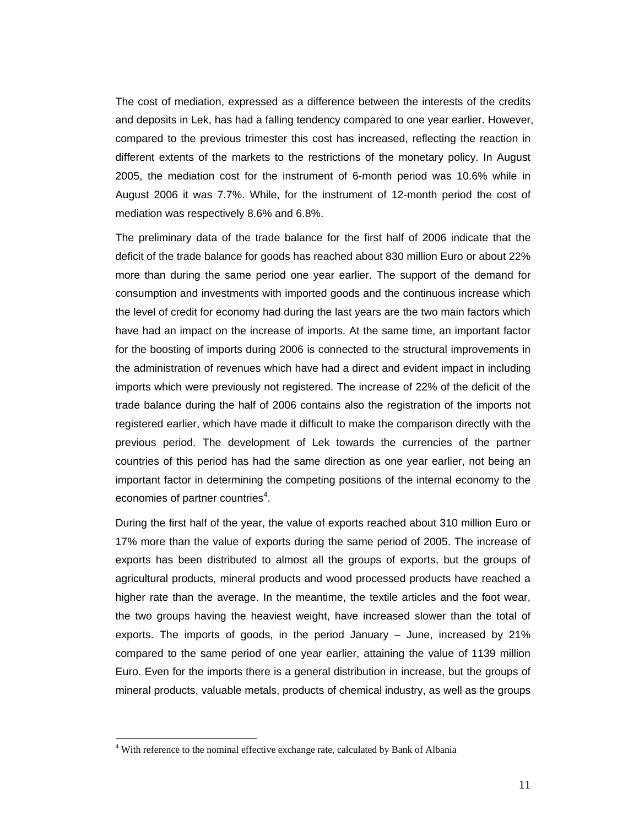The cost of mediation, expressed as a difference between the interests of the credits and deposits in Lek, has had a falling tendency compared to one year earlier. However, compared to the previous trimester this cost has increased, reflecting the reaction in different extents of the markets to the restrictions of the monetary policy. In August 2005, the mediation cost for the instrument of 6-month period was 10.6% while in August 2006 it was 7.7%. While, for the instrument of 12-month period the cost of mediation was respectively 8.6% and 6.8%.

The preliminary data of the trade balance for the first half of 2006 indicate that the deficit of the trade balance for goods has reached about 830 million Euro or about 22% more than during the same period one year earlier. The support of the demand for consumption and investments with imported goods and the continuous increase which the level of credit for economy had during the last years are the two main factors which have had an impact on the increase of imports. At the same time, an important factor for the boosting of imports during 2006 is connected to the structural improvements in the administration of revenues which have had a direct and evident impact in including imports which were previously not registered. The increase of 22% of the deficit of the trade balance during the half of 2006 contains also the registration of the imports not registered earlier, which have made it difficult to make the comparison directly with the previous period. The development of Lek towards the currencies of the partner countries of this period has had the same direction as one year earlier, not being an important factor in determining the competing positions of the internal economy to the economies of partner countries<sup>4</sup>.

During the first half of the year, the value of exports reached about 310 million Euro or 17% more than the value of exports during the same period of 2005. The increase of exports has been distributed to almost all the groups of exports, but the groups of agricultural products, mineral products and wood processed products have reached a higher rate than the average. In the meantime, the textile articles and the foot wear, the two groups having the heaviest weight, have increased slower than the total of exports. The imports of goods, in the period January – June, increased by 21% compared to the same period of one year earlier, attaining the value of 1139 million Euro. Even for the imports there is a general distribution in increase, but the groups of mineral products, valuable metals, products of chemical industry, as well as the groups

<sup>&</sup>lt;sup>4</sup> With reference to the nominal effective exchange rate, calculated by Bank of Albania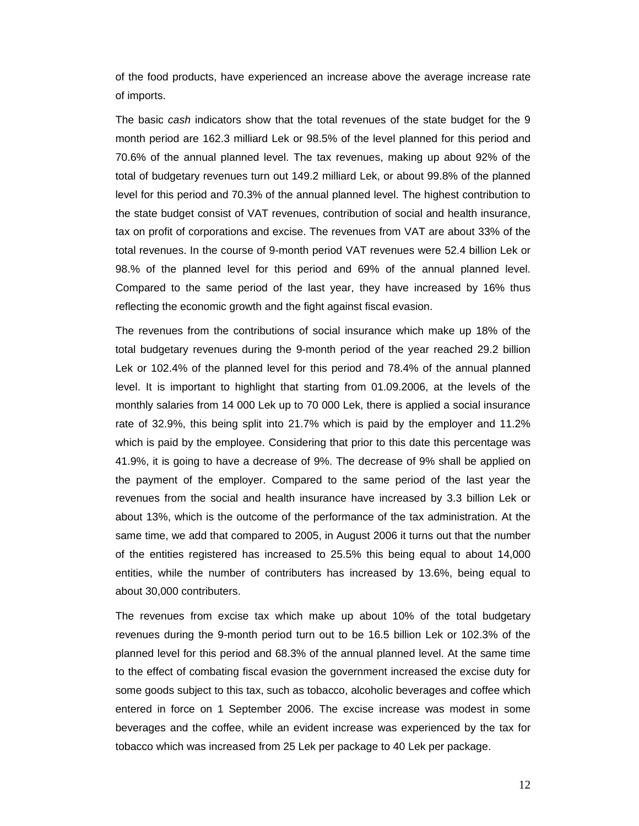of the food products, have experienced an increase above the average increase rate of imports.

The basic *cash* indicators show that the total revenues of the state budget for the 9 month period are 162.3 milliard Lek or 98.5% of the level planned for this period and 70.6% of the annual planned level. The tax revenues, making up about 92% of the total of budgetary revenues turn out 149.2 milliard Lek, or about 99.8% of the planned level for this period and 70.3% of the annual planned level. The highest contribution to the state budget consist of VAT revenues, contribution of social and health insurance, tax on profit of corporations and excise. The revenues from VAT are about 33% of the total revenues. In the course of 9-month period VAT revenues were 52.4 billion Lek or 98.% of the planned level for this period and 69% of the annual planned level. Compared to the same period of the last year, they have increased by 16% thus reflecting the economic growth and the fight against fiscal evasion.

The revenues from the contributions of social insurance which make up 18% of the total budgetary revenues during the 9-month period of the year reached 29.2 billion Lek or 102.4% of the planned level for this period and 78.4% of the annual planned level. It is important to highlight that starting from 01.09.2006, at the levels of the monthly salaries from 14 000 Lek up to 70 000 Lek, there is applied a social insurance rate of 32.9%, this being split into 21.7% which is paid by the employer and 11.2% which is paid by the employee. Considering that prior to this date this percentage was 41.9%, it is going to have a decrease of 9%. The decrease of 9% shall be applied on the payment of the employer. Compared to the same period of the last year the revenues from the social and health insurance have increased by 3.3 billion Lek or about 13%, which is the outcome of the performance of the tax administration. At the same time, we add that compared to 2005, in August 2006 it turns out that the number of the entities registered has increased to 25.5% this being equal to about 14,000 entities, while the number of contributers has increased by 13.6%, being equal to about 30,000 contributers.

The revenues from excise tax which make up about 10% of the total budgetary revenues during the 9-month period turn out to be 16.5 billion Lek or 102.3% of the planned level for this period and 68.3% of the annual planned level. At the same time to the effect of combating fiscal evasion the government increased the excise duty for some goods subject to this tax, such as tobacco, alcoholic beverages and coffee which entered in force on 1 September 2006. The excise increase was modest in some beverages and the coffee, while an evident increase was experienced by the tax for tobacco which was increased from 25 Lek per package to 40 Lek per package.

12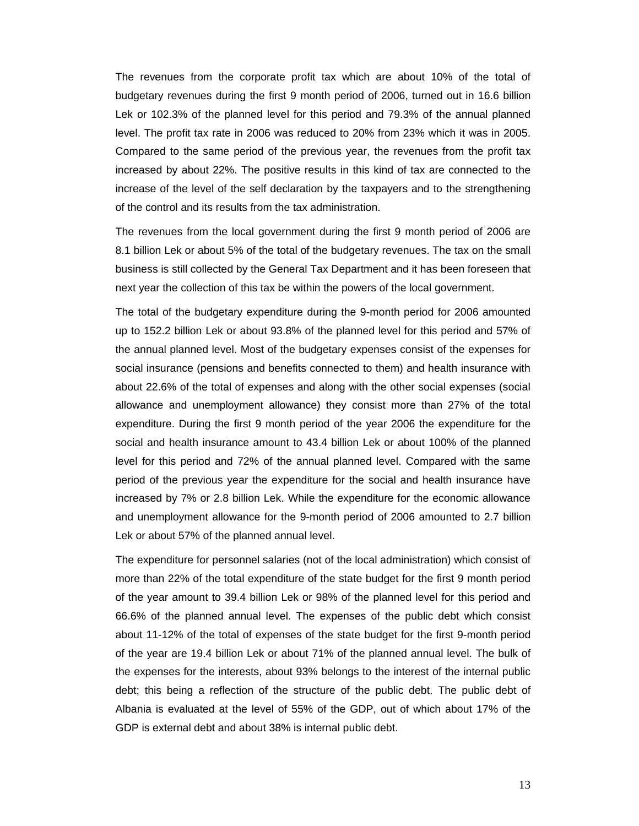The revenues from the corporate profit tax which are about 10% of the total of budgetary revenues during the first 9 month period of 2006, turned out in 16.6 billion Lek or 102.3% of the planned level for this period and 79.3% of the annual planned level. The profit tax rate in 2006 was reduced to 20% from 23% which it was in 2005. Compared to the same period of the previous year, the revenues from the profit tax increased by about 22%. The positive results in this kind of tax are connected to the increase of the level of the self declaration by the taxpayers and to the strengthening of the control and its results from the tax administration.

The revenues from the local government during the first 9 month period of 2006 are 8.1 billion Lek or about 5% of the total of the budgetary revenues. The tax on the small business is still collected by the General Tax Department and it has been foreseen that next year the collection of this tax be within the powers of the local government.

The total of the budgetary expenditure during the 9-month period for 2006 amounted up to 152.2 billion Lek or about 93.8% of the planned level for this period and 57% of the annual planned level. Most of the budgetary expenses consist of the expenses for social insurance (pensions and benefits connected to them) and health insurance with about 22.6% of the total of expenses and along with the other social expenses (social allowance and unemployment allowance) they consist more than 27% of the total expenditure. During the first 9 month period of the year 2006 the expenditure for the social and health insurance amount to 43.4 billion Lek or about 100% of the planned level for this period and 72% of the annual planned level. Compared with the same period of the previous year the expenditure for the social and health insurance have increased by 7% or 2.8 billion Lek. While the expenditure for the economic allowance and unemployment allowance for the 9-month period of 2006 amounted to 2.7 billion Lek or about 57% of the planned annual level.

The expenditure for personnel salaries (not of the local administration) which consist of more than 22% of the total expenditure of the state budget for the first 9 month period of the year amount to 39.4 billion Lek or 98% of the planned level for this period and 66.6% of the planned annual level. The expenses of the public debt which consist about 11-12% of the total of expenses of the state budget for the first 9-month period of the year are 19.4 billion Lek or about 71% of the planned annual level. The bulk of the expenses for the interests, about 93% belongs to the interest of the internal public debt; this being a reflection of the structure of the public debt. The public debt of Albania is evaluated at the level of 55% of the GDP, out of which about 17% of the GDP is external debt and about 38% is internal public debt.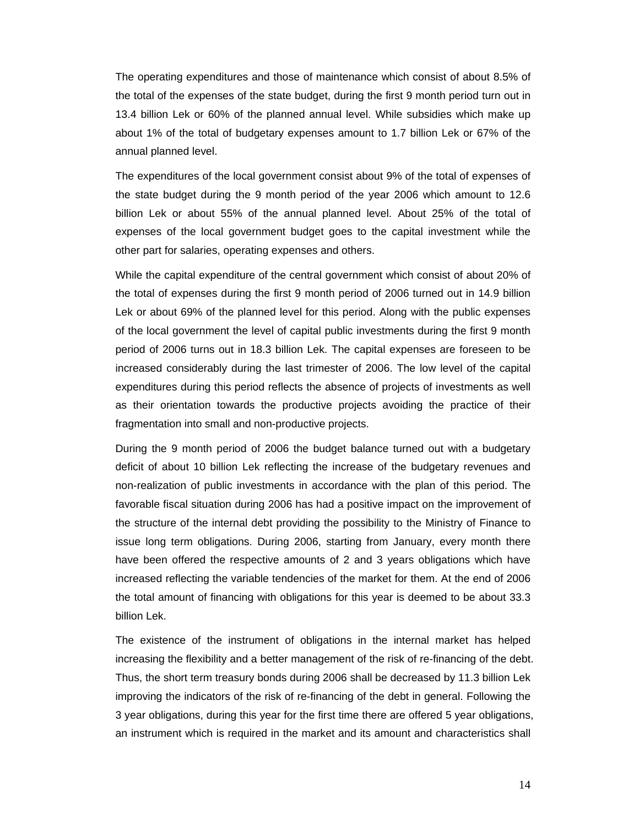The operating expenditures and those of maintenance which consist of about 8.5% of the total of the expenses of the state budget, during the first 9 month period turn out in 13.4 billion Lek or 60% of the planned annual level. While subsidies which make up about 1% of the total of budgetary expenses amount to 1.7 billion Lek or 67% of the annual planned level.

The expenditures of the local government consist about 9% of the total of expenses of the state budget during the 9 month period of the year 2006 which amount to 12.6 billion Lek or about 55% of the annual planned level. About 25% of the total of expenses of the local government budget goes to the capital investment while the other part for salaries, operating expenses and others.

While the capital expenditure of the central government which consist of about 20% of the total of expenses during the first 9 month period of 2006 turned out in 14.9 billion Lek or about 69% of the planned level for this period. Along with the public expenses of the local government the level of capital public investments during the first 9 month period of 2006 turns out in 18.3 billion Lek. The capital expenses are foreseen to be increased considerably during the last trimester of 2006. The low level of the capital expenditures during this period reflects the absence of projects of investments as well as their orientation towards the productive projects avoiding the practice of their fragmentation into small and non-productive projects.

During the 9 month period of 2006 the budget balance turned out with a budgetary deficit of about 10 billion Lek reflecting the increase of the budgetary revenues and non-realization of public investments in accordance with the plan of this period. The favorable fiscal situation during 2006 has had a positive impact on the improvement of the structure of the internal debt providing the possibility to the Ministry of Finance to issue long term obligations. During 2006, starting from January, every month there have been offered the respective amounts of 2 and 3 years obligations which have increased reflecting the variable tendencies of the market for them. At the end of 2006 the total amount of financing with obligations for this year is deemed to be about 33.3 billion Lek.

The existence of the instrument of obligations in the internal market has helped increasing the flexibility and a better management of the risk of re-financing of the debt. Thus, the short term treasury bonds during 2006 shall be decreased by 11.3 billion Lek improving the indicators of the risk of re-financing of the debt in general. Following the 3 year obligations, during this year for the first time there are offered 5 year obligations, an instrument which is required in the market and its amount and characteristics shall

14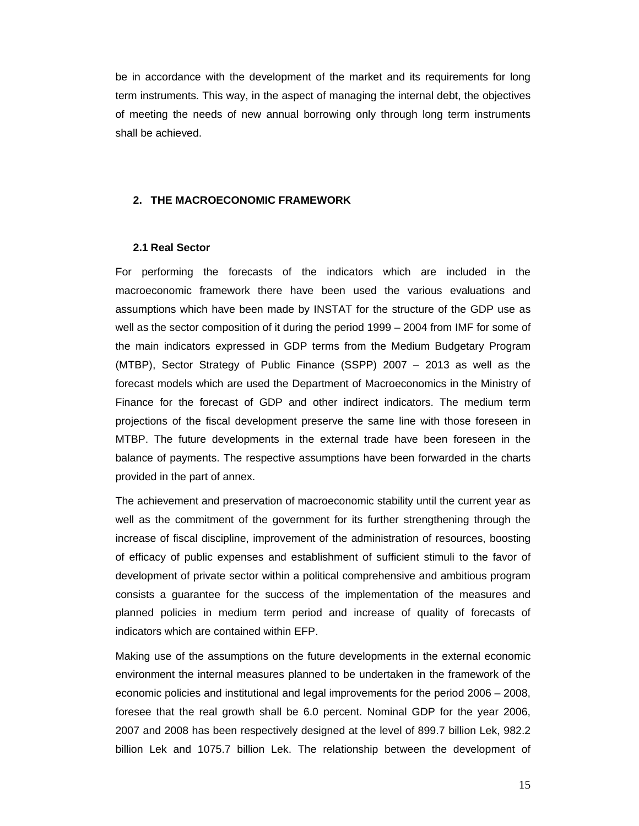be in accordance with the development of the market and its requirements for long term instruments. This way, in the aspect of managing the internal debt, the objectives of meeting the needs of new annual borrowing only through long term instruments shall be achieved.

## **2. THE MACROECONOMIC FRAMEWORK**

#### **2.1 Real Sector**

For performing the forecasts of the indicators which are included in the macroeconomic framework there have been used the various evaluations and assumptions which have been made by INSTAT for the structure of the GDP use as well as the sector composition of it during the period 1999 – 2004 from IMF for some of the main indicators expressed in GDP terms from the Medium Budgetary Program (MTBP), Sector Strategy of Public Finance (SSPP) 2007 – 2013 as well as the forecast models which are used the Department of Macroeconomics in the Ministry of Finance for the forecast of GDP and other indirect indicators. The medium term projections of the fiscal development preserve the same line with those foreseen in MTBP. The future developments in the external trade have been foreseen in the balance of payments. The respective assumptions have been forwarded in the charts provided in the part of annex.

The achievement and preservation of macroeconomic stability until the current year as well as the commitment of the government for its further strengthening through the increase of fiscal discipline, improvement of the administration of resources, boosting of efficacy of public expenses and establishment of sufficient stimuli to the favor of development of private sector within a political comprehensive and ambitious program consists a guarantee for the success of the implementation of the measures and planned policies in medium term period and increase of quality of forecasts of indicators which are contained within EFP.

Making use of the assumptions on the future developments in the external economic environment the internal measures planned to be undertaken in the framework of the economic policies and institutional and legal improvements for the period 2006 – 2008, foresee that the real growth shall be 6.0 percent. Nominal GDP for the year 2006, 2007 and 2008 has been respectively designed at the level of 899.7 billion Lek, 982.2 billion Lek and 1075.7 billion Lek. The relationship between the development of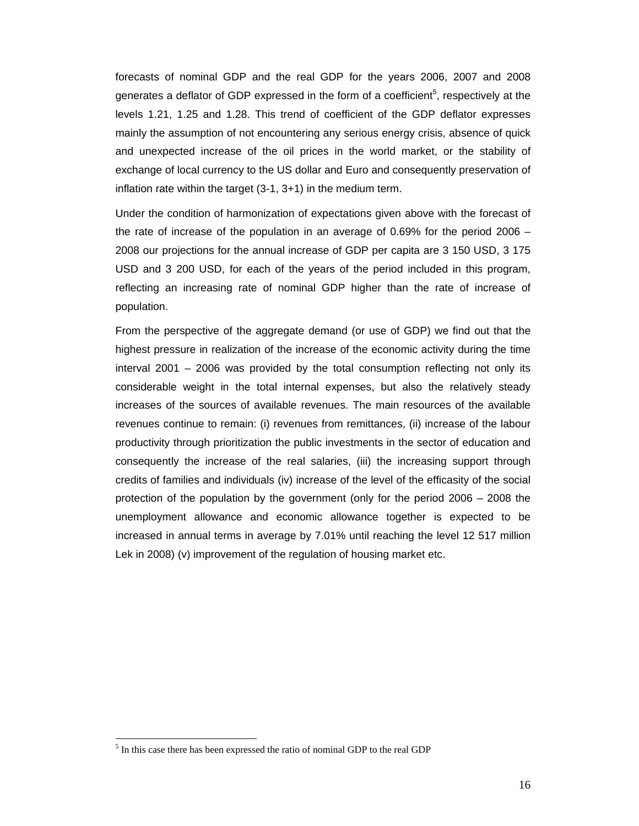forecasts of nominal GDP and the real GDP for the years 2006, 2007 and 2008 generates a deflator of GDP expressed in the form of a coefficient<sup>5</sup>, respectively at the levels 1.21, 1.25 and 1.28. This trend of coefficient of the GDP deflator expresses mainly the assumption of not encountering any serious energy crisis, absence of quick and unexpected increase of the oil prices in the world market, or the stability of exchange of local currency to the US dollar and Euro and consequently preservation of inflation rate within the target (3-1, 3+1) in the medium term.

Under the condition of harmonization of expectations given above with the forecast of the rate of increase of the population in an average of 0.69% for the period 2006 – 2008 our projections for the annual increase of GDP per capita are 3 150 USD, 3 175 USD and 3 200 USD, for each of the years of the period included in this program, reflecting an increasing rate of nominal GDP higher than the rate of increase of population.

From the perspective of the aggregate demand (or use of GDP) we find out that the highest pressure in realization of the increase of the economic activity during the time interval 2001 – 2006 was provided by the total consumption reflecting not only its considerable weight in the total internal expenses, but also the relatively steady increases of the sources of available revenues. The main resources of the available revenues continue to remain: (i) revenues from remittances, (ii) increase of the labour productivity through prioritization the public investments in the sector of education and consequently the increase of the real salaries, (iii) the increasing support through credits of families and individuals (iv) increase of the level of the efficasity of the social protection of the population by the government (only for the period 2006 – 2008 the unemployment allowance and economic allowance together is expected to be increased in annual terms in average by 7.01% until reaching the level 12 517 million Lek in 2008) (v) improvement of the regulation of housing market etc.

<sup>&</sup>lt;sup>5</sup> In this case there has been expressed the ratio of nominal GDP to the real GDP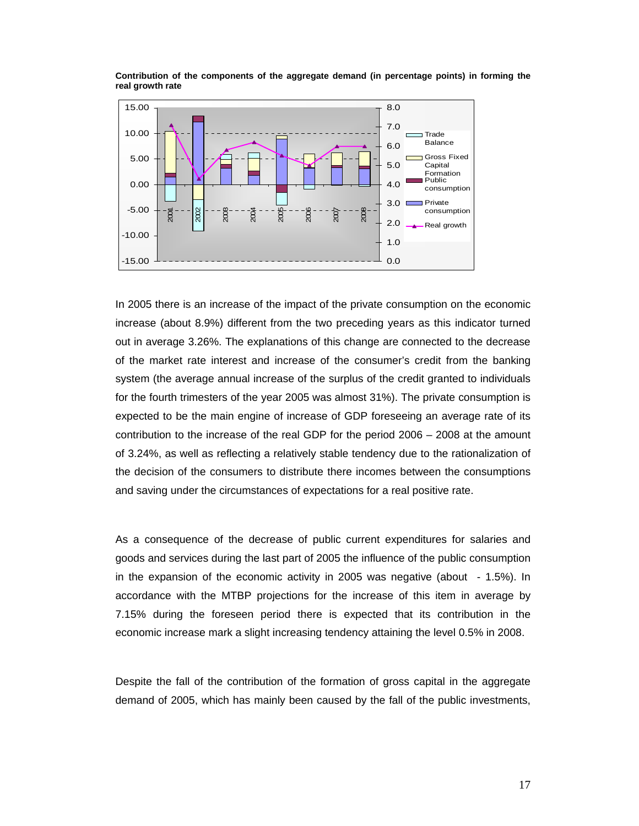

**Contribution of the components of the aggregate demand (in percentage points) in forming the real growth rate** 

In 2005 there is an increase of the impact of the private consumption on the economic increase (about 8.9%) different from the two preceding years as this indicator turned out in average 3.26%. The explanations of this change are connected to the decrease of the market rate interest and increase of the consumer's credit from the banking system (the average annual increase of the surplus of the credit granted to individuals for the fourth trimesters of the year 2005 was almost 31%). The private consumption is expected to be the main engine of increase of GDP foreseeing an average rate of its contribution to the increase of the real GDP for the period 2006 – 2008 at the amount of 3.24%, as well as reflecting a relatively stable tendency due to the rationalization of the decision of the consumers to distribute there incomes between the consumptions and saving under the circumstances of expectations for a real positive rate.

As a consequence of the decrease of public current expenditures for salaries and goods and services during the last part of 2005 the influence of the public consumption in the expansion of the economic activity in 2005 was negative (about - 1.5%). In accordance with the MTBP projections for the increase of this item in average by 7.15% during the foreseen period there is expected that its contribution in the economic increase mark a slight increasing tendency attaining the level 0.5% in 2008.

Despite the fall of the contribution of the formation of gross capital in the aggregate demand of 2005, which has mainly been caused by the fall of the public investments,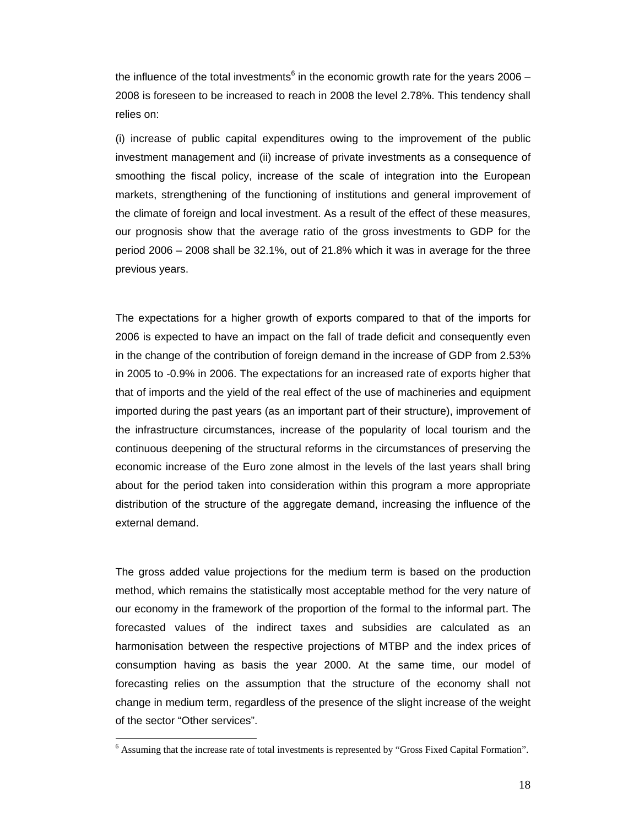the influence of the total investments<sup>6</sup> in the economic growth rate for the years 2006 -2008 is foreseen to be increased to reach in 2008 the level 2.78%. This tendency shall relies on:

(i) increase of public capital expenditures owing to the improvement of the public investment management and (ii) increase of private investments as a consequence of smoothing the fiscal policy, increase of the scale of integration into the European markets, strengthening of the functioning of institutions and general improvement of the climate of foreign and local investment. As a result of the effect of these measures, our prognosis show that the average ratio of the gross investments to GDP for the period 2006 – 2008 shall be 32.1%, out of 21.8% which it was in average for the three previous years.

The expectations for a higher growth of exports compared to that of the imports for 2006 is expected to have an impact on the fall of trade deficit and consequently even in the change of the contribution of foreign demand in the increase of GDP from 2.53% in 2005 to -0.9% in 2006. The expectations for an increased rate of exports higher that that of imports and the yield of the real effect of the use of machineries and equipment imported during the past years (as an important part of their structure), improvement of the infrastructure circumstances, increase of the popularity of local tourism and the continuous deepening of the structural reforms in the circumstances of preserving the economic increase of the Euro zone almost in the levels of the last years shall bring about for the period taken into consideration within this program a more appropriate distribution of the structure of the aggregate demand, increasing the influence of the external demand.

The gross added value projections for the medium term is based on the production method, which remains the statistically most acceptable method for the very nature of our economy in the framework of the proportion of the formal to the informal part. The forecasted values of the indirect taxes and subsidies are calculated as an harmonisation between the respective projections of MTBP and the index prices of consumption having as basis the year 2000. At the same time, our model of forecasting relies on the assumption that the structure of the economy shall not change in medium term, regardless of the presence of the slight increase of the weight of the sector "Other services".

<sup>&</sup>lt;sup>6</sup> Assuming that the increase rate of total investments is represented by "Gross Fixed Capital Formation".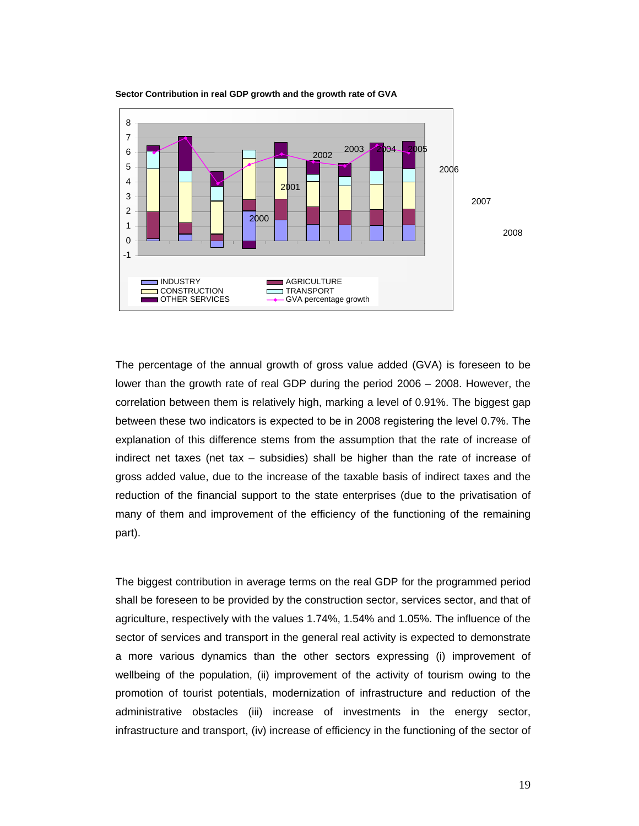

**Sector Contribution in real GDP growth and the growth rate of GVA** 

The percentage of the annual growth of gross value added (GVA) is foreseen to be lower than the growth rate of real GDP during the period 2006 – 2008. However, the correlation between them is relatively high, marking a level of 0.91%. The biggest gap between these two indicators is expected to be in 2008 registering the level 0.7%. The explanation of this difference stems from the assumption that the rate of increase of indirect net taxes (net tax – subsidies) shall be higher than the rate of increase of gross added value, due to the increase of the taxable basis of indirect taxes and the reduction of the financial support to the state enterprises (due to the privatisation of many of them and improvement of the efficiency of the functioning of the remaining part).

The biggest contribution in average terms on the real GDP for the programmed period shall be foreseen to be provided by the construction sector, services sector, and that of agriculture, respectively with the values 1.74%, 1.54% and 1.05%. The influence of the sector of services and transport in the general real activity is expected to demonstrate a more various dynamics than the other sectors expressing (i) improvement of wellbeing of the population, (ii) improvement of the activity of tourism owing to the promotion of tourist potentials, modernization of infrastructure and reduction of the administrative obstacles (iii) increase of investments in the energy sector, infrastructure and transport, (iv) increase of efficiency in the functioning of the sector of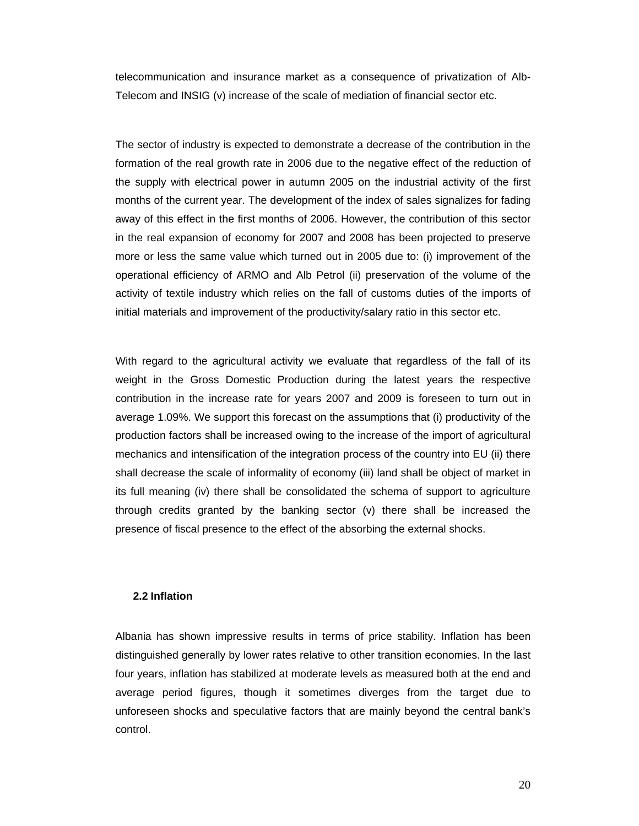telecommunication and insurance market as a consequence of privatization of Alb-Telecom and INSIG (v) increase of the scale of mediation of financial sector etc.

The sector of industry is expected to demonstrate a decrease of the contribution in the formation of the real growth rate in 2006 due to the negative effect of the reduction of the supply with electrical power in autumn 2005 on the industrial activity of the first months of the current year. The development of the index of sales signalizes for fading away of this effect in the first months of 2006. However, the contribution of this sector in the real expansion of economy for 2007 and 2008 has been projected to preserve more or less the same value which turned out in 2005 due to: (i) improvement of the operational efficiency of ARMO and Alb Petrol (ii) preservation of the volume of the activity of textile industry which relies on the fall of customs duties of the imports of initial materials and improvement of the productivity/salary ratio in this sector etc.

With regard to the agricultural activity we evaluate that regardless of the fall of its weight in the Gross Domestic Production during the latest years the respective contribution in the increase rate for years 2007 and 2009 is foreseen to turn out in average 1.09%. We support this forecast on the assumptions that (i) productivity of the production factors shall be increased owing to the increase of the import of agricultural mechanics and intensification of the integration process of the country into EU (ii) there shall decrease the scale of informality of economy (iii) land shall be object of market in its full meaning (iv) there shall be consolidated the schema of support to agriculture through credits granted by the banking sector (v) there shall be increased the presence of fiscal presence to the effect of the absorbing the external shocks.

#### **2.2 Inflation**

Albania has shown impressive results in terms of price stability. Inflation has been distinguished generally by lower rates relative to other transition economies. In the last four years, inflation has stabilized at moderate levels as measured both at the end and average period figures, though it sometimes diverges from the target due to unforeseen shocks and speculative factors that are mainly beyond the central bank's control.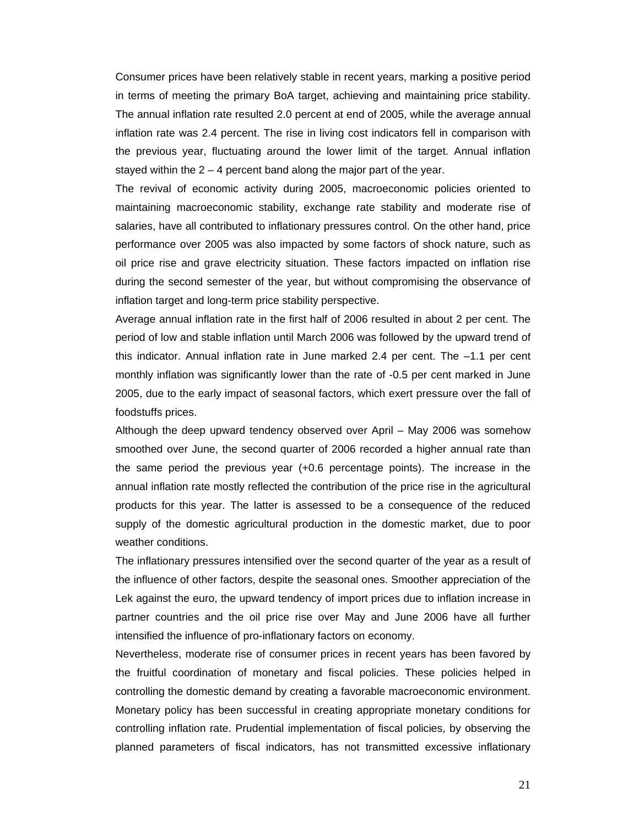Consumer prices have been relatively stable in recent years, marking a positive period in terms of meeting the primary BoA target, achieving and maintaining price stability. The annual inflation rate resulted 2.0 percent at end of 2005, while the average annual inflation rate was 2.4 percent. The rise in living cost indicators fell in comparison with the previous year, fluctuating around the lower limit of the target. Annual inflation stayed within the  $2 - 4$  percent band along the major part of the year.

The revival of economic activity during 2005, macroeconomic policies oriented to maintaining macroeconomic stability, exchange rate stability and moderate rise of salaries, have all contributed to inflationary pressures control. On the other hand, price performance over 2005 was also impacted by some factors of shock nature, such as oil price rise and grave electricity situation. These factors impacted on inflation rise during the second semester of the year, but without compromising the observance of inflation target and long-term price stability perspective.

Average annual inflation rate in the first half of 2006 resulted in about 2 per cent. The period of low and stable inflation until March 2006 was followed by the upward trend of this indicator. Annual inflation rate in June marked 2.4 per cent. The –1.1 per cent monthly inflation was significantly lower than the rate of -0.5 per cent marked in June 2005, due to the early impact of seasonal factors, which exert pressure over the fall of foodstuffs prices.

Although the deep upward tendency observed over April – May 2006 was somehow smoothed over June, the second quarter of 2006 recorded a higher annual rate than the same period the previous year (+0.6 percentage points). The increase in the annual inflation rate mostly reflected the contribution of the price rise in the agricultural products for this year. The latter is assessed to be a consequence of the reduced supply of the domestic agricultural production in the domestic market, due to poor weather conditions.

The inflationary pressures intensified over the second quarter of the year as a result of the influence of other factors, despite the seasonal ones. Smoother appreciation of the Lek against the euro, the upward tendency of import prices due to inflation increase in partner countries and the oil price rise over May and June 2006 have all further intensified the influence of pro-inflationary factors on economy.

Nevertheless, moderate rise of consumer prices in recent years has been favored by the fruitful coordination of monetary and fiscal policies. These policies helped in controlling the domestic demand by creating a favorable macroeconomic environment. Monetary policy has been successful in creating appropriate monetary conditions for controlling inflation rate. Prudential implementation of fiscal policies, by observing the planned parameters of fiscal indicators, has not transmitted excessive inflationary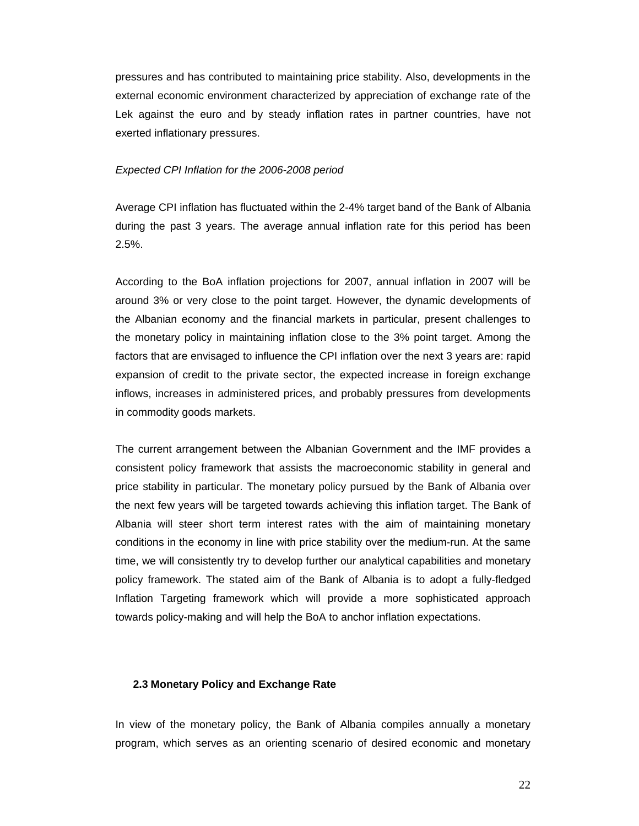pressures and has contributed to maintaining price stability. Also, developments in the external economic environment characterized by appreciation of exchange rate of the Lek against the euro and by steady inflation rates in partner countries, have not exerted inflationary pressures.

#### *Expected CPI Inflation for the 2006-2008 period*

Average CPI inflation has fluctuated within the 2-4% target band of the Bank of Albania during the past 3 years. The average annual inflation rate for this period has been 2.5%.

According to the BoA inflation projections for 2007, annual inflation in 2007 will be around 3% or very close to the point target. However, the dynamic developments of the Albanian economy and the financial markets in particular, present challenges to the monetary policy in maintaining inflation close to the 3% point target. Among the factors that are envisaged to influence the CPI inflation over the next 3 years are: rapid expansion of credit to the private sector, the expected increase in foreign exchange inflows, increases in administered prices, and probably pressures from developments in commodity goods markets.

The current arrangement between the Albanian Government and the IMF provides a consistent policy framework that assists the macroeconomic stability in general and price stability in particular. The monetary policy pursued by the Bank of Albania over the next few years will be targeted towards achieving this inflation target. The Bank of Albania will steer short term interest rates with the aim of maintaining monetary conditions in the economy in line with price stability over the medium-run. At the same time, we will consistently try to develop further our analytical capabilities and monetary policy framework. The stated aim of the Bank of Albania is to adopt a fully-fledged Inflation Targeting framework which will provide a more sophisticated approach towards policy-making and will help the BoA to anchor inflation expectations.

#### **2.3 Monetary Policy and Exchange Rate**

In view of the monetary policy, the Bank of Albania compiles annually a monetary program, which serves as an orienting scenario of desired economic and monetary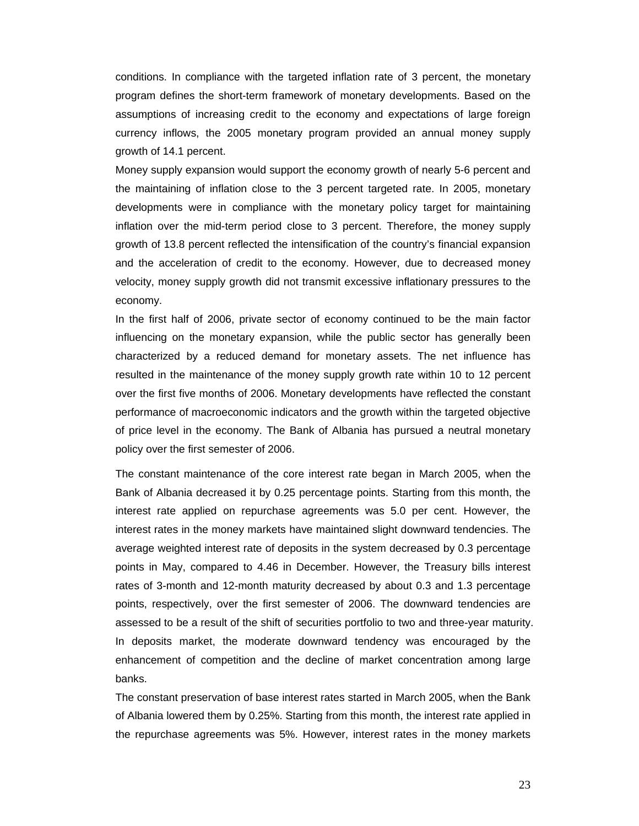conditions. In compliance with the targeted inflation rate of 3 percent, the monetary program defines the short-term framework of monetary developments. Based on the assumptions of increasing credit to the economy and expectations of large foreign currency inflows, the 2005 monetary program provided an annual money supply growth of 14.1 percent.

Money supply expansion would support the economy growth of nearly 5-6 percent and the maintaining of inflation close to the 3 percent targeted rate. In 2005, monetary developments were in compliance with the monetary policy target for maintaining inflation over the mid-term period close to 3 percent. Therefore, the money supply growth of 13.8 percent reflected the intensification of the country's financial expansion and the acceleration of credit to the economy. However, due to decreased money velocity, money supply growth did not transmit excessive inflationary pressures to the economy.

In the first half of 2006, private sector of economy continued to be the main factor influencing on the monetary expansion, while the public sector has generally been characterized by a reduced demand for monetary assets. The net influence has resulted in the maintenance of the money supply growth rate within 10 to 12 percent over the first five months of 2006. Monetary developments have reflected the constant performance of macroeconomic indicators and the growth within the targeted objective of price level in the economy. The Bank of Albania has pursued a neutral monetary policy over the first semester of 2006.

The constant maintenance of the core interest rate began in March 2005, when the Bank of Albania decreased it by 0.25 percentage points. Starting from this month, the interest rate applied on repurchase agreements was 5.0 per cent. However, the interest rates in the money markets have maintained slight downward tendencies. The average weighted interest rate of deposits in the system decreased by 0.3 percentage points in May, compared to 4.46 in December. However, the Treasury bills interest rates of 3-month and 12-month maturity decreased by about 0.3 and 1.3 percentage points, respectively, over the first semester of 2006. The downward tendencies are assessed to be a result of the shift of securities portfolio to two and three-year maturity. In deposits market, the moderate downward tendency was encouraged by the enhancement of competition and the decline of market concentration among large banks.

The constant preservation of base interest rates started in March 2005, when the Bank of Albania lowered them by 0.25%. Starting from this month, the interest rate applied in the repurchase agreements was 5%. However, interest rates in the money markets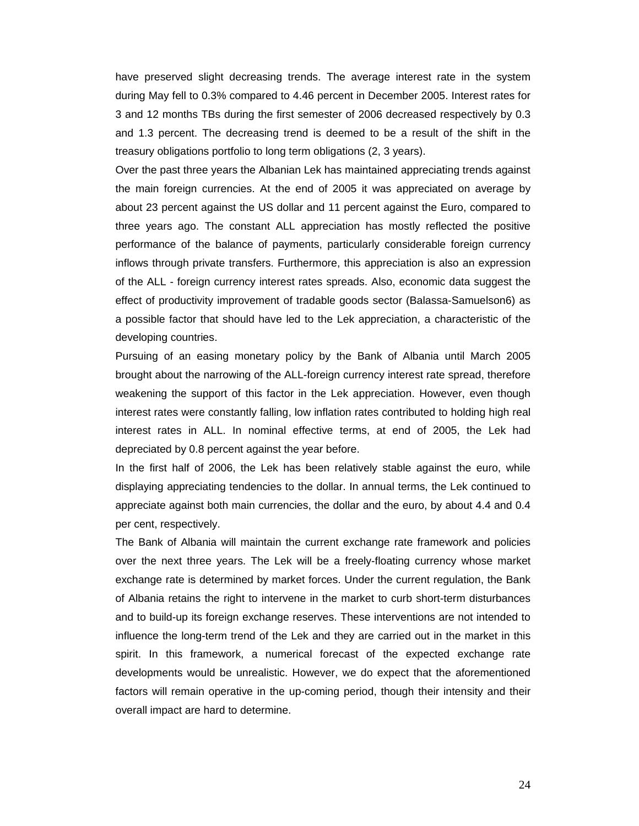have preserved slight decreasing trends. The average interest rate in the system during May fell to 0.3% compared to 4.46 percent in December 2005. Interest rates for 3 and 12 months TBs during the first semester of 2006 decreased respectively by 0.3 and 1.3 percent. The decreasing trend is deemed to be a result of the shift in the treasury obligations portfolio to long term obligations (2, 3 years).

Over the past three years the Albanian Lek has maintained appreciating trends against the main foreign currencies. At the end of 2005 it was appreciated on average by about 23 percent against the US dollar and 11 percent against the Euro, compared to three years ago. The constant ALL appreciation has mostly reflected the positive performance of the balance of payments, particularly considerable foreign currency inflows through private transfers. Furthermore, this appreciation is also an expression of the ALL - foreign currency interest rates spreads. Also, economic data suggest the effect of productivity improvement of tradable goods sector (Balassa-Samuelson6) as a possible factor that should have led to the Lek appreciation, a characteristic of the developing countries.

Pursuing of an easing monetary policy by the Bank of Albania until March 2005 brought about the narrowing of the ALL-foreign currency interest rate spread, therefore weakening the support of this factor in the Lek appreciation. However, even though interest rates were constantly falling, low inflation rates contributed to holding high real interest rates in ALL. In nominal effective terms, at end of 2005, the Lek had depreciated by 0.8 percent against the year before.

In the first half of 2006, the Lek has been relatively stable against the euro, while displaying appreciating tendencies to the dollar. In annual terms, the Lek continued to appreciate against both main currencies, the dollar and the euro, by about 4.4 and 0.4 per cent, respectively.

The Bank of Albania will maintain the current exchange rate framework and policies over the next three years. The Lek will be a freely-floating currency whose market exchange rate is determined by market forces. Under the current regulation, the Bank of Albania retains the right to intervene in the market to curb short-term disturbances and to build-up its foreign exchange reserves. These interventions are not intended to influence the long-term trend of the Lek and they are carried out in the market in this spirit. In this framework, a numerical forecast of the expected exchange rate developments would be unrealistic. However, we do expect that the aforementioned factors will remain operative in the up-coming period, though their intensity and their overall impact are hard to determine.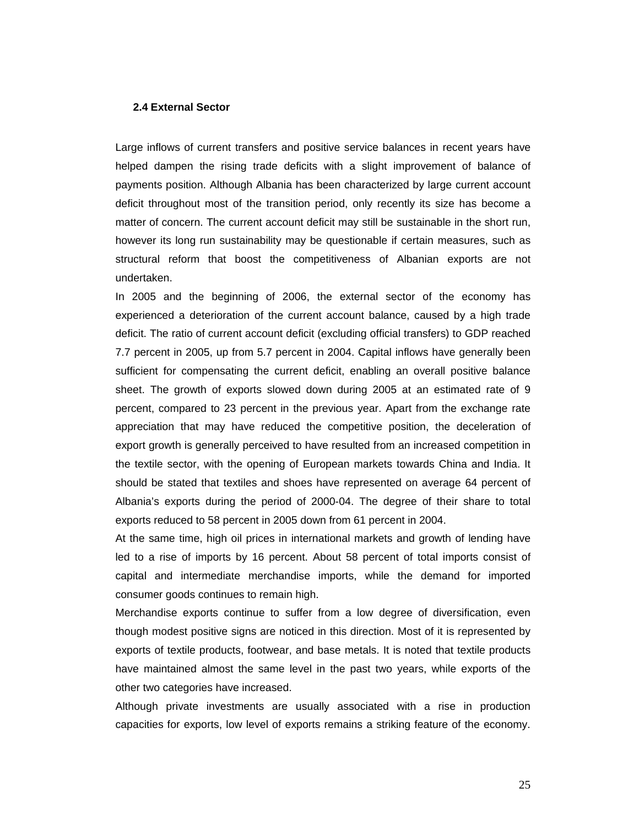#### **2.4 External Sector**

Large inflows of current transfers and positive service balances in recent years have helped dampen the rising trade deficits with a slight improvement of balance of payments position. Although Albania has been characterized by large current account deficit throughout most of the transition period, only recently its size has become a matter of concern. The current account deficit may still be sustainable in the short run, however its long run sustainability may be questionable if certain measures, such as structural reform that boost the competitiveness of Albanian exports are not undertaken.

In 2005 and the beginning of 2006, the external sector of the economy has experienced a deterioration of the current account balance, caused by a high trade deficit. The ratio of current account deficit (excluding official transfers) to GDP reached 7.7 percent in 2005, up from 5.7 percent in 2004. Capital inflows have generally been sufficient for compensating the current deficit, enabling an overall positive balance sheet. The growth of exports slowed down during 2005 at an estimated rate of 9 percent, compared to 23 percent in the previous year. Apart from the exchange rate appreciation that may have reduced the competitive position, the deceleration of export growth is generally perceived to have resulted from an increased competition in the textile sector, with the opening of European markets towards China and India. It should be stated that textiles and shoes have represented on average 64 percent of Albania's exports during the period of 2000-04. The degree of their share to total exports reduced to 58 percent in 2005 down from 61 percent in 2004.

At the same time, high oil prices in international markets and growth of lending have led to a rise of imports by 16 percent. About 58 percent of total imports consist of capital and intermediate merchandise imports, while the demand for imported consumer goods continues to remain high.

Merchandise exports continue to suffer from a low degree of diversification, even though modest positive signs are noticed in this direction. Most of it is represented by exports of textile products, footwear, and base metals. It is noted that textile products have maintained almost the same level in the past two years, while exports of the other two categories have increased.

Although private investments are usually associated with a rise in production capacities for exports, low level of exports remains a striking feature of the economy.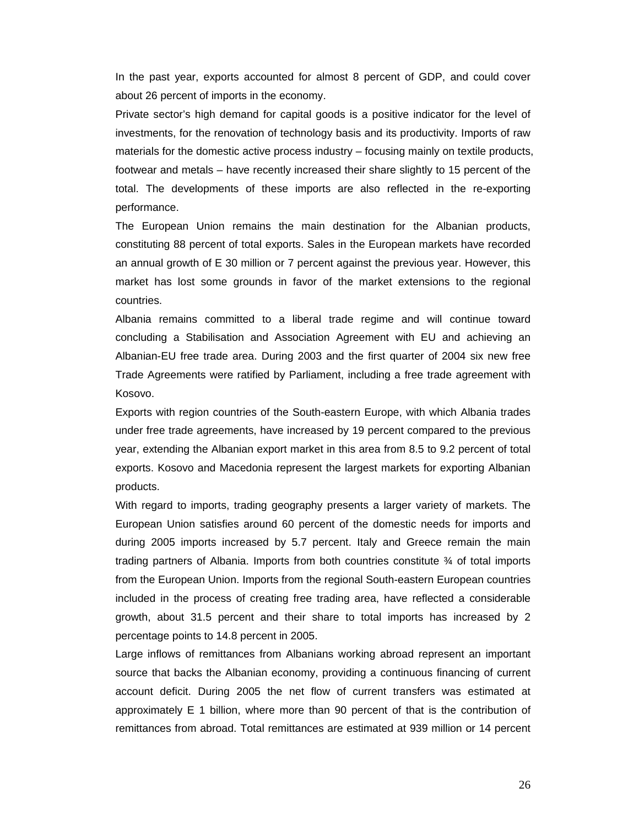In the past year, exports accounted for almost 8 percent of GDP, and could cover about 26 percent of imports in the economy.

Private sector's high demand for capital goods is a positive indicator for the level of investments, for the renovation of technology basis and its productivity. Imports of raw materials for the domestic active process industry – focusing mainly on textile products, footwear and metals – have recently increased their share slightly to 15 percent of the total. The developments of these imports are also reflected in the re-exporting performance.

The European Union remains the main destination for the Albanian products, constituting 88 percent of total exports. Sales in the European markets have recorded an annual growth of E 30 million or 7 percent against the previous year. However, this market has lost some grounds in favor of the market extensions to the regional countries.

Albania remains committed to a liberal trade regime and will continue toward concluding a Stabilisation and Association Agreement with EU and achieving an Albanian-EU free trade area. During 2003 and the first quarter of 2004 six new free Trade Agreements were ratified by Parliament, including a free trade agreement with Kosovo.

Exports with region countries of the South-eastern Europe, with which Albania trades under free trade agreements, have increased by 19 percent compared to the previous year, extending the Albanian export market in this area from 8.5 to 9.2 percent of total exports. Kosovo and Macedonia represent the largest markets for exporting Albanian products.

With regard to imports, trading geography presents a larger variety of markets. The European Union satisfies around 60 percent of the domestic needs for imports and during 2005 imports increased by 5.7 percent. Italy and Greece remain the main trading partners of Albania. Imports from both countries constitute ¾ of total imports from the European Union. Imports from the regional South-eastern European countries included in the process of creating free trading area, have reflected a considerable growth, about 31.5 percent and their share to total imports has increased by 2 percentage points to 14.8 percent in 2005.

Large inflows of remittances from Albanians working abroad represent an important source that backs the Albanian economy, providing a continuous financing of current account deficit. During 2005 the net flow of current transfers was estimated at approximately E 1 billion, where more than 90 percent of that is the contribution of remittances from abroad. Total remittances are estimated at 939 million or 14 percent

26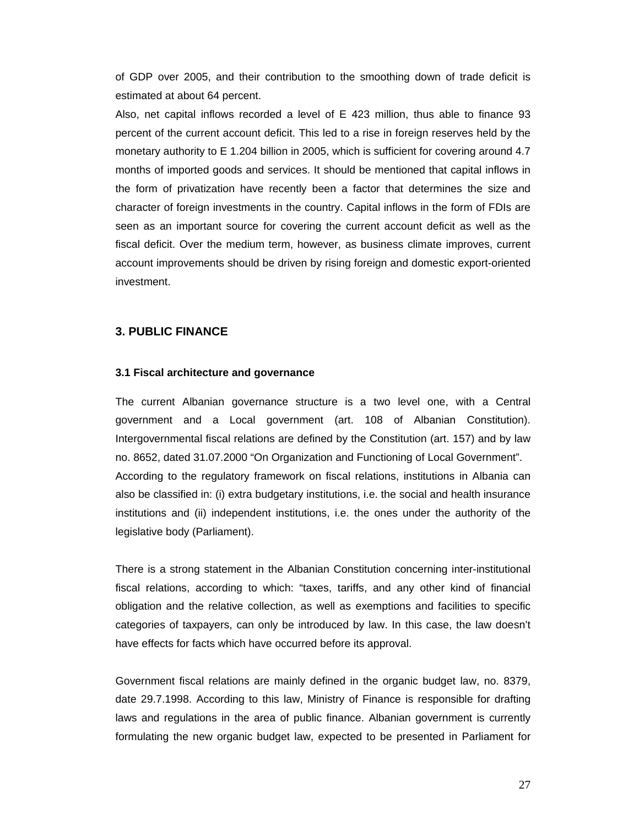of GDP over 2005, and their contribution to the smoothing down of trade deficit is estimated at about 64 percent.

Also, net capital inflows recorded a level of E 423 million, thus able to finance 93 percent of the current account deficit. This led to a rise in foreign reserves held by the monetary authority to E 1.204 billion in 2005, which is sufficient for covering around 4.7 months of imported goods and services. It should be mentioned that capital inflows in the form of privatization have recently been a factor that determines the size and character of foreign investments in the country. Capital inflows in the form of FDIs are seen as an important source for covering the current account deficit as well as the fiscal deficit. Over the medium term, however, as business climate improves, current account improvements should be driven by rising foreign and domestic export-oriented investment.

## **3. PUBLIC FINANCE**

## **3.1 Fiscal architecture and governance**

The current Albanian governance structure is a two level one, with a Central government and a Local government (art. 108 of Albanian Constitution). Intergovernmental fiscal relations are defined by the Constitution (art. 157) and by law no. 8652, dated 31.07.2000 "On Organization and Functioning of Local Government". According to the regulatory framework on fiscal relations, institutions in Albania can also be classified in: (i) extra budgetary institutions, i.e. the social and health insurance institutions and (ii) independent institutions, i.e. the ones under the authority of the legislative body (Parliament).

There is a strong statement in the Albanian Constitution concerning inter-institutional fiscal relations, according to which: "taxes, tariffs, and any other kind of financial obligation and the relative collection, as well as exemptions and facilities to specific categories of taxpayers, can only be introduced by law. In this case, the law doesn't have effects for facts which have occurred before its approval.

Government fiscal relations are mainly defined in the organic budget law, no. 8379, date 29.7.1998. According to this law, Ministry of Finance is responsible for drafting laws and regulations in the area of public finance. Albanian government is currently formulating the new organic budget law, expected to be presented in Parliament for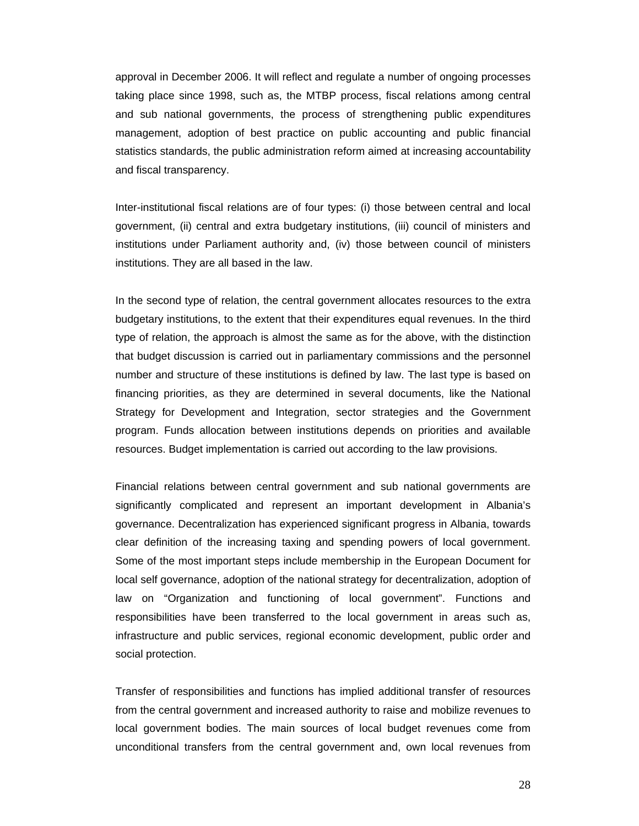approval in December 2006. It will reflect and regulate a number of ongoing processes taking place since 1998, such as, the MTBP process, fiscal relations among central and sub national governments, the process of strengthening public expenditures management, adoption of best practice on public accounting and public financial statistics standards, the public administration reform aimed at increasing accountability and fiscal transparency.

Inter-institutional fiscal relations are of four types: (i) those between central and local government, (ii) central and extra budgetary institutions, (iii) council of ministers and institutions under Parliament authority and, (iv) those between council of ministers institutions. They are all based in the law.

In the second type of relation, the central government allocates resources to the extra budgetary institutions, to the extent that their expenditures equal revenues. In the third type of relation, the approach is almost the same as for the above, with the distinction that budget discussion is carried out in parliamentary commissions and the personnel number and structure of these institutions is defined by law. The last type is based on financing priorities, as they are determined in several documents, like the National Strategy for Development and Integration, sector strategies and the Government program. Funds allocation between institutions depends on priorities and available resources. Budget implementation is carried out according to the law provisions.

Financial relations between central government and sub national governments are significantly complicated and represent an important development in Albania's governance. Decentralization has experienced significant progress in Albania, towards clear definition of the increasing taxing and spending powers of local government. Some of the most important steps include membership in the European Document for local self governance, adoption of the national strategy for decentralization, adoption of law on "Organization and functioning of local government". Functions and responsibilities have been transferred to the local government in areas such as, infrastructure and public services, regional economic development, public order and social protection.

Transfer of responsibilities and functions has implied additional transfer of resources from the central government and increased authority to raise and mobilize revenues to local government bodies. The main sources of local budget revenues come from unconditional transfers from the central government and, own local revenues from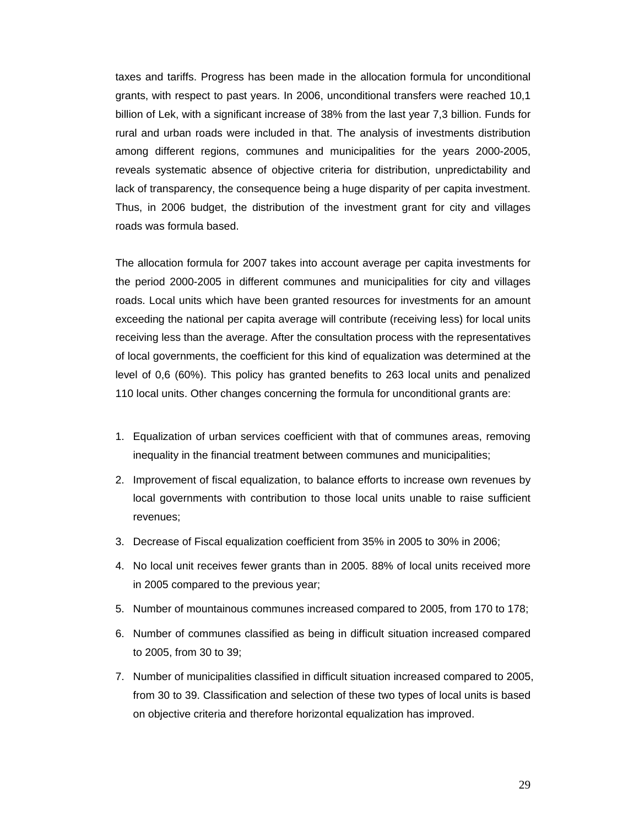taxes and tariffs. Progress has been made in the allocation formula for unconditional grants, with respect to past years. In 2006, unconditional transfers were reached 10,1 billion of Lek, with a significant increase of 38% from the last year 7,3 billion. Funds for rural and urban roads were included in that. The analysis of investments distribution among different regions, communes and municipalities for the years 2000-2005, reveals systematic absence of objective criteria for distribution, unpredictability and lack of transparency, the consequence being a huge disparity of per capita investment. Thus, in 2006 budget, the distribution of the investment grant for city and villages roads was formula based.

The allocation formula for 2007 takes into account average per capita investments for the period 2000-2005 in different communes and municipalities for city and villages roads. Local units which have been granted resources for investments for an amount exceeding the national per capita average will contribute (receiving less) for local units receiving less than the average. After the consultation process with the representatives of local governments, the coefficient for this kind of equalization was determined at the level of 0,6 (60%). This policy has granted benefits to 263 local units and penalized 110 local units. Other changes concerning the formula for unconditional grants are:

- 1. Equalization of urban services coefficient with that of communes areas, removing inequality in the financial treatment between communes and municipalities;
- 2. Improvement of fiscal equalization, to balance efforts to increase own revenues by local governments with contribution to those local units unable to raise sufficient revenues;
- 3. Decrease of Fiscal equalization coefficient from 35% in 2005 to 30% in 2006;
- 4. No local unit receives fewer grants than in 2005. 88% of local units received more in 2005 compared to the previous year;
- 5. Number of mountainous communes increased compared to 2005, from 170 to 178;
- 6. Number of communes classified as being in difficult situation increased compared to 2005, from 30 to 39;
- 7. Number of municipalities classified in difficult situation increased compared to 2005, from 30 to 39. Classification and selection of these two types of local units is based on objective criteria and therefore horizontal equalization has improved.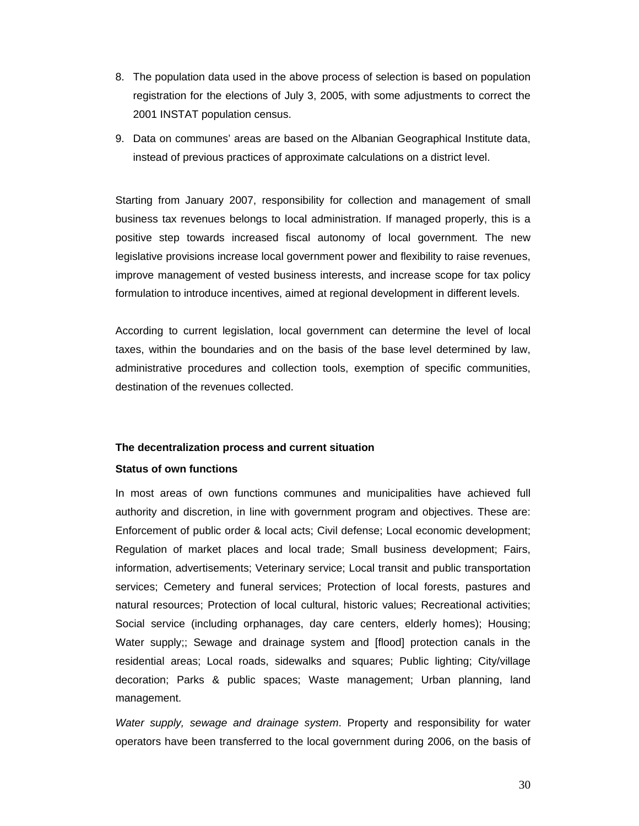- 8. The population data used in the above process of selection is based on population registration for the elections of July 3, 2005, with some adjustments to correct the 2001 INSTAT population census.
- 9. Data on communes' areas are based on the Albanian Geographical Institute data, instead of previous practices of approximate calculations on a district level.

Starting from January 2007, responsibility for collection and management of small business tax revenues belongs to local administration. If managed properly, this is a positive step towards increased fiscal autonomy of local government. The new legislative provisions increase local government power and flexibility to raise revenues, improve management of vested business interests, and increase scope for tax policy formulation to introduce incentives, aimed at regional development in different levels.

According to current legislation, local government can determine the level of local taxes, within the boundaries and on the basis of the base level determined by law, administrative procedures and collection tools, exemption of specific communities, destination of the revenues collected.

## **The decentralization process and current situation**

## **Status of own functions**

In most areas of own functions communes and municipalities have achieved full authority and discretion, in line with government program and objectives. These are: Enforcement of public order & local acts; Civil defense; Local economic development; Regulation of market places and local trade; Small business development; Fairs, information, advertisements; Veterinary service; Local transit and public transportation services; Cemetery and funeral services; Protection of local forests, pastures and natural resources; Protection of local cultural, historic values; Recreational activities; Social service (including orphanages, day care centers, elderly homes); Housing; Water supply;; Sewage and drainage system and [flood] protection canals in the residential areas; Local roads, sidewalks and squares; Public lighting; City/village decoration; Parks & public spaces; Waste management; Urban planning, land management.

*Water supply, sewage and drainage system*. Property and responsibility for water operators have been transferred to the local government during 2006, on the basis of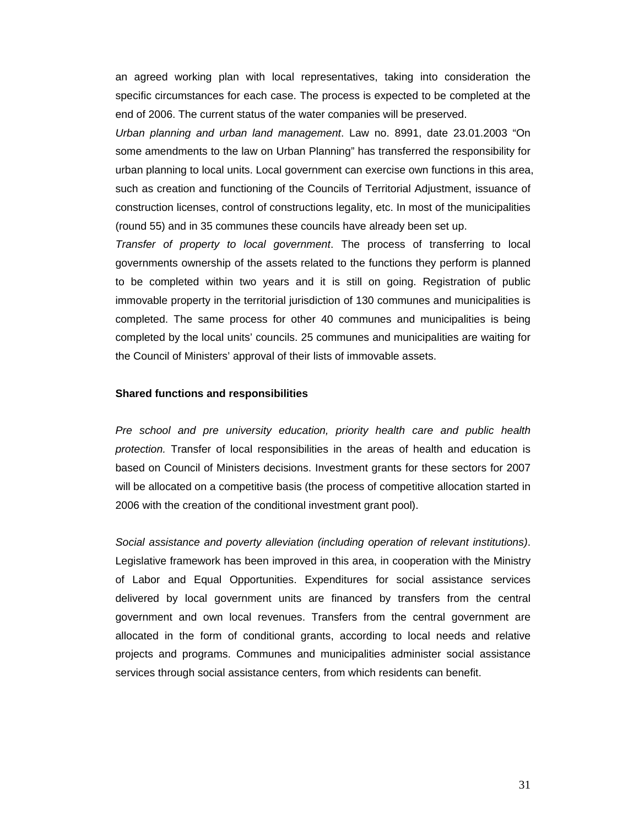an agreed working plan with local representatives, taking into consideration the specific circumstances for each case. The process is expected to be completed at the end of 2006. The current status of the water companies will be preserved.

*Urban planning and urban land management*. Law no. 8991, date 23.01.2003 "On some amendments to the law on Urban Planning" has transferred the responsibility for urban planning to local units. Local government can exercise own functions in this area, such as creation and functioning of the Councils of Territorial Adjustment, issuance of construction licenses, control of constructions legality, etc. In most of the municipalities (round 55) and in 35 communes these councils have already been set up.

*Transfer of property to local government*. The process of transferring to local governments ownership of the assets related to the functions they perform is planned to be completed within two years and it is still on going. Registration of public immovable property in the territorial jurisdiction of 130 communes and municipalities is completed. The same process for other 40 communes and municipalities is being completed by the local units' councils. 25 communes and municipalities are waiting for the Council of Ministers' approval of their lists of immovable assets.

#### **Shared functions and responsibilities**

*Pre school and pre university education, priority health care and public health protection.* Transfer of local responsibilities in the areas of health and education is based on Council of Ministers decisions. Investment grants for these sectors for 2007 will be allocated on a competitive basis (the process of competitive allocation started in 2006 with the creation of the conditional investment grant pool).

*Social assistance and poverty alleviation (including operation of relevant institutions)*. Legislative framework has been improved in this area, in cooperation with the Ministry of Labor and Equal Opportunities. Expenditures for social assistance services delivered by local government units are financed by transfers from the central government and own local revenues. Transfers from the central government are allocated in the form of conditional grants, according to local needs and relative projects and programs. Communes and municipalities administer social assistance services through social assistance centers, from which residents can benefit.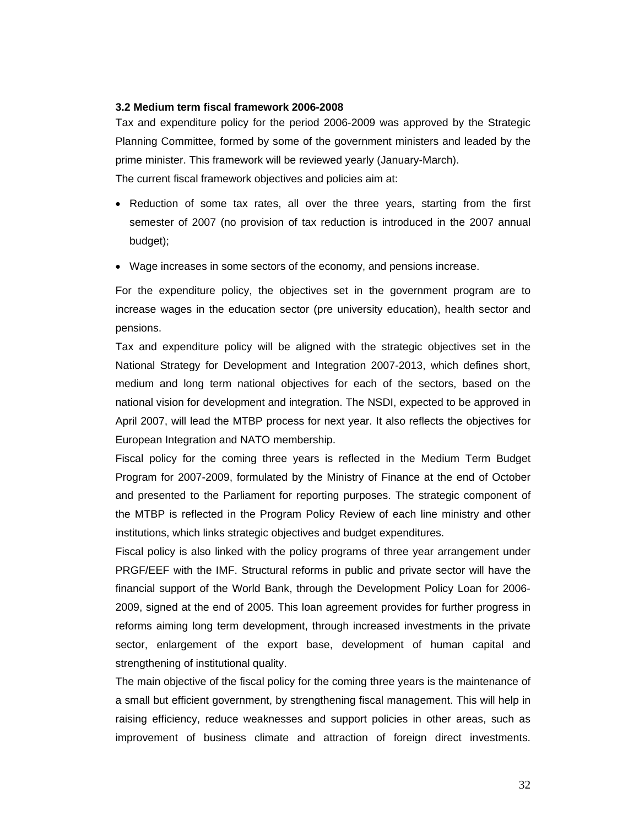#### **3.2 Medium term fiscal framework 2006-2008**

Tax and expenditure policy for the period 2006-2009 was approved by the Strategic Planning Committee, formed by some of the government ministers and leaded by the prime minister. This framework will be reviewed yearly (January-March). The current fiscal framework objectives and policies aim at:

- Reduction of some tax rates, all over the three years, starting from the first semester of 2007 (no provision of tax reduction is introduced in the 2007 annual budget);
- Wage increases in some sectors of the economy, and pensions increase.

For the expenditure policy, the objectives set in the government program are to increase wages in the education sector (pre university education), health sector and pensions.

Tax and expenditure policy will be aligned with the strategic objectives set in the National Strategy for Development and Integration 2007-2013, which defines short, medium and long term national objectives for each of the sectors, based on the national vision for development and integration. The NSDI, expected to be approved in April 2007, will lead the MTBP process for next year. It also reflects the objectives for European Integration and NATO membership.

Fiscal policy for the coming three years is reflected in the Medium Term Budget Program for 2007-2009, formulated by the Ministry of Finance at the end of October and presented to the Parliament for reporting purposes. The strategic component of the MTBP is reflected in the Program Policy Review of each line ministry and other institutions, which links strategic objectives and budget expenditures.

Fiscal policy is also linked with the policy programs of three year arrangement under PRGF/EEF with the IMF. Structural reforms in public and private sector will have the financial support of the World Bank, through the Development Policy Loan for 2006- 2009, signed at the end of 2005. This loan agreement provides for further progress in reforms aiming long term development, through increased investments in the private sector, enlargement of the export base, development of human capital and strengthening of institutional quality.

The main objective of the fiscal policy for the coming three years is the maintenance of a small but efficient government, by strengthening fiscal management. This will help in raising efficiency, reduce weaknesses and support policies in other areas, such as improvement of business climate and attraction of foreign direct investments.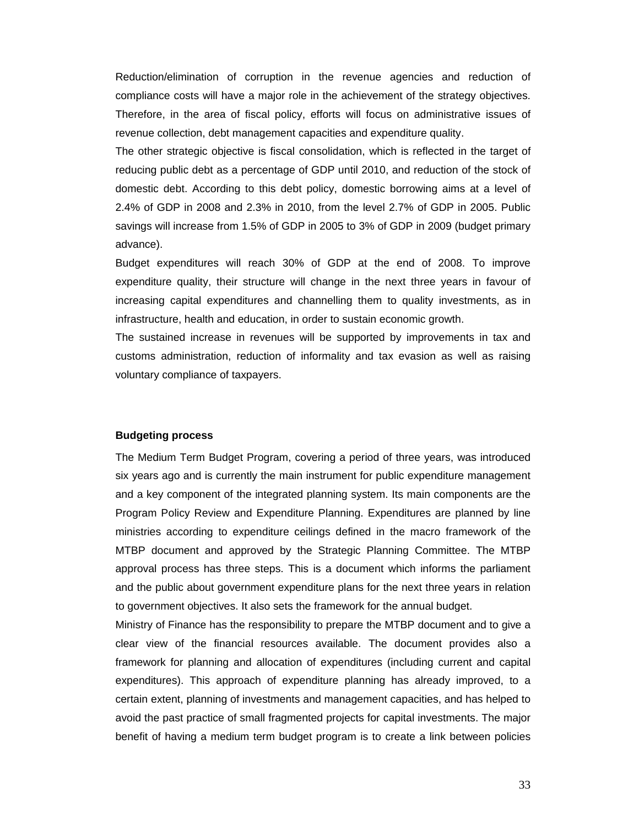Reduction/elimination of corruption in the revenue agencies and reduction of compliance costs will have a major role in the achievement of the strategy objectives. Therefore, in the area of fiscal policy, efforts will focus on administrative issues of revenue collection, debt management capacities and expenditure quality.

The other strategic objective is fiscal consolidation, which is reflected in the target of reducing public debt as a percentage of GDP until 2010, and reduction of the stock of domestic debt. According to this debt policy, domestic borrowing aims at a level of 2.4% of GDP in 2008 and 2.3% in 2010, from the level 2.7% of GDP in 2005. Public savings will increase from 1.5% of GDP in 2005 to 3% of GDP in 2009 (budget primary advance).

Budget expenditures will reach 30% of GDP at the end of 2008. To improve expenditure quality, their structure will change in the next three years in favour of increasing capital expenditures and channelling them to quality investments, as in infrastructure, health and education, in order to sustain economic growth.

The sustained increase in revenues will be supported by improvements in tax and customs administration, reduction of informality and tax evasion as well as raising voluntary compliance of taxpayers.

## **Budgeting process**

The Medium Term Budget Program, covering a period of three years, was introduced six years ago and is currently the main instrument for public expenditure management and a key component of the integrated planning system. Its main components are the Program Policy Review and Expenditure Planning. Expenditures are planned by line ministries according to expenditure ceilings defined in the macro framework of the MTBP document and approved by the Strategic Planning Committee. The MTBP approval process has three steps. This is a document which informs the parliament and the public about government expenditure plans for the next three years in relation to government objectives. It also sets the framework for the annual budget.

Ministry of Finance has the responsibility to prepare the MTBP document and to give a clear view of the financial resources available. The document provides also a framework for planning and allocation of expenditures (including current and capital expenditures). This approach of expenditure planning has already improved, to a certain extent, planning of investments and management capacities, and has helped to avoid the past practice of small fragmented projects for capital investments. The major benefit of having a medium term budget program is to create a link between policies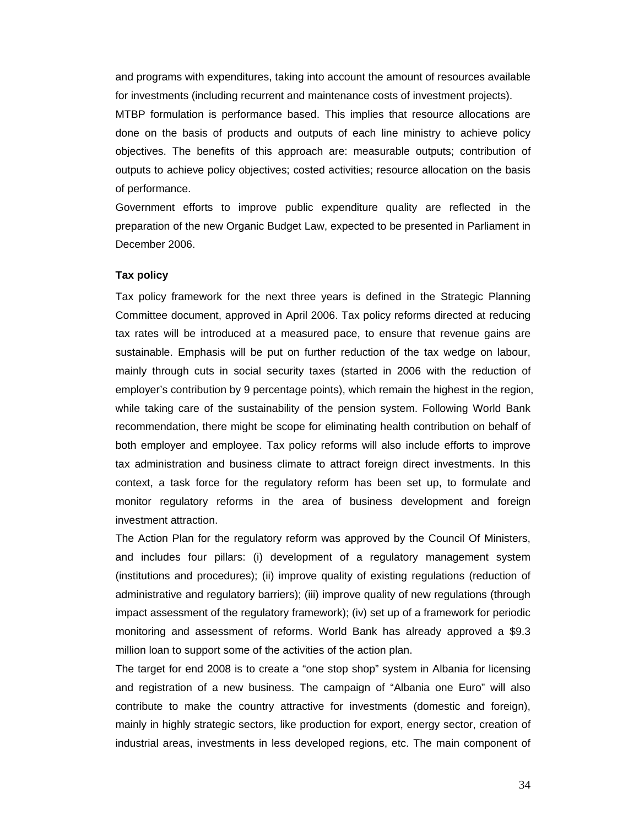and programs with expenditures, taking into account the amount of resources available for investments (including recurrent and maintenance costs of investment projects).

MTBP formulation is performance based. This implies that resource allocations are done on the basis of products and outputs of each line ministry to achieve policy objectives. The benefits of this approach are: measurable outputs; contribution of outputs to achieve policy objectives; costed activities; resource allocation on the basis of performance.

Government efforts to improve public expenditure quality are reflected in the preparation of the new Organic Budget Law, expected to be presented in Parliament in December 2006.

## **Tax policy**

Tax policy framework for the next three years is defined in the Strategic Planning Committee document, approved in April 2006. Tax policy reforms directed at reducing tax rates will be introduced at a measured pace, to ensure that revenue gains are sustainable. Emphasis will be put on further reduction of the tax wedge on labour, mainly through cuts in social security taxes (started in 2006 with the reduction of employer's contribution by 9 percentage points), which remain the highest in the region, while taking care of the sustainability of the pension system. Following World Bank recommendation, there might be scope for eliminating health contribution on behalf of both employer and employee. Tax policy reforms will also include efforts to improve tax administration and business climate to attract foreign direct investments. In this context, a task force for the regulatory reform has been set up, to formulate and monitor regulatory reforms in the area of business development and foreign investment attraction.

The Action Plan for the regulatory reform was approved by the Council Of Ministers, and includes four pillars: (i) development of a regulatory management system (institutions and procedures); (ii) improve quality of existing regulations (reduction of administrative and regulatory barriers); (iii) improve quality of new regulations (through impact assessment of the regulatory framework); (iv) set up of a framework for periodic monitoring and assessment of reforms. World Bank has already approved a \$9.3 million loan to support some of the activities of the action plan.

The target for end 2008 is to create a "one stop shop" system in Albania for licensing and registration of a new business. The campaign of "Albania one Euro" will also contribute to make the country attractive for investments (domestic and foreign), mainly in highly strategic sectors, like production for export, energy sector, creation of industrial areas, investments in less developed regions, etc. The main component of

34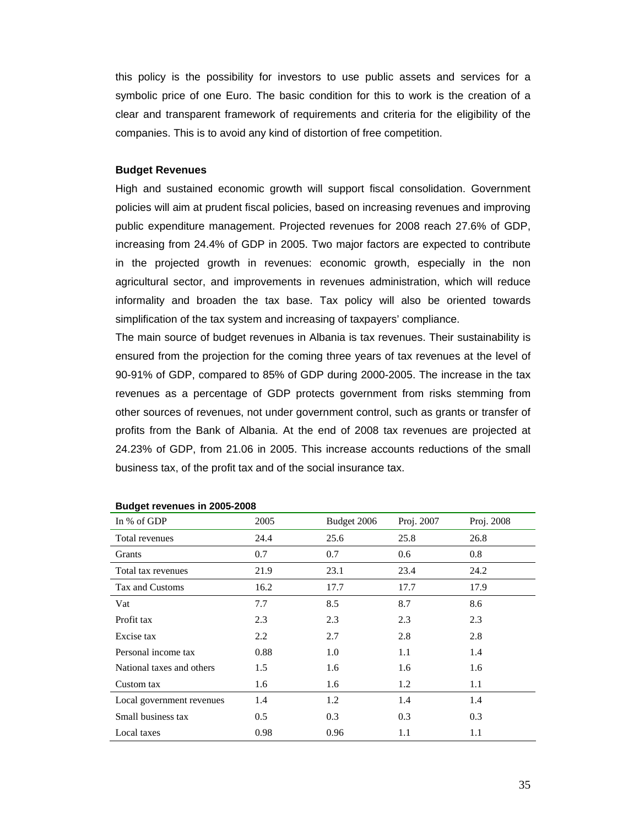this policy is the possibility for investors to use public assets and services for a symbolic price of one Euro. The basic condition for this to work is the creation of a clear and transparent framework of requirements and criteria for the eligibility of the companies. This is to avoid any kind of distortion of free competition.

#### **Budget Revenues**

High and sustained economic growth will support fiscal consolidation. Government policies will aim at prudent fiscal policies, based on increasing revenues and improving public expenditure management. Projected revenues for 2008 reach 27.6% of GDP, increasing from 24.4% of GDP in 2005. Two major factors are expected to contribute in the projected growth in revenues: economic growth, especially in the non agricultural sector, and improvements in revenues administration, which will reduce informality and broaden the tax base. Tax policy will also be oriented towards simplification of the tax system and increasing of taxpayers' compliance.

The main source of budget revenues in Albania is tax revenues. Their sustainability is ensured from the projection for the coming three years of tax revenues at the level of 90-91% of GDP, compared to 85% of GDP during 2000-2005. The increase in the tax revenues as a percentage of GDP protects government from risks stemming from other sources of revenues, not under government control, such as grants or transfer of profits from the Bank of Albania. At the end of 2008 tax revenues are projected at 24.23% of GDP, from 21.06 in 2005. This increase accounts reductions of the small business tax, of the profit tax and of the social insurance tax.

| In % of GDP               | 2005 | Budget 2006 | Proj. 2007 | Proj. 2008 |
|---------------------------|------|-------------|------------|------------|
| Total revenues            | 24.4 | 25.6        | 25.8       | 26.8       |
| Grants                    | 0.7  | 0.7         | 0.6        | 0.8        |
| Total tax revenues        | 21.9 | 23.1        | 23.4       | 24.2       |
| Tax and Customs           | 16.2 | 17.7        | 17.7       | 17.9       |
| Vat                       | 7.7  | 8.5         | 8.7        | 8.6        |
| Profit tax                | 2.3  | 2.3         | 2.3        | 2.3        |
| Excise tax                | 2.2  | 2.7         | 2.8        | 2.8        |
| Personal income tax       | 0.88 | 1.0         | 1.1        | 1.4        |
| National taxes and others | 1.5  | 1.6         | 1.6        | 1.6        |
| Custom tax                | 1.6  | 1.6         | 1.2        | 1.1        |
| Local government revenues | 1.4  | 1.2         | 1.4        | 1.4        |
| Small business tax        | 0.5  | 0.3         | 0.3        | 0.3        |
| Local taxes               | 0.98 | 0.96        | 1.1        | 1.1        |

#### **Budget revenues in 2005-2008**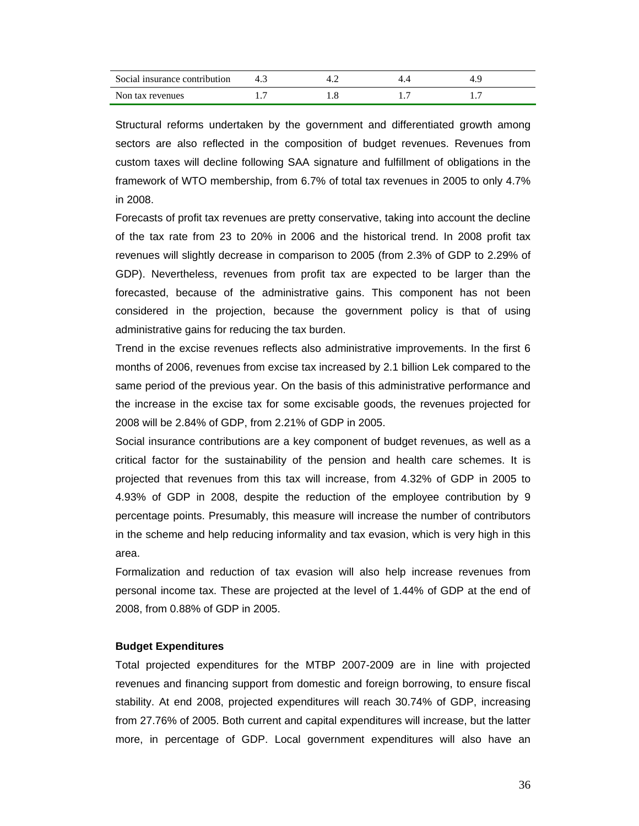| Social insurance contribution |  |  |
|-------------------------------|--|--|
| Non tax revenues              |  |  |

Structural reforms undertaken by the government and differentiated growth among sectors are also reflected in the composition of budget revenues. Revenues from custom taxes will decline following SAA signature and fulfillment of obligations in the framework of WTO membership, from 6.7% of total tax revenues in 2005 to only 4.7% in 2008.

Forecasts of profit tax revenues are pretty conservative, taking into account the decline of the tax rate from 23 to 20% in 2006 and the historical trend. In 2008 profit tax revenues will slightly decrease in comparison to 2005 (from 2.3% of GDP to 2.29% of GDP). Nevertheless, revenues from profit tax are expected to be larger than the forecasted, because of the administrative gains. This component has not been considered in the projection, because the government policy is that of using administrative gains for reducing the tax burden.

Trend in the excise revenues reflects also administrative improvements. In the first 6 months of 2006, revenues from excise tax increased by 2.1 billion Lek compared to the same period of the previous year. On the basis of this administrative performance and the increase in the excise tax for some excisable goods, the revenues projected for 2008 will be 2.84% of GDP, from 2.21% of GDP in 2005.

Social insurance contributions are a key component of budget revenues, as well as a critical factor for the sustainability of the pension and health care schemes. It is projected that revenues from this tax will increase, from 4.32% of GDP in 2005 to 4.93% of GDP in 2008, despite the reduction of the employee contribution by 9 percentage points. Presumably, this measure will increase the number of contributors in the scheme and help reducing informality and tax evasion, which is very high in this area.

Formalization and reduction of tax evasion will also help increase revenues from personal income tax. These are projected at the level of 1.44% of GDP at the end of 2008, from 0.88% of GDP in 2005.

## **Budget Expenditures**

Total projected expenditures for the MTBP 2007-2009 are in line with projected revenues and financing support from domestic and foreign borrowing, to ensure fiscal stability. At end 2008, projected expenditures will reach 30.74% of GDP, increasing from 27.76% of 2005. Both current and capital expenditures will increase, but the latter more, in percentage of GDP. Local government expenditures will also have an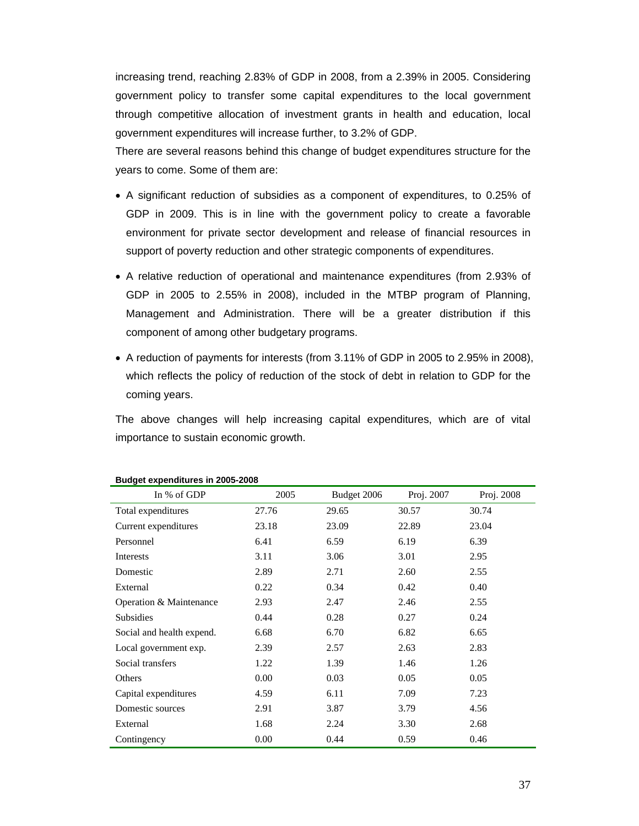increasing trend, reaching 2.83% of GDP in 2008, from a 2.39% in 2005. Considering government policy to transfer some capital expenditures to the local government through competitive allocation of investment grants in health and education, local government expenditures will increase further, to 3.2% of GDP.

There are several reasons behind this change of budget expenditures structure for the years to come. Some of them are:

- A significant reduction of subsidies as a component of expenditures, to 0.25% of GDP in 2009. This is in line with the government policy to create a favorable environment for private sector development and release of financial resources in support of poverty reduction and other strategic components of expenditures.
- A relative reduction of operational and maintenance expenditures (from 2.93% of GDP in 2005 to 2.55% in 2008), included in the MTBP program of Planning, Management and Administration. There will be a greater distribution if this component of among other budgetary programs.
- A reduction of payments for interests (from 3.11% of GDP in 2005 to 2.95% in 2008), which reflects the policy of reduction of the stock of debt in relation to GDP for the coming years.

The above changes will help increasing capital expenditures, which are of vital importance to sustain economic growth.

| In % of GDP               | 2005  | Budget 2006 | Proj. 2007 | Proj. 2008 |
|---------------------------|-------|-------------|------------|------------|
| Total expenditures        | 27.76 | 29.65       | 30.57      | 30.74      |
| Current expenditures      | 23.18 | 23.09       | 22.89      | 23.04      |
| Personnel                 | 6.41  | 6.59        | 6.19       | 6.39       |
| Interests                 | 3.11  | 3.06        | 3.01       | 2.95       |
| Domestic                  | 2.89  | 2.71        | 2.60       | 2.55       |
| External                  | 0.22  | 0.34        | 0.42       | 0.40       |
| Operation & Maintenance   | 2.93  | 2.47        | 2.46       | 2.55       |
| <b>Subsidies</b>          | 0.44  | 0.28        | 0.27       | 0.24       |
| Social and health expend. | 6.68  | 6.70        | 6.82       | 6.65       |
| Local government exp.     | 2.39  | 2.57        | 2.63       | 2.83       |
| Social transfers          | 1.22  | 1.39        | 1.46       | 1.26       |
| Others                    | 0.00  | 0.03        | 0.05       | 0.05       |
| Capital expenditures      | 4.59  | 6.11        | 7.09       | 7.23       |
| Domestic sources          | 2.91  | 3.87        | 3.79       | 4.56       |
| External                  | 1.68  | 2.24        | 3.30       | 2.68       |
| Contingency               | 0.00  | 0.44        | 0.59       | 0.46       |

#### **Budget expenditures in 2005-2008**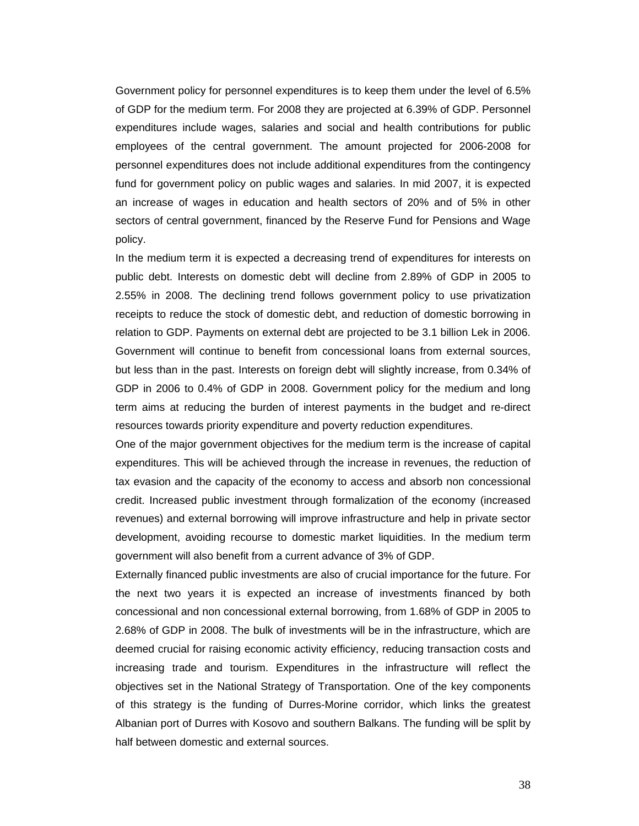Government policy for personnel expenditures is to keep them under the level of 6.5% of GDP for the medium term. For 2008 they are projected at 6.39% of GDP. Personnel expenditures include wages, salaries and social and health contributions for public employees of the central government. The amount projected for 2006-2008 for personnel expenditures does not include additional expenditures from the contingency fund for government policy on public wages and salaries. In mid 2007, it is expected an increase of wages in education and health sectors of 20% and of 5% in other sectors of central government, financed by the Reserve Fund for Pensions and Wage policy.

In the medium term it is expected a decreasing trend of expenditures for interests on public debt. Interests on domestic debt will decline from 2.89% of GDP in 2005 to 2.55% in 2008. The declining trend follows government policy to use privatization receipts to reduce the stock of domestic debt, and reduction of domestic borrowing in relation to GDP. Payments on external debt are projected to be 3.1 billion Lek in 2006. Government will continue to benefit from concessional loans from external sources, but less than in the past. Interests on foreign debt will slightly increase, from 0.34% of GDP in 2006 to 0.4% of GDP in 2008. Government policy for the medium and long term aims at reducing the burden of interest payments in the budget and re-direct resources towards priority expenditure and poverty reduction expenditures.

One of the major government objectives for the medium term is the increase of capital expenditures. This will be achieved through the increase in revenues, the reduction of tax evasion and the capacity of the economy to access and absorb non concessional credit. Increased public investment through formalization of the economy (increased revenues) and external borrowing will improve infrastructure and help in private sector development, avoiding recourse to domestic market liquidities. In the medium term government will also benefit from a current advance of 3% of GDP.

Externally financed public investments are also of crucial importance for the future. For the next two years it is expected an increase of investments financed by both concessional and non concessional external borrowing, from 1.68% of GDP in 2005 to 2.68% of GDP in 2008. The bulk of investments will be in the infrastructure, which are deemed crucial for raising economic activity efficiency, reducing transaction costs and increasing trade and tourism. Expenditures in the infrastructure will reflect the objectives set in the National Strategy of Transportation. One of the key components of this strategy is the funding of Durres-Morine corridor, which links the greatest Albanian port of Durres with Kosovo and southern Balkans. The funding will be split by half between domestic and external sources.

38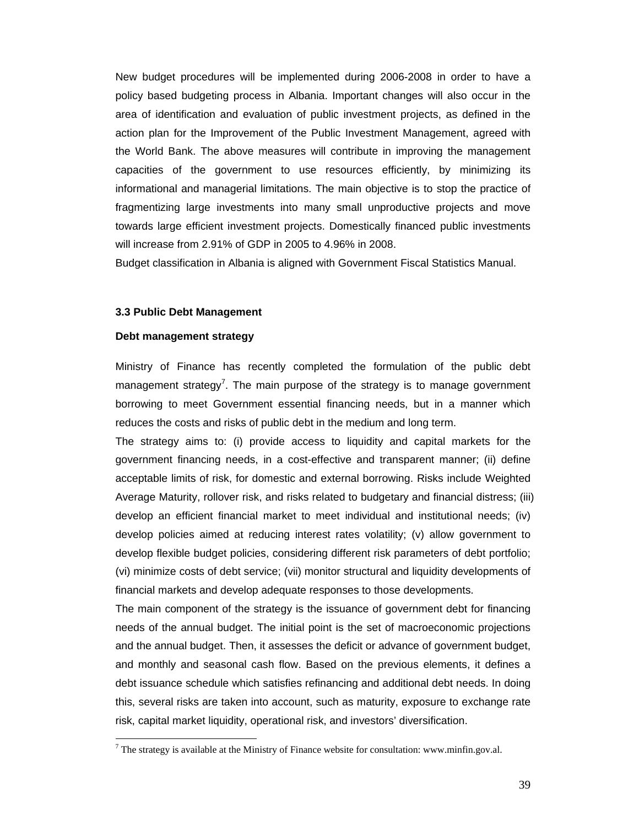New budget procedures will be implemented during 2006-2008 in order to have a policy based budgeting process in Albania. Important changes will also occur in the area of identification and evaluation of public investment projects, as defined in the action plan for the Improvement of the Public Investment Management, agreed with the World Bank. The above measures will contribute in improving the management capacities of the government to use resources efficiently, by minimizing its informational and managerial limitations. The main objective is to stop the practice of fragmentizing large investments into many small unproductive projects and move towards large efficient investment projects. Domestically financed public investments will increase from 2.91% of GDP in 2005 to 4.96% in 2008.

Budget classification in Albania is aligned with Government Fiscal Statistics Manual.

#### **3.3 Public Debt Management**

#### **Debt management strategy**

Ministry of Finance has recently completed the formulation of the public debt management strategy<sup>7</sup>. The main purpose of the strategy is to manage government borrowing to meet Government essential financing needs, but in a manner which reduces the costs and risks of public debt in the medium and long term.

The strategy aims to: (i) provide access to liquidity and capital markets for the government financing needs, in a cost-effective and transparent manner; (ii) define acceptable limits of risk, for domestic and external borrowing. Risks include Weighted Average Maturity, rollover risk, and risks related to budgetary and financial distress; (iii) develop an efficient financial market to meet individual and institutional needs; (iv) develop policies aimed at reducing interest rates volatility; (v) allow government to develop flexible budget policies, considering different risk parameters of debt portfolio; (vi) minimize costs of debt service; (vii) monitor structural and liquidity developments of financial markets and develop adequate responses to those developments.

The main component of the strategy is the issuance of government debt for financing needs of the annual budget. The initial point is the set of macroeconomic projections and the annual budget. Then, it assesses the deficit or advance of government budget, and monthly and seasonal cash flow. Based on the previous elements, it defines a debt issuance schedule which satisfies refinancing and additional debt needs. In doing this, several risks are taken into account, such as maturity, exposure to exchange rate risk, capital market liquidity, operational risk, and investors' diversification.

<sup>&</sup>lt;sup>7</sup> The strategy is available at the Ministry of Finance website for consultation: www.minfin.gov.al.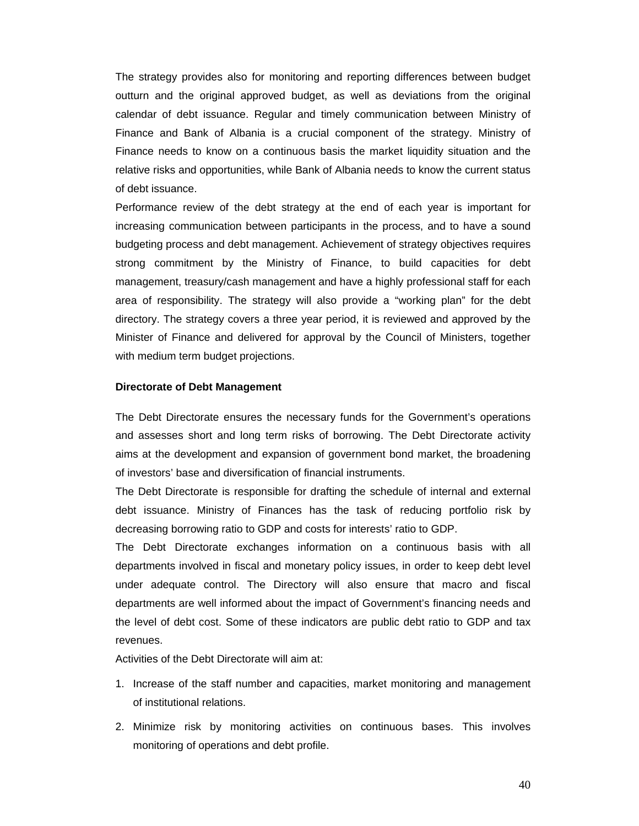The strategy provides also for monitoring and reporting differences between budget outturn and the original approved budget, as well as deviations from the original calendar of debt issuance. Regular and timely communication between Ministry of Finance and Bank of Albania is a crucial component of the strategy. Ministry of Finance needs to know on a continuous basis the market liquidity situation and the relative risks and opportunities, while Bank of Albania needs to know the current status of debt issuance.

Performance review of the debt strategy at the end of each year is important for increasing communication between participants in the process, and to have a sound budgeting process and debt management. Achievement of strategy objectives requires strong commitment by the Ministry of Finance, to build capacities for debt management, treasury/cash management and have a highly professional staff for each area of responsibility. The strategy will also provide a "working plan" for the debt directory. The strategy covers a three year period, it is reviewed and approved by the Minister of Finance and delivered for approval by the Council of Ministers, together with medium term budget projections.

#### **Directorate of Debt Management**

The Debt Directorate ensures the necessary funds for the Government's operations and assesses short and long term risks of borrowing. The Debt Directorate activity aims at the development and expansion of government bond market, the broadening of investors' base and diversification of financial instruments.

The Debt Directorate is responsible for drafting the schedule of internal and external debt issuance. Ministry of Finances has the task of reducing portfolio risk by decreasing borrowing ratio to GDP and costs for interests' ratio to GDP.

The Debt Directorate exchanges information on a continuous basis with all departments involved in fiscal and monetary policy issues, in order to keep debt level under adequate control. The Directory will also ensure that macro and fiscal departments are well informed about the impact of Government's financing needs and the level of debt cost. Some of these indicators are public debt ratio to GDP and tax revenues.

Activities of the Debt Directorate will aim at:

- 1. Increase of the staff number and capacities, market monitoring and management of institutional relations.
- 2. Minimize risk by monitoring activities on continuous bases. This involves monitoring of operations and debt profile.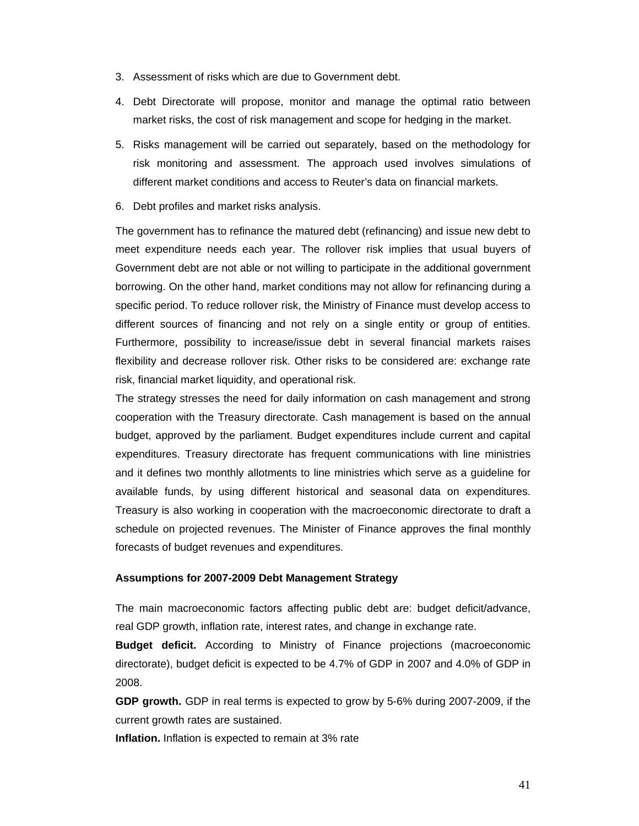- 3. Assessment of risks which are due to Government debt.
- 4. Debt Directorate will propose, monitor and manage the optimal ratio between market risks, the cost of risk management and scope for hedging in the market.
- 5. Risks management will be carried out separately, based on the methodology for risk monitoring and assessment. The approach used involves simulations of different market conditions and access to Reuter's data on financial markets.
- 6. Debt profiles and market risks analysis.

The government has to refinance the matured debt (refinancing) and issue new debt to meet expenditure needs each year. The rollover risk implies that usual buyers of Government debt are not able or not willing to participate in the additional government borrowing. On the other hand, market conditions may not allow for refinancing during a specific period. To reduce rollover risk, the Ministry of Finance must develop access to different sources of financing and not rely on a single entity or group of entities. Furthermore, possibility to increase/issue debt in several financial markets raises flexibility and decrease rollover risk. Other risks to be considered are: exchange rate risk, financial market liquidity, and operational risk.

The strategy stresses the need for daily information on cash management and strong cooperation with the Treasury directorate. Cash management is based on the annual budget, approved by the parliament. Budget expenditures include current and capital expenditures. Treasury directorate has frequent communications with line ministries and it defines two monthly allotments to line ministries which serve as a guideline for available funds, by using different historical and seasonal data on expenditures. Treasury is also working in cooperation with the macroeconomic directorate to draft a schedule on projected revenues. The Minister of Finance approves the final monthly forecasts of budget revenues and expenditures.

#### **Assumptions for 2007-2009 Debt Management Strategy**

The main macroeconomic factors affecting public debt are: budget deficit/advance, real GDP growth, inflation rate, interest rates, and change in exchange rate.

**Budget deficit.** According to Ministry of Finance projections (macroeconomic directorate), budget deficit is expected to be 4.7% of GDP in 2007 and 4.0% of GDP in 2008.

**GDP growth.** GDP in real terms is expected to grow by 5-6% during 2007-2009, if the current growth rates are sustained.

**Inflation.** Inflation is expected to remain at 3% rate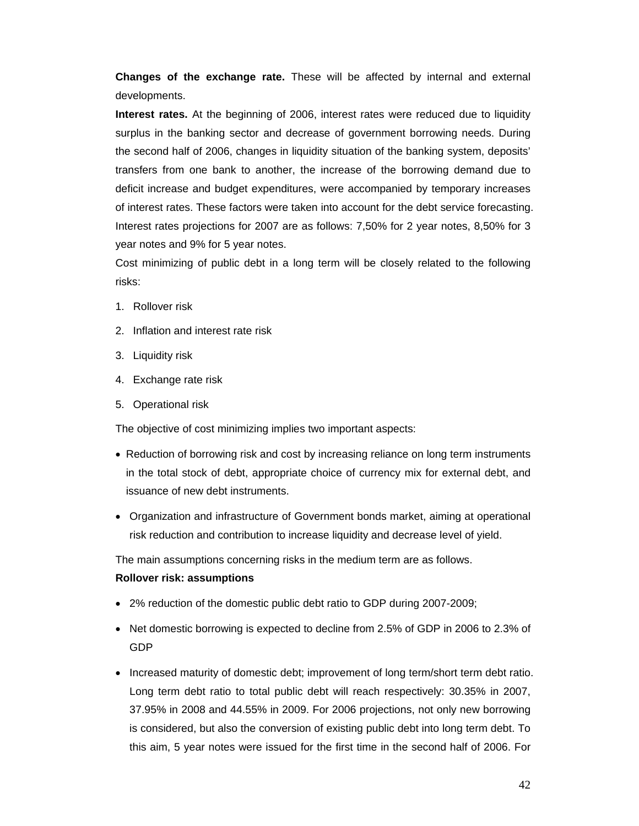**Changes of the exchange rate.** These will be affected by internal and external developments.

**Interest rates.** At the beginning of 2006, interest rates were reduced due to liquidity surplus in the banking sector and decrease of government borrowing needs. During the second half of 2006, changes in liquidity situation of the banking system, deposits' transfers from one bank to another, the increase of the borrowing demand due to deficit increase and budget expenditures, were accompanied by temporary increases of interest rates. These factors were taken into account for the debt service forecasting. Interest rates projections for 2007 are as follows: 7,50% for 2 year notes, 8,50% for 3 year notes and 9% for 5 year notes.

Cost minimizing of public debt in a long term will be closely related to the following risks:

- 1. Rollover risk
- 2. Inflation and interest rate risk
- 3. Liquidity risk
- 4. Exchange rate risk
- 5. Operational risk

The objective of cost minimizing implies two important aspects:

- Reduction of borrowing risk and cost by increasing reliance on long term instruments in the total stock of debt, appropriate choice of currency mix for external debt, and issuance of new debt instruments.
- Organization and infrastructure of Government bonds market, aiming at operational risk reduction and contribution to increase liquidity and decrease level of yield.

The main assumptions concerning risks in the medium term are as follows.

# **Rollover risk: assumptions**

- 2% reduction of the domestic public debt ratio to GDP during 2007-2009;
- Net domestic borrowing is expected to decline from 2.5% of GDP in 2006 to 2.3% of GDP
- Increased maturity of domestic debt; improvement of long term/short term debt ratio. Long term debt ratio to total public debt will reach respectively: 30.35% in 2007, 37.95% in 2008 and 44.55% in 2009. For 2006 projections, not only new borrowing is considered, but also the conversion of existing public debt into long term debt. To this aim, 5 year notes were issued for the first time in the second half of 2006. For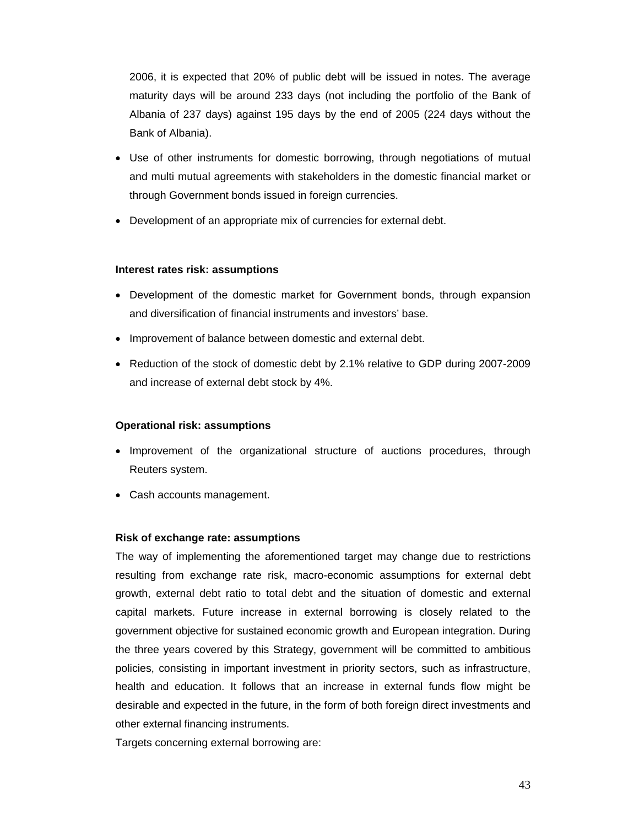2006, it is expected that 20% of public debt will be issued in notes. The average maturity days will be around 233 days (not including the portfolio of the Bank of Albania of 237 days) against 195 days by the end of 2005 (224 days without the Bank of Albania).

- Use of other instruments for domestic borrowing, through negotiations of mutual and multi mutual agreements with stakeholders in the domestic financial market or through Government bonds issued in foreign currencies.
- Development of an appropriate mix of currencies for external debt.

# **Interest rates risk: assumptions**

- Development of the domestic market for Government bonds, through expansion and diversification of financial instruments and investors' base.
- Improvement of balance between domestic and external debt.
- Reduction of the stock of domestic debt by 2.1% relative to GDP during 2007-2009 and increase of external debt stock by 4%.

# **Operational risk: assumptions**

- Improvement of the organizational structure of auctions procedures, through Reuters system.
- Cash accounts management.

# **Risk of exchange rate: assumptions**

The way of implementing the aforementioned target may change due to restrictions resulting from exchange rate risk, macro-economic assumptions for external debt growth, external debt ratio to total debt and the situation of domestic and external capital markets. Future increase in external borrowing is closely related to the government objective for sustained economic growth and European integration. During the three years covered by this Strategy, government will be committed to ambitious policies, consisting in important investment in priority sectors, such as infrastructure, health and education. It follows that an increase in external funds flow might be desirable and expected in the future, in the form of both foreign direct investments and other external financing instruments.

Targets concerning external borrowing are: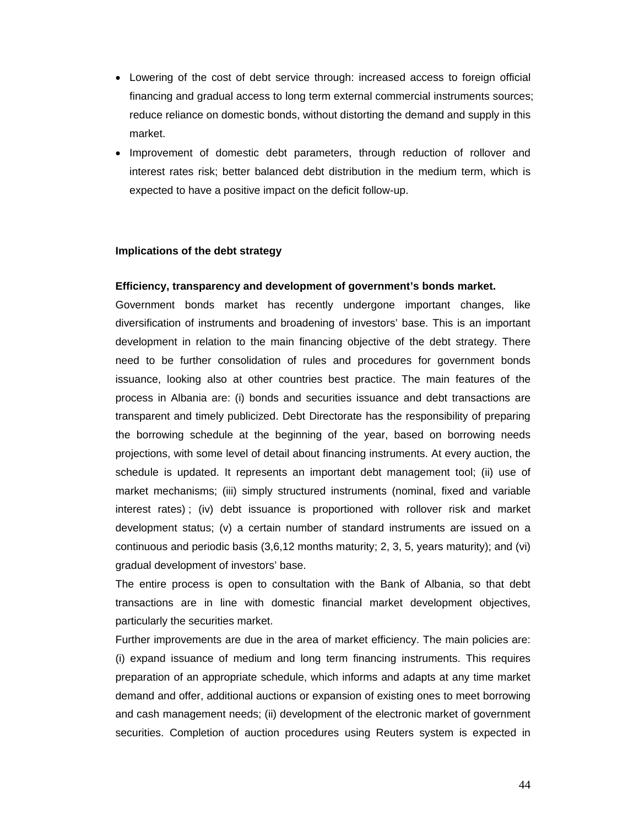- Lowering of the cost of debt service through: increased access to foreign official financing and gradual access to long term external commercial instruments sources; reduce reliance on domestic bonds, without distorting the demand and supply in this market.
- Improvement of domestic debt parameters, through reduction of rollover and interest rates risk; better balanced debt distribution in the medium term, which is expected to have a positive impact on the deficit follow-up.

## **Implications of the debt strategy**

## **Efficiency, transparency and development of government's bonds market.**

Government bonds market has recently undergone important changes, like diversification of instruments and broadening of investors' base. This is an important development in relation to the main financing objective of the debt strategy. There need to be further consolidation of rules and procedures for government bonds issuance, looking also at other countries best practice. The main features of the process in Albania are: (i) bonds and securities issuance and debt transactions are transparent and timely publicized. Debt Directorate has the responsibility of preparing the borrowing schedule at the beginning of the year, based on borrowing needs projections, with some level of detail about financing instruments. At every auction, the schedule is updated. It represents an important debt management tool; (ii) use of market mechanisms; (iii) simply structured instruments (nominal, fixed and variable interest rates) ; (iv) debt issuance is proportioned with rollover risk and market development status; (v) a certain number of standard instruments are issued on a continuous and periodic basis (3,6,12 months maturity; 2, 3, 5, years maturity); and (vi) gradual development of investors' base.

The entire process is open to consultation with the Bank of Albania, so that debt transactions are in line with domestic financial market development objectives, particularly the securities market.

Further improvements are due in the area of market efficiency. The main policies are: (i) expand issuance of medium and long term financing instruments. This requires preparation of an appropriate schedule, which informs and adapts at any time market demand and offer, additional auctions or expansion of existing ones to meet borrowing and cash management needs; (ii) development of the electronic market of government securities. Completion of auction procedures using Reuters system is expected in

44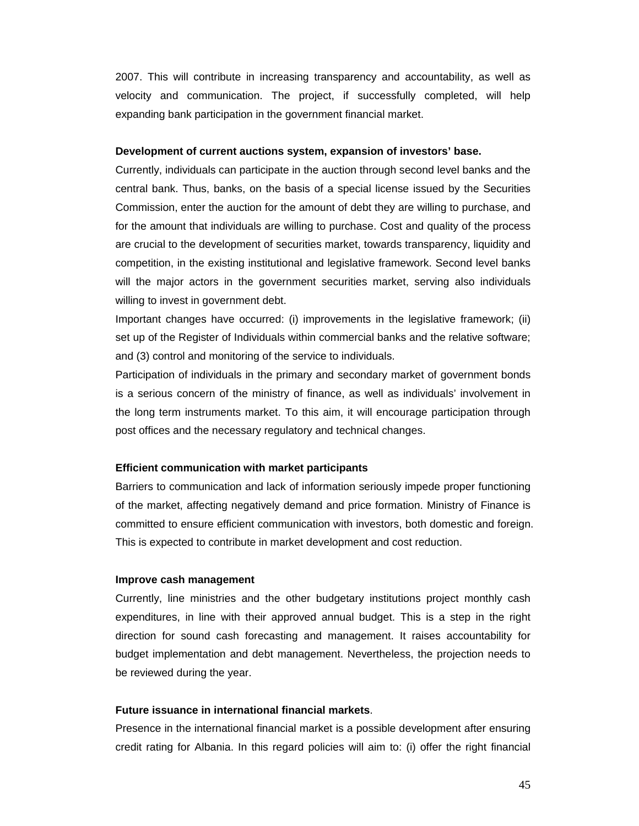2007. This will contribute in increasing transparency and accountability, as well as velocity and communication. The project, if successfully completed, will help expanding bank participation in the government financial market.

#### **Development of current auctions system, expansion of investors' base.**

Currently, individuals can participate in the auction through second level banks and the central bank. Thus, banks, on the basis of a special license issued by the Securities Commission, enter the auction for the amount of debt they are willing to purchase, and for the amount that individuals are willing to purchase. Cost and quality of the process are crucial to the development of securities market, towards transparency, liquidity and competition, in the existing institutional and legislative framework. Second level banks will the major actors in the government securities market, serving also individuals willing to invest in government debt.

Important changes have occurred: (i) improvements in the legislative framework; (ii) set up of the Register of Individuals within commercial banks and the relative software; and (3) control and monitoring of the service to individuals.

Participation of individuals in the primary and secondary market of government bonds is a serious concern of the ministry of finance, as well as individuals' involvement in the long term instruments market. To this aim, it will encourage participation through post offices and the necessary regulatory and technical changes.

#### **Efficient communication with market participants**

Barriers to communication and lack of information seriously impede proper functioning of the market, affecting negatively demand and price formation. Ministry of Finance is committed to ensure efficient communication with investors, both domestic and foreign. This is expected to contribute in market development and cost reduction.

#### **Improve cash management**

Currently, line ministries and the other budgetary institutions project monthly cash expenditures, in line with their approved annual budget. This is a step in the right direction for sound cash forecasting and management. It raises accountability for budget implementation and debt management. Nevertheless, the projection needs to be reviewed during the year.

### **Future issuance in international financial markets**.

Presence in the international financial market is a possible development after ensuring credit rating for Albania. In this regard policies will aim to: (i) offer the right financial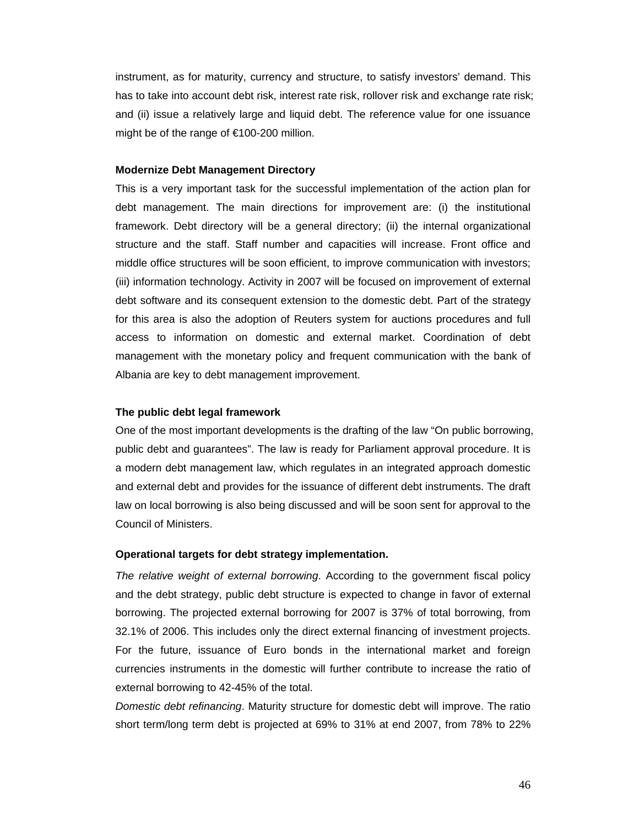instrument, as for maturity, currency and structure, to satisfy investors' demand. This has to take into account debt risk, interest rate risk, rollover risk and exchange rate risk; and (ii) issue a relatively large and liquid debt. The reference value for one issuance might be of the range of €100-200 million.

#### **Modernize Debt Management Directory**

This is a very important task for the successful implementation of the action plan for debt management. The main directions for improvement are: (i) the institutional framework. Debt directory will be a general directory; (ii) the internal organizational structure and the staff. Staff number and capacities will increase. Front office and middle office structures will be soon efficient, to improve communication with investors; (iii) information technology. Activity in 2007 will be focused on improvement of external debt software and its consequent extension to the domestic debt. Part of the strategy for this area is also the adoption of Reuters system for auctions procedures and full access to information on domestic and external market. Coordination of debt management with the monetary policy and frequent communication with the bank of Albania are key to debt management improvement.

## **The public debt legal framework**

One of the most important developments is the drafting of the law "On public borrowing, public debt and guarantees". The law is ready for Parliament approval procedure. It is a modern debt management law, which regulates in an integrated approach domestic and external debt and provides for the issuance of different debt instruments. The draft law on local borrowing is also being discussed and will be soon sent for approval to the Council of Ministers.

#### **Operational targets for debt strategy implementation.**

*The relative weight of external borrowing*. According to the government fiscal policy and the debt strategy, public debt structure is expected to change in favor of external borrowing. The projected external borrowing for 2007 is 37% of total borrowing, from 32.1% of 2006. This includes only the direct external financing of investment projects. For the future, issuance of Euro bonds in the international market and foreign currencies instruments in the domestic will further contribute to increase the ratio of external borrowing to 42-45% of the total.

*Domestic debt refinancing*. Maturity structure for domestic debt will improve. The ratio short term/long term debt is projected at 69% to 31% at end 2007, from 78% to 22%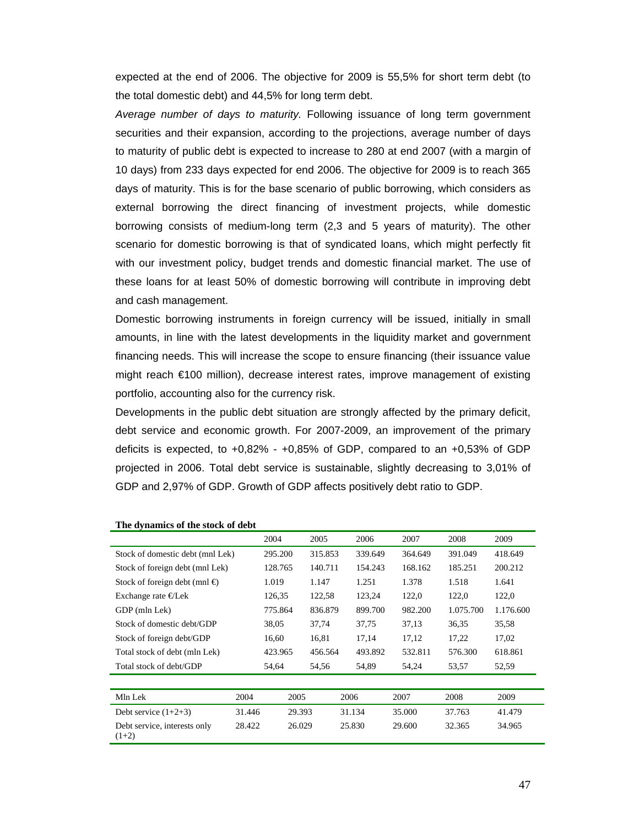expected at the end of 2006. The objective for 2009 is 55,5% for short term debt (to the total domestic debt) and 44,5% for long term debt.

*Average number of days to maturity.* Following issuance of long term government securities and their expansion, according to the projections, average number of days to maturity of public debt is expected to increase to 280 at end 2007 (with a margin of 10 days) from 233 days expected for end 2006. The objective for 2009 is to reach 365 days of maturity. This is for the base scenario of public borrowing, which considers as external borrowing the direct financing of investment projects, while domestic borrowing consists of medium-long term (2,3 and 5 years of maturity). The other scenario for domestic borrowing is that of syndicated loans, which might perfectly fit with our investment policy, budget trends and domestic financial market. The use of these loans for at least 50% of domestic borrowing will contribute in improving debt and cash management.

Domestic borrowing instruments in foreign currency will be issued, initially in small amounts, in line with the latest developments in the liquidity market and government financing needs. This will increase the scope to ensure financing (their issuance value might reach €100 million), decrease interest rates, improve management of existing portfolio, accounting also for the currency risk.

Developments in the public debt situation are strongly affected by the primary deficit, debt service and economic growth. For 2007-2009, an improvement of the primary deficits is expected, to  $+0.82\%$  -  $+0.85\%$  of GDP, compared to an  $+0.53\%$  of GDP projected in 2006. Total debt service is sustainable, slightly decreasing to 3,01% of GDP and 2,97% of GDP. Growth of GDP affects positively debt ratio to GDP.

|                                         |        | 2004    | 2005    |      | 2006    | 2007    | 2008      | 2009      |
|-----------------------------------------|--------|---------|---------|------|---------|---------|-----------|-----------|
| Stock of domestic debt (mnl Lek)        |        | 295.200 | 315.853 |      | 339.649 | 364.649 | 391.049   | 418.649   |
| Stock of foreign debt (mnl Lek)         |        | 128.765 | 140.711 |      | 154.243 | 168.162 | 185.251   | 200.212   |
| Stock of foreign debt (mnl $\oplus$     |        | 1.019   | 1.147   |      | 1.251   | 1.378   | 1.518     | 1.641     |
| Exchange rate $E$ Lek                   |        | 126,35  | 122,58  |      | 123,24  | 122,0   | 122,0     | 122,0     |
| GDP (mln Lek)                           |        | 775.864 | 836.879 |      | 899.700 | 982.200 | 1.075.700 | 1.176.600 |
| Stock of domestic debt/GDP              |        | 38,05   | 37,74   |      | 37,75   | 37,13   | 36,35     | 35,58     |
| Stock of foreign debt/GDP               |        | 16,60   | 16,81   |      | 17,14   | 17,12   | 17,22     | 17,02     |
| Total stock of debt (mln Lek)           |        | 423.965 | 456.564 |      | 493.892 | 532.811 | 576.300   | 618.861   |
| Total stock of debt/GDP                 |        | 54,64   | 54,56   |      | 54,89   | 54,24   | 53,57     | 52,59     |
|                                         |        |         |         |      |         |         |           |           |
| Mln Lek                                 | 2004   | 2005    |         | 2006 |         | 2007    | 2008      | 2009      |
| Debt service $(1+2+3)$                  | 31.446 | 29.393  |         |      | 31.134  | 35.000  | 37.763    | 41.479    |
| Debt service, interests only<br>$(1+2)$ | 28.422 | 26.029  |         |      | 25.830  | 29.600  | 32.365    | 34.965    |

#### **The dynamics of the stock of debt**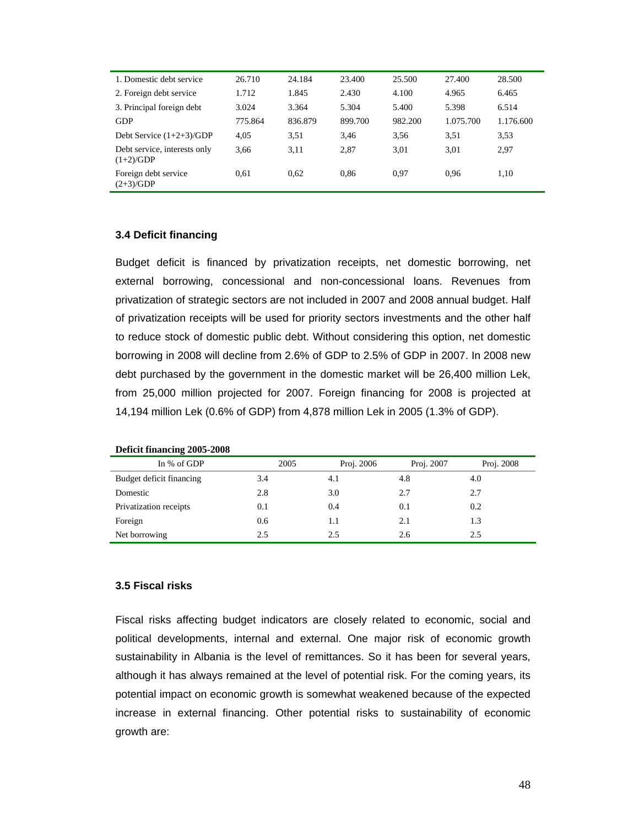| 1. Domestic debt service                    | 26.710  | 24.184  | 23.400  | 25.500  | 27.400    | 28.500    |
|---------------------------------------------|---------|---------|---------|---------|-----------|-----------|
| 2. Foreign debt service                     | 1.712   | 1.845   | 2.430   | 4.100   | 4.965     | 6.465     |
| 3. Principal foreign debt                   | 3.024   | 3.364   | 5.304   | 5.400   | 5.398     | 6.514     |
| GDP                                         | 775.864 | 836.879 | 899.700 | 982.200 | 1.075.700 | 1.176.600 |
| Debt Service $(1+2+3)/GDP$                  | 4.05    | 3.51    | 3,46    | 3.56    | 3.51      | 3.53      |
| Debt service, interests only<br>$(1+2)/GDP$ | 3.66    | 3.11    | 2.87    | 3.01    | 3.01      | 2,97      |
| Foreign debt service<br>$(2+3)/GDP$         | 0.61    | 0.62    | 0.86    | 0.97    | 0.96      | 1,10      |

# **3.4 Deficit financing**

Budget deficit is financed by privatization receipts, net domestic borrowing, net external borrowing, concessional and non-concessional loans. Revenues from privatization of strategic sectors are not included in 2007 and 2008 annual budget. Half of privatization receipts will be used for priority sectors investments and the other half to reduce stock of domestic public debt. Without considering this option, net domestic borrowing in 2008 will decline from 2.6% of GDP to 2.5% of GDP in 2007. In 2008 new debt purchased by the government in the domestic market will be 26,400 million Lek, from 25,000 million projected for 2007. Foreign financing for 2008 is projected at 14,194 million Lek (0.6% of GDP) from 4,878 million Lek in 2005 (1.3% of GDP).

| In % of GDP              | 2005 | Proj. 2006 | Proj. 2007 | Proj. 2008 |
|--------------------------|------|------------|------------|------------|
| Budget deficit financing | 3.4  | 4.1        | 4.8        | 4.0        |
| Domestic                 | 2.8  | 3.0        | 2.7        | 2.7        |
| Privatization receipts   | 0.1  | 0.4        | 0.1        | 0.2        |
| Foreign                  | 0.6  | 1.1        | 2.1        | 1.3        |
| Net borrowing            | 2.5  | 2.5        | 2.6        | 2.5        |

# **Deficit financing 2005-2008**

## **3.5 Fiscal risks**

Fiscal risks affecting budget indicators are closely related to economic, social and political developments, internal and external. One major risk of economic growth sustainability in Albania is the level of remittances. So it has been for several years, although it has always remained at the level of potential risk. For the coming years, its potential impact on economic growth is somewhat weakened because of the expected increase in external financing. Other potential risks to sustainability of economic growth are: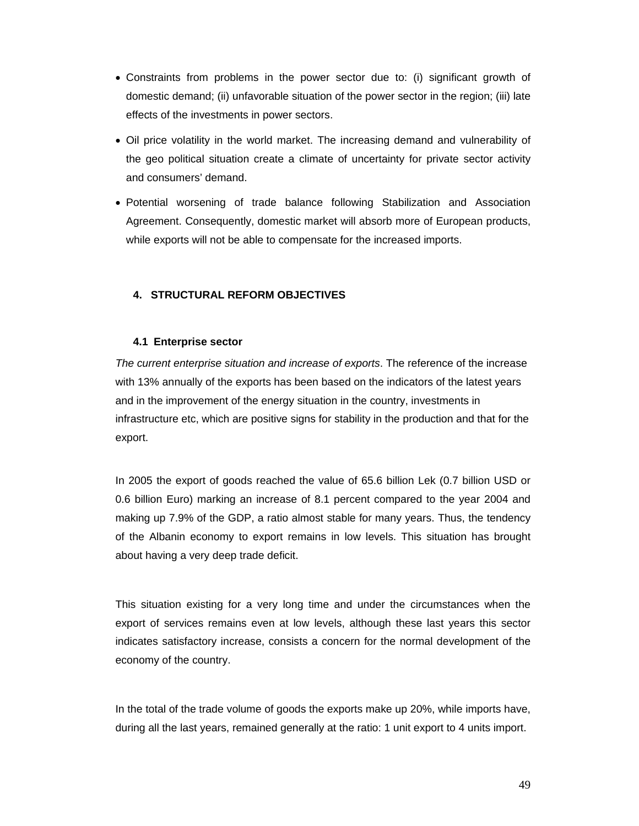- Constraints from problems in the power sector due to: (i) significant growth of domestic demand; (ii) unfavorable situation of the power sector in the region; (iii) late effects of the investments in power sectors.
- Oil price volatility in the world market. The increasing demand and vulnerability of the geo political situation create a climate of uncertainty for private sector activity and consumers' demand.
- Potential worsening of trade balance following Stabilization and Association Agreement. Consequently, domestic market will absorb more of European products, while exports will not be able to compensate for the increased imports.

# **4. STRUCTURAL REFORM OBJECTIVES**

# **4.1 Enterprise sector**

*The current enterprise situation and increase of exports*. The reference of the increase with 13% annually of the exports has been based on the indicators of the latest years and in the improvement of the energy situation in the country, investments in infrastructure etc, which are positive signs for stability in the production and that for the export.

In 2005 the export of goods reached the value of 65.6 billion Lek (0.7 billion USD or 0.6 billion Euro) marking an increase of 8.1 percent compared to the year 2004 and making up 7.9% of the GDP, a ratio almost stable for many years. Thus, the tendency of the Albanin economy to export remains in low levels. This situation has brought about having a very deep trade deficit.

This situation existing for a very long time and under the circumstances when the export of services remains even at low levels, although these last years this sector indicates satisfactory increase, consists a concern for the normal development of the economy of the country.

In the total of the trade volume of goods the exports make up 20%, while imports have, during all the last years, remained generally at the ratio: 1 unit export to 4 units import.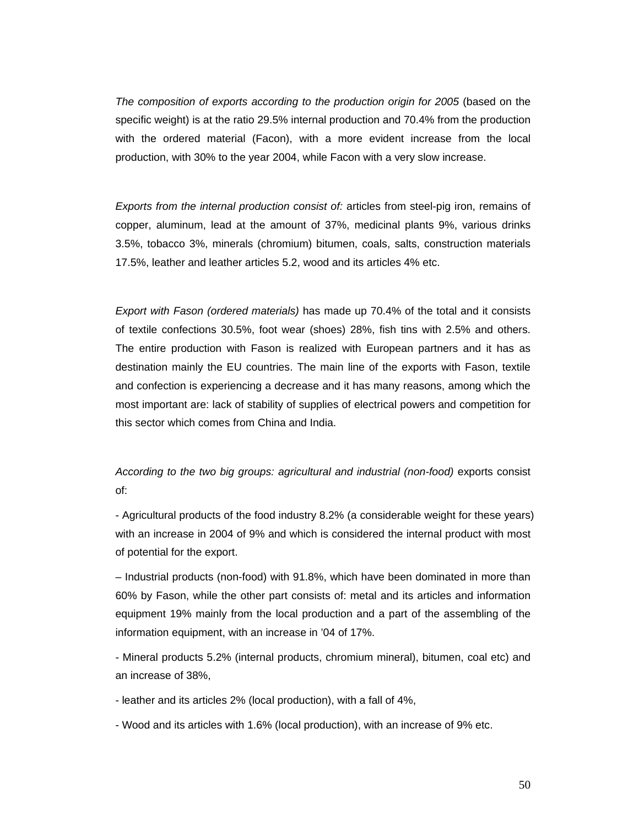The composition of exports according to the production origin for 2005 (based on the specific weight) is at the ratio 29.5% internal production and 70.4% from the production with the ordered material (Facon), with a more evident increase from the local production, with 30% to the year 2004, while Facon with a very slow increase.

*Exports from the internal production consist of:* articles from steel-pig iron, remains of copper, aluminum, lead at the amount of 37%, medicinal plants 9%, various drinks 3.5%, tobacco 3%, minerals (chromium) bitumen, coals, salts, construction materials 17.5%, leather and leather articles 5.2, wood and its articles 4% etc.

*Export with Fason (ordered materials)* has made up 70.4% of the total and it consists of textile confections 30.5%, foot wear (shoes) 28%, fish tins with 2.5% and others. The entire production with Fason is realized with European partners and it has as destination mainly the EU countries. The main line of the exports with Fason, textile and confection is experiencing a decrease and it has many reasons, among which the most important are: lack of stability of supplies of electrical powers and competition for this sector which comes from China and India.

# *According to the two big groups: agricultural and industrial (non-food)* exports consist of:

- Agricultural products of the food industry 8.2% (a considerable weight for these years) with an increase in 2004 of 9% and which is considered the internal product with most of potential for the export.

– Industrial products (non-food) with 91.8%, which have been dominated in more than 60% by Fason, while the other part consists of: metal and its articles and information equipment 19% mainly from the local production and a part of the assembling of the information equipment, with an increase in '04 of 17%.

- Mineral products 5.2% (internal products, chromium mineral), bitumen, coal etc) and an increase of 38%,

- leather and its articles 2% (local production), with a fall of 4%,

- Wood and its articles with 1.6% (local production), with an increase of 9% etc.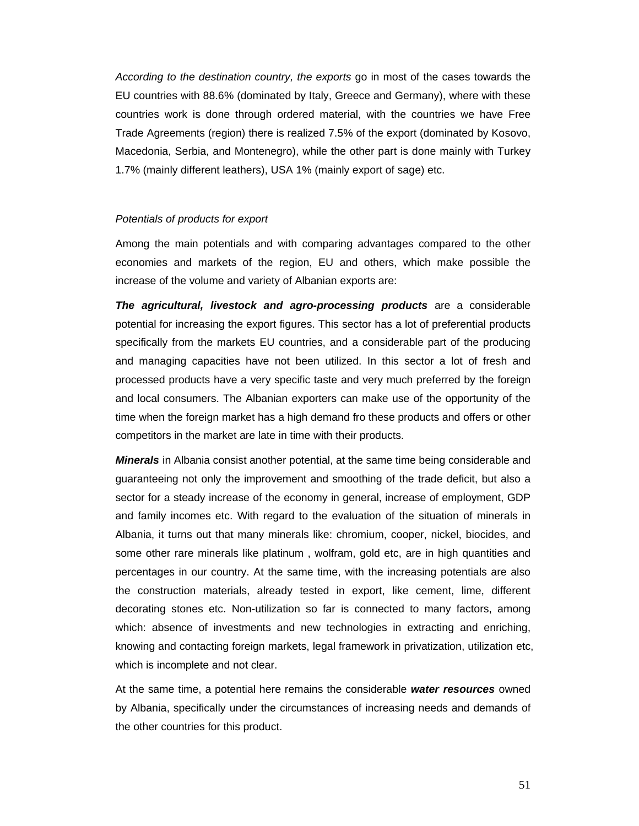*According to the destination country, the exports* go in most of the cases towards the EU countries with 88.6% (dominated by Italy, Greece and Germany), where with these countries work is done through ordered material, with the countries we have Free Trade Agreements (region) there is realized 7.5% of the export (dominated by Kosovo, Macedonia, Serbia, and Montenegro), while the other part is done mainly with Turkey 1.7% (mainly different leathers), USA 1% (mainly export of sage) etc.

#### *Potentials of products for export*

Among the main potentials and with comparing advantages compared to the other economies and markets of the region, EU and others, which make possible the increase of the volume and variety of Albanian exports are:

*The agricultural, livestock and agro-processing products* are a considerable potential for increasing the export figures. This sector has a lot of preferential products specifically from the markets EU countries, and a considerable part of the producing and managing capacities have not been utilized. In this sector a lot of fresh and processed products have a very specific taste and very much preferred by the foreign and local consumers. The Albanian exporters can make use of the opportunity of the time when the foreign market has a high demand fro these products and offers or other competitors in the market are late in time with their products.

*Minerals* in Albania consist another potential, at the same time being considerable and guaranteeing not only the improvement and smoothing of the trade deficit, but also a sector for a steady increase of the economy in general, increase of employment, GDP and family incomes etc. With regard to the evaluation of the situation of minerals in Albania, it turns out that many minerals like: chromium, cooper, nickel, biocides, and some other rare minerals like platinum , wolfram, gold etc, are in high quantities and percentages in our country. At the same time, with the increasing potentials are also the construction materials, already tested in export, like cement, lime, different decorating stones etc. Non-utilization so far is connected to many factors, among which: absence of investments and new technologies in extracting and enriching, knowing and contacting foreign markets, legal framework in privatization, utilization etc, which is incomplete and not clear.

At the same time, a potential here remains the considerable *water resources* owned by Albania, specifically under the circumstances of increasing needs and demands of the other countries for this product.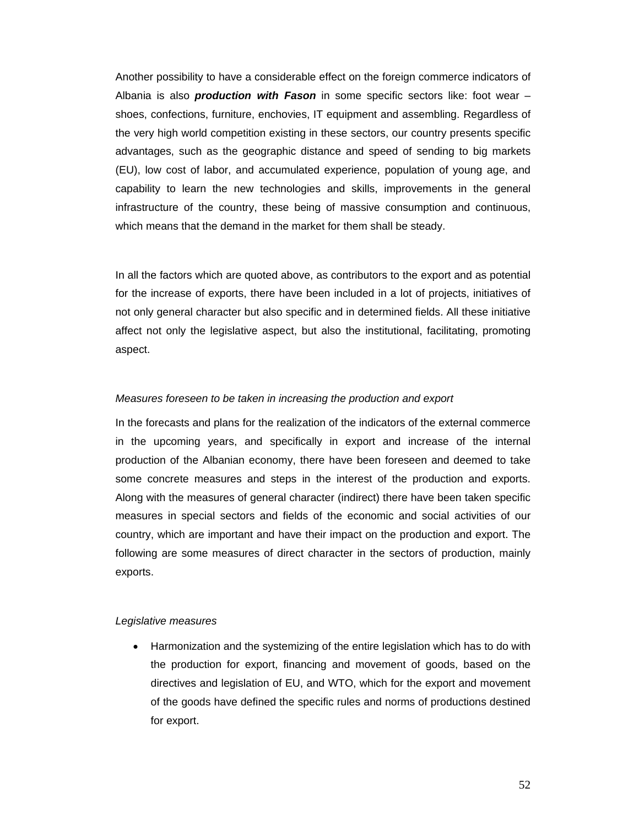Another possibility to have a considerable effect on the foreign commerce indicators of Albania is also *production with Fason* in some specific sectors like: foot wear – shoes, confections, furniture, enchovies, IT equipment and assembling. Regardless of the very high world competition existing in these sectors, our country presents specific advantages, such as the geographic distance and speed of sending to big markets (EU), low cost of labor, and accumulated experience, population of young age, and capability to learn the new technologies and skills, improvements in the general infrastructure of the country, these being of massive consumption and continuous, which means that the demand in the market for them shall be steady.

In all the factors which are quoted above, as contributors to the export and as potential for the increase of exports, there have been included in a lot of projects, initiatives of not only general character but also specific and in determined fields. All these initiative affect not only the legislative aspect, but also the institutional, facilitating, promoting aspect.

## *Measures foreseen to be taken in increasing the production and export*

In the forecasts and plans for the realization of the indicators of the external commerce in the upcoming years, and specifically in export and increase of the internal production of the Albanian economy, there have been foreseen and deemed to take some concrete measures and steps in the interest of the production and exports. Along with the measures of general character (indirect) there have been taken specific measures in special sectors and fields of the economic and social activities of our country, which are important and have their impact on the production and export. The following are some measures of direct character in the sectors of production, mainly exports.

#### *Legislative measures*

• Harmonization and the systemizing of the entire legislation which has to do with the production for export, financing and movement of goods, based on the directives and legislation of EU, and WTO, which for the export and movement of the goods have defined the specific rules and norms of productions destined for export.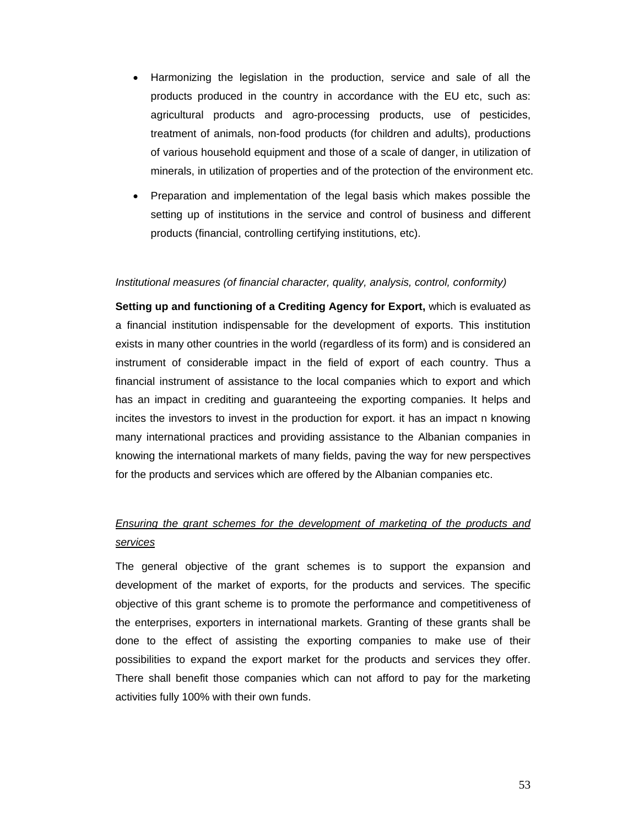- Harmonizing the legislation in the production, service and sale of all the products produced in the country in accordance with the EU etc, such as: agricultural products and agro-processing products, use of pesticides, treatment of animals, non-food products (for children and adults), productions of various household equipment and those of a scale of danger, in utilization of minerals, in utilization of properties and of the protection of the environment etc.
- Preparation and implementation of the legal basis which makes possible the setting up of institutions in the service and control of business and different products (financial, controlling certifying institutions, etc).

#### *Institutional measures (of financial character, quality, analysis, control, conformity)*

**Setting up and functioning of a Crediting Agency for Export,** which is evaluated as a financial institution indispensable for the development of exports. This institution exists in many other countries in the world (regardless of its form) and is considered an instrument of considerable impact in the field of export of each country. Thus a financial instrument of assistance to the local companies which to export and which has an impact in crediting and guaranteeing the exporting companies. It helps and incites the investors to invest in the production for export. it has an impact n knowing many international practices and providing assistance to the Albanian companies in knowing the international markets of many fields, paving the way for new perspectives for the products and services which are offered by the Albanian companies etc.

# *Ensuring the grant schemes for the development of marketing of the products and services*

The general objective of the grant schemes is to support the expansion and development of the market of exports, for the products and services. The specific objective of this grant scheme is to promote the performance and competitiveness of the enterprises, exporters in international markets. Granting of these grants shall be done to the effect of assisting the exporting companies to make use of their possibilities to expand the export market for the products and services they offer. There shall benefit those companies which can not afford to pay for the marketing activities fully 100% with their own funds.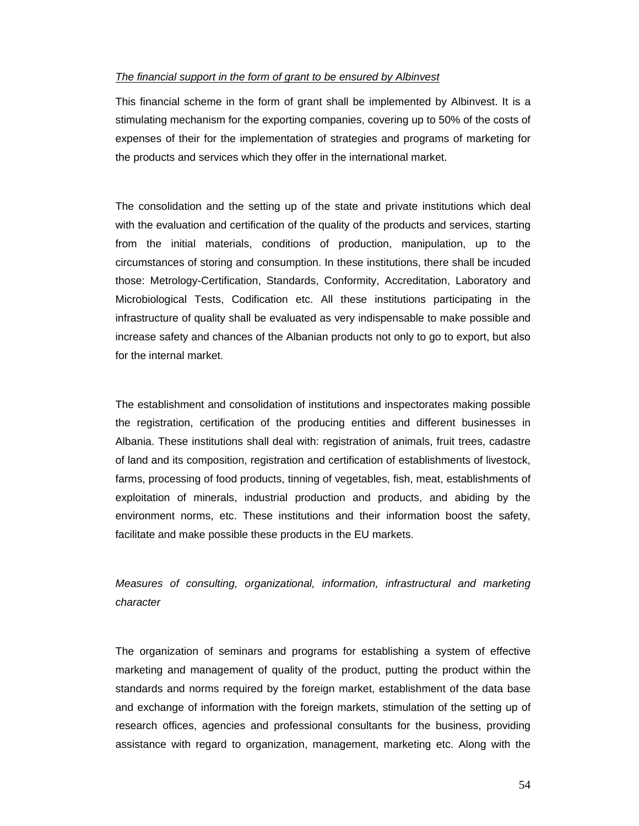## *The financial support in the form of grant to be ensured by Albinvest*

This financial scheme in the form of grant shall be implemented by Albinvest. It is a stimulating mechanism for the exporting companies, covering up to 50% of the costs of expenses of their for the implementation of strategies and programs of marketing for the products and services which they offer in the international market.

The consolidation and the setting up of the state and private institutions which deal with the evaluation and certification of the quality of the products and services, starting from the initial materials, conditions of production, manipulation, up to the circumstances of storing and consumption. In these institutions, there shall be incuded those: Metrology-Certification, Standards, Conformity, Accreditation, Laboratory and Microbiological Tests, Codification etc. All these institutions participating in the infrastructure of quality shall be evaluated as very indispensable to make possible and increase safety and chances of the Albanian products not only to go to export, but also for the internal market.

The establishment and consolidation of institutions and inspectorates making possible the registration, certification of the producing entities and different businesses in Albania. These institutions shall deal with: registration of animals, fruit trees, cadastre of land and its composition, registration and certification of establishments of livestock, farms, processing of food products, tinning of vegetables, fish, meat, establishments of exploitation of minerals, industrial production and products, and abiding by the environment norms, etc. These institutions and their information boost the safety, facilitate and make possible these products in the EU markets.

*Measures of consulting, organizational, information, infrastructural and marketing character* 

The organization of seminars and programs for establishing a system of effective marketing and management of quality of the product, putting the product within the standards and norms required by the foreign market, establishment of the data base and exchange of information with the foreign markets, stimulation of the setting up of research offices, agencies and professional consultants for the business, providing assistance with regard to organization, management, marketing etc. Along with the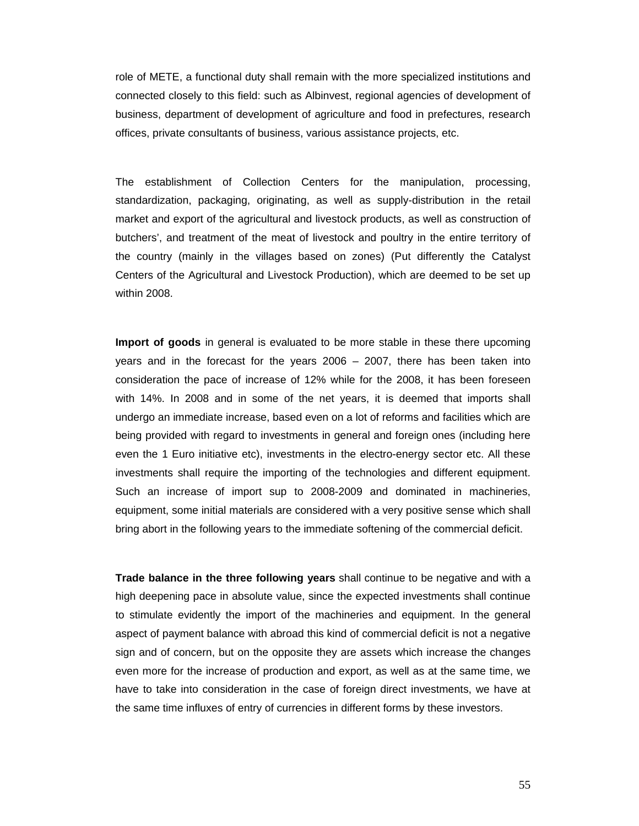role of METE, a functional duty shall remain with the more specialized institutions and connected closely to this field: such as Albinvest, regional agencies of development of business, department of development of agriculture and food in prefectures, research offices, private consultants of business, various assistance projects, etc.

The establishment of Collection Centers for the manipulation, processing, standardization, packaging, originating, as well as supply-distribution in the retail market and export of the agricultural and livestock products, as well as construction of butchers', and treatment of the meat of livestock and poultry in the entire territory of the country (mainly in the villages based on zones) (Put differently the Catalyst Centers of the Agricultural and Livestock Production), which are deemed to be set up within 2008.

**Import of goods** in general is evaluated to be more stable in these there upcoming years and in the forecast for the years 2006 – 2007, there has been taken into consideration the pace of increase of 12% while for the 2008, it has been foreseen with 14%. In 2008 and in some of the net years, it is deemed that imports shall undergo an immediate increase, based even on a lot of reforms and facilities which are being provided with regard to investments in general and foreign ones (including here even the 1 Euro initiative etc), investments in the electro-energy sector etc. All these investments shall require the importing of the technologies and different equipment. Such an increase of import sup to 2008-2009 and dominated in machineries, equipment, some initial materials are considered with a very positive sense which shall bring abort in the following years to the immediate softening of the commercial deficit.

**Trade balance in the three following years** shall continue to be negative and with a high deepening pace in absolute value, since the expected investments shall continue to stimulate evidently the import of the machineries and equipment. In the general aspect of payment balance with abroad this kind of commercial deficit is not a negative sign and of concern, but on the opposite they are assets which increase the changes even more for the increase of production and export, as well as at the same time, we have to take into consideration in the case of foreign direct investments, we have at the same time influxes of entry of currencies in different forms by these investors.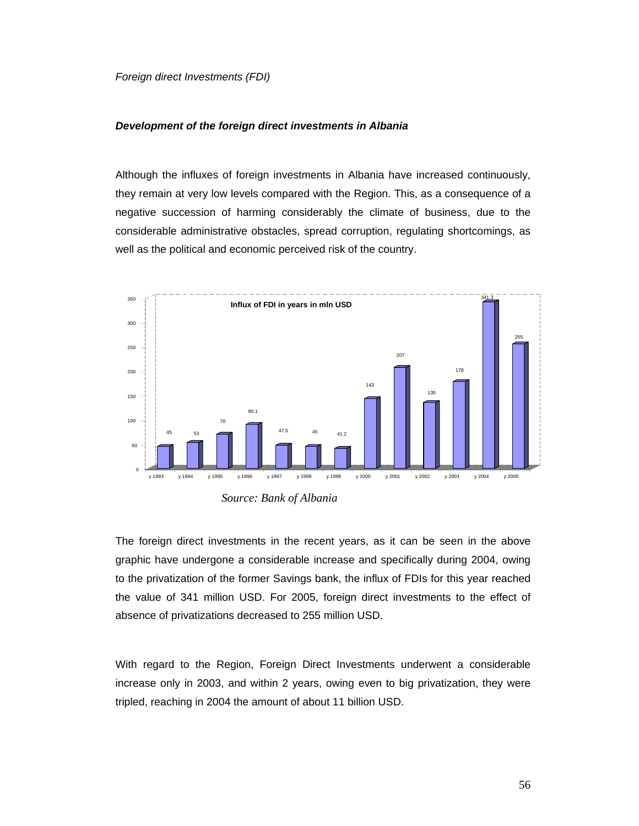*Foreign direct Investments (FDI)* 

# *Development of the foreign direct investments in Albania*

Although the influxes of foreign investments in Albania have increased continuously, they remain at very low levels compared with the Region. This, as a consequence of a negative succession of harming considerably the climate of business, due to the considerable administrative obstacles, spread corruption, regulating shortcomings, as well as the political and economic perceived risk of the country.



*Source: Bank of Albania* 

The foreign direct investments in the recent years, as it can be seen in the above graphic have undergone a considerable increase and specifically during 2004, owing to the privatization of the former Savings bank, the influx of FDIs for this year reached the value of 341 million USD. For 2005, foreign direct investments to the effect of absence of privatizations decreased to 255 million USD.

With regard to the Region, Foreign Direct Investments underwent a considerable increase only in 2003, and within 2 years, owing even to big privatization, they were tripled, reaching in 2004 the amount of about 11 billion USD.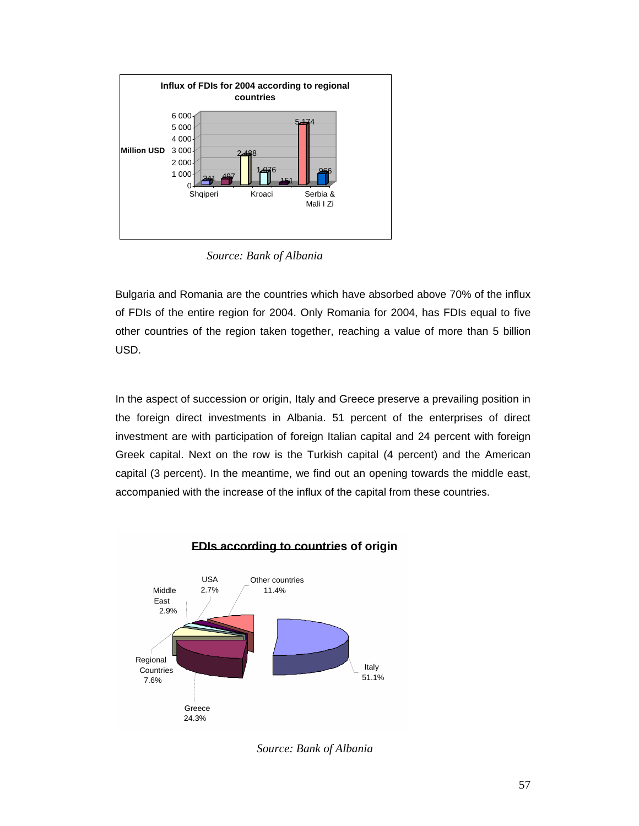

*Source: Bank of Albania* 

Bulgaria and Romania are the countries which have absorbed above 70% of the influx of FDIs of the entire region for 2004. Only Romania for 2004, has FDIs equal to five other countries of the region taken together, reaching a value of more than 5 billion USD.

In the aspect of succession or origin, Italy and Greece preserve a prevailing position in the foreign direct investments in Albania. 51 percent of the enterprises of direct investment are with participation of foreign Italian capital and 24 percent with foreign Greek capital. Next on the row is the Turkish capital (4 percent) and the American capital (3 percent). In the meantime, we find out an opening towards the middle east, accompanied with the increase of the influx of the capital from these countries.



# **FDIs according to countries of origin**

*Source: Bank of Albania*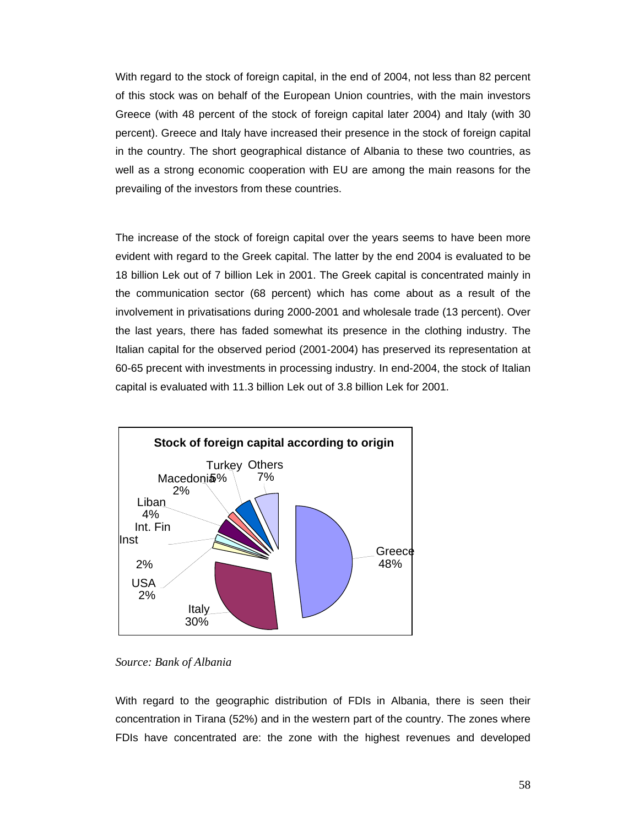With regard to the stock of foreign capital, in the end of 2004, not less than 82 percent of this stock was on behalf of the European Union countries, with the main investors Greece (with 48 percent of the stock of foreign capital later 2004) and Italy (with 30 percent). Greece and Italy have increased their presence in the stock of foreign capital in the country. The short geographical distance of Albania to these two countries, as well as a strong economic cooperation with EU are among the main reasons for the prevailing of the investors from these countries.

The increase of the stock of foreign capital over the years seems to have been more evident with regard to the Greek capital. The latter by the end 2004 is evaluated to be 18 billion Lek out of 7 billion Lek in 2001. The Greek capital is concentrated mainly in the communication sector (68 percent) which has come about as a result of the involvement in privatisations during 2000-2001 and wholesale trade (13 percent). Over the last years, there has faded somewhat its presence in the clothing industry. The Italian capital for the observed period (2001-2004) has preserved its representation at 60-65 precent with investments in processing industry. In end-2004, the stock of Italian capital is evaluated with 11.3 billion Lek out of 3.8 billion Lek for 2001.



*Source: Bank of Albania* 

With regard to the geographic distribution of FDIs in Albania, there is seen their concentration in Tirana (52%) and in the western part of the country. The zones where FDIs have concentrated are: the zone with the highest revenues and developed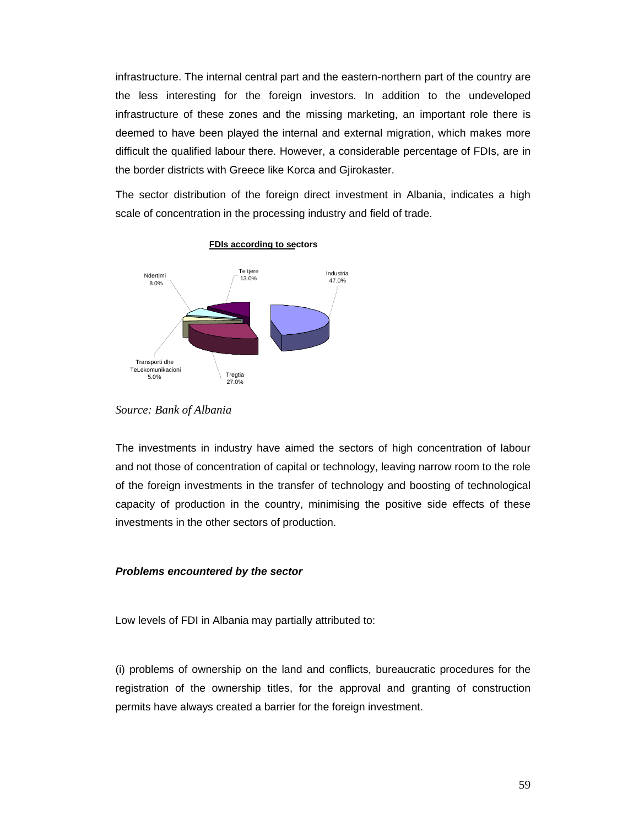infrastructure. The internal central part and the eastern-northern part of the country are the less interesting for the foreign investors. In addition to the undeveloped infrastructure of these zones and the missing marketing, an important role there is deemed to have been played the internal and external migration, which makes more difficult the qualified labour there. However, a considerable percentage of FDIs, are in the border districts with Greece like Korca and Gjirokaster.

The sector distribution of the foreign direct investment in Albania, indicates a high scale of concentration in the processing industry and field of trade.



**FDIs according to sectors**

The investments in industry have aimed the sectors of high concentration of labour and not those of concentration of capital or technology, leaving narrow room to the role of the foreign investments in the transfer of technology and boosting of technological capacity of production in the country, minimising the positive side effects of these investments in the other sectors of production.

# *Problems encountered by the sector*

Low levels of FDI in Albania may partially attributed to:

(i) problems of ownership on the land and conflicts, bureaucratic procedures for the registration of the ownership titles, for the approval and granting of construction permits have always created a barrier for the foreign investment.

*Source: Bank of Albania*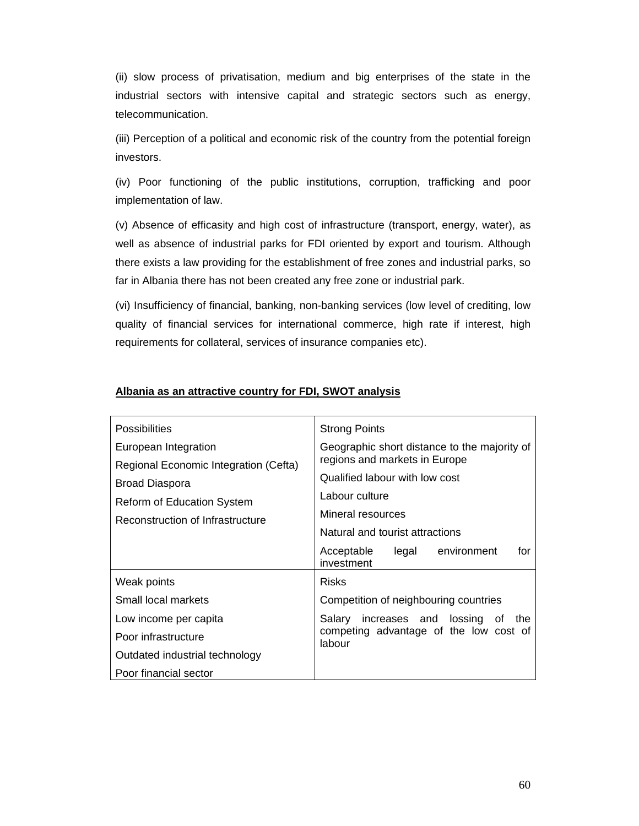(ii) slow process of privatisation, medium and big enterprises of the state in the industrial sectors with intensive capital and strategic sectors such as energy, telecommunication.

(iii) Perception of a political and economic risk of the country from the potential foreign investors.

(iv) Poor functioning of the public institutions, corruption, trafficking and poor implementation of law.

(v) Absence of efficasity and high cost of infrastructure (transport, energy, water), as well as absence of industrial parks for FDI oriented by export and tourism. Although there exists a law providing for the establishment of free zones and industrial parks, so far in Albania there has not been created any free zone or industrial park.

(vi) Insufficiency of financial, banking, non-banking services (low level of crediting, low quality of financial services for international commerce, high rate if interest, high requirements for collateral, services of insurance companies etc).

| <b>Possibilities</b>                                                                                                                                            | <b>Strong Points</b>                                                                                     |  |  |
|-----------------------------------------------------------------------------------------------------------------------------------------------------------------|----------------------------------------------------------------------------------------------------------|--|--|
| European Integration<br>Regional Economic Integration (Cefta)<br><b>Broad Diaspora</b><br><b>Reform of Education System</b><br>Reconstruction of Infrastructure | Geographic short distance to the majority of<br>regions and markets in Europe                            |  |  |
|                                                                                                                                                                 | Qualified labour with low cost<br>Labour culture<br>Mineral resources<br>Natural and tourist attractions |  |  |
|                                                                                                                                                                 |                                                                                                          |  |  |
| Weak points                                                                                                                                                     | <b>Risks</b>                                                                                             |  |  |
| Small local markets                                                                                                                                             | Competition of neighbouring countries                                                                    |  |  |
| Low income per capita                                                                                                                                           | Salary increases and lossing of the                                                                      |  |  |
| Poor infrastructure                                                                                                                                             | competing advantage of the low cost of<br>labour                                                         |  |  |
| Outdated industrial technology                                                                                                                                  |                                                                                                          |  |  |
| Poor financial sector                                                                                                                                           |                                                                                                          |  |  |

# **Albania as an attractive country for FDI, SWOT analysis**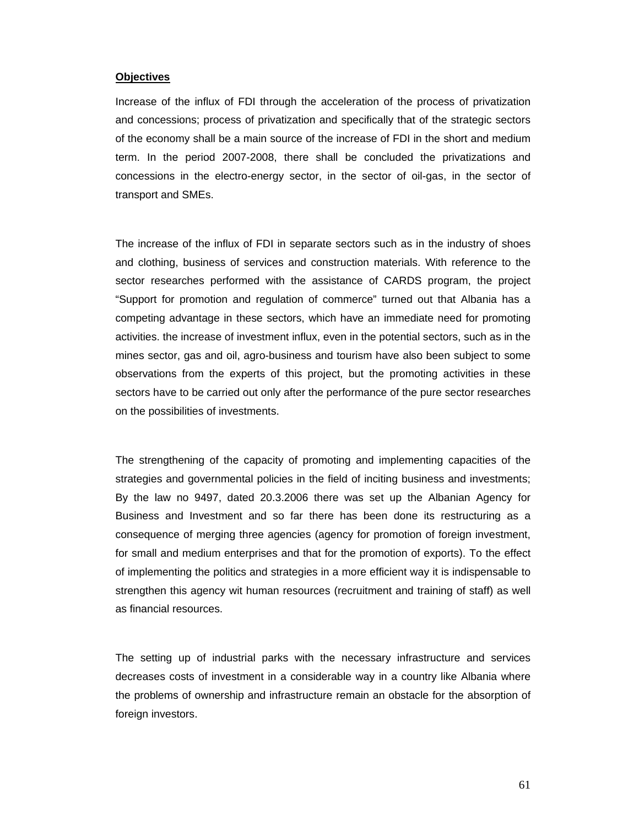#### **Objectives**

Increase of the influx of FDI through the acceleration of the process of privatization and concessions; process of privatization and specifically that of the strategic sectors of the economy shall be a main source of the increase of FDI in the short and medium term. In the period 2007-2008, there shall be concluded the privatizations and concessions in the electro-energy sector, in the sector of oil-gas, in the sector of transport and SMEs.

The increase of the influx of FDI in separate sectors such as in the industry of shoes and clothing, business of services and construction materials. With reference to the sector researches performed with the assistance of CARDS program, the project "Support for promotion and regulation of commerce" turned out that Albania has a competing advantage in these sectors, which have an immediate need for promoting activities. the increase of investment influx, even in the potential sectors, such as in the mines sector, gas and oil, agro-business and tourism have also been subject to some observations from the experts of this project, but the promoting activities in these sectors have to be carried out only after the performance of the pure sector researches on the possibilities of investments.

The strengthening of the capacity of promoting and implementing capacities of the strategies and governmental policies in the field of inciting business and investments; By the law no 9497, dated 20.3.2006 there was set up the Albanian Agency for Business and Investment and so far there has been done its restructuring as a consequence of merging three agencies (agency for promotion of foreign investment, for small and medium enterprises and that for the promotion of exports). To the effect of implementing the politics and strategies in a more efficient way it is indispensable to strengthen this agency wit human resources (recruitment and training of staff) as well as financial resources.

The setting up of industrial parks with the necessary infrastructure and services decreases costs of investment in a considerable way in a country like Albania where the problems of ownership and infrastructure remain an obstacle for the absorption of foreign investors.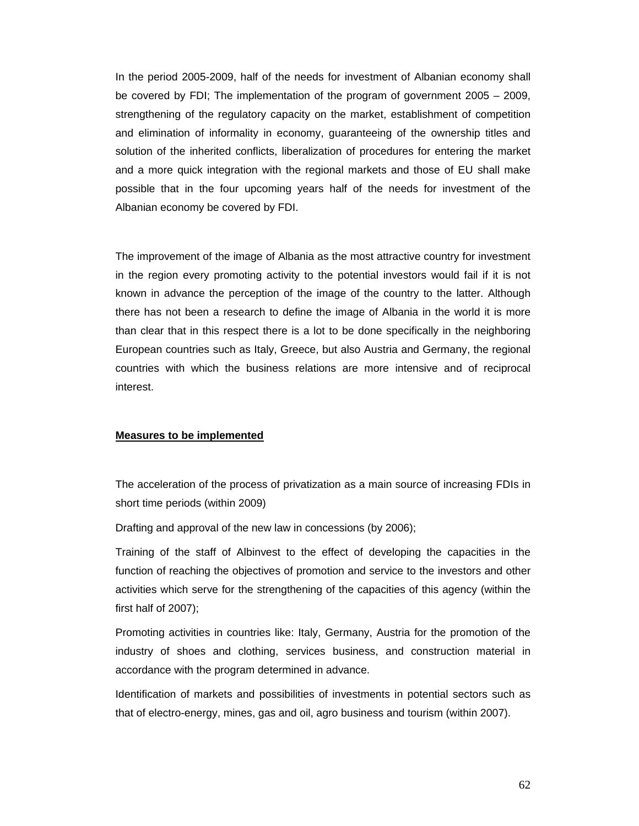In the period 2005-2009, half of the needs for investment of Albanian economy shall be covered by FDI; The implementation of the program of government 2005 – 2009, strengthening of the regulatory capacity on the market, establishment of competition and elimination of informality in economy, guaranteeing of the ownership titles and solution of the inherited conflicts, liberalization of procedures for entering the market and a more quick integration with the regional markets and those of EU shall make possible that in the four upcoming years half of the needs for investment of the Albanian economy be covered by FDI.

The improvement of the image of Albania as the most attractive country for investment in the region every promoting activity to the potential investors would fail if it is not known in advance the perception of the image of the country to the latter. Although there has not been a research to define the image of Albania in the world it is more than clear that in this respect there is a lot to be done specifically in the neighboring European countries such as Italy, Greece, but also Austria and Germany, the regional countries with which the business relations are more intensive and of reciprocal interest.

# **Measures to be implemented**

The acceleration of the process of privatization as a main source of increasing FDIs in short time periods (within 2009)

Drafting and approval of the new law in concessions (by 2006);

Training of the staff of Albinvest to the effect of developing the capacities in the function of reaching the objectives of promotion and service to the investors and other activities which serve for the strengthening of the capacities of this agency (within the first half of 2007);

Promoting activities in countries like: Italy, Germany, Austria for the promotion of the industry of shoes and clothing, services business, and construction material in accordance with the program determined in advance.

Identification of markets and possibilities of investments in potential sectors such as that of electro-energy, mines, gas and oil, agro business and tourism (within 2007).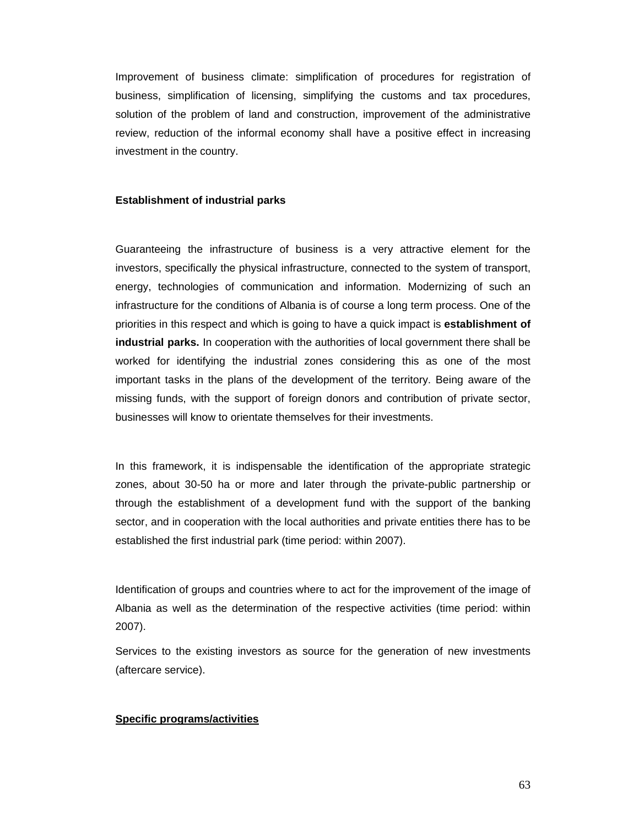Improvement of business climate: simplification of procedures for registration of business, simplification of licensing, simplifying the customs and tax procedures, solution of the problem of land and construction, improvement of the administrative review, reduction of the informal economy shall have a positive effect in increasing investment in the country.

#### **Establishment of industrial parks**

Guaranteeing the infrastructure of business is a very attractive element for the investors, specifically the physical infrastructure, connected to the system of transport, energy, technologies of communication and information. Modernizing of such an infrastructure for the conditions of Albania is of course a long term process. One of the priorities in this respect and which is going to have a quick impact is **establishment of industrial parks.** In cooperation with the authorities of local government there shall be worked for identifying the industrial zones considering this as one of the most important tasks in the plans of the development of the territory. Being aware of the missing funds, with the support of foreign donors and contribution of private sector, businesses will know to orientate themselves for their investments.

In this framework, it is indispensable the identification of the appropriate strategic zones, about 30-50 ha or more and later through the private-public partnership or through the establishment of a development fund with the support of the banking sector, and in cooperation with the local authorities and private entities there has to be established the first industrial park (time period: within 2007).

Identification of groups and countries where to act for the improvement of the image of Albania as well as the determination of the respective activities (time period: within 2007).

Services to the existing investors as source for the generation of new investments (aftercare service).

# **Specific programs/activities**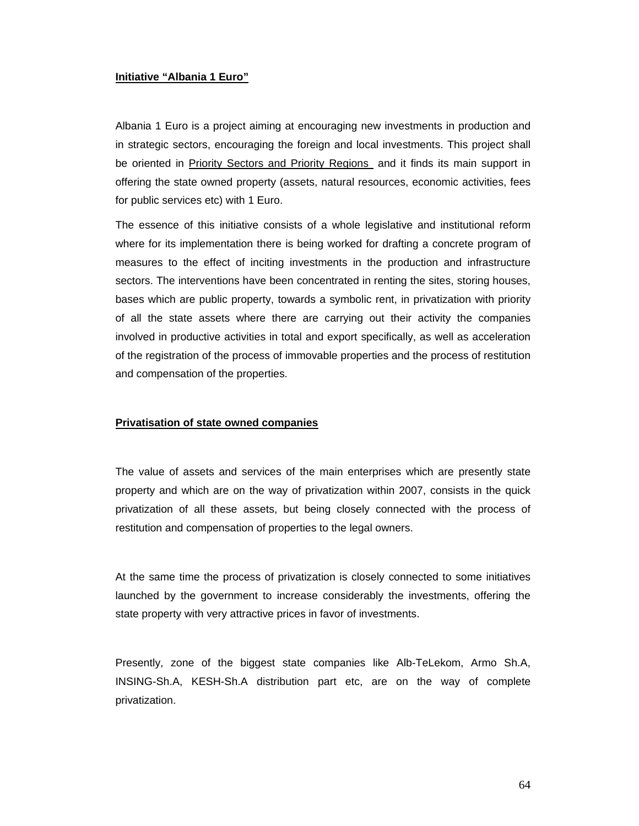# **Initiative "Albania 1 Euro"**

Albania 1 Euro is a project aiming at encouraging new investments in production and in strategic sectors, encouraging the foreign and local investments. This project shall be oriented in **Priority Sectors and Priority Regions** and it finds its main support in offering the state owned property (assets, natural resources, economic activities, fees for public services etc) with 1 Euro.

The essence of this initiative consists of a whole legislative and institutional reform where for its implementation there is being worked for drafting a concrete program of measures to the effect of inciting investments in the production and infrastructure sectors. The interventions have been concentrated in renting the sites, storing houses, bases which are public property, towards a symbolic rent, in privatization with priority of all the state assets where there are carrying out their activity the companies involved in productive activities in total and export specifically, as well as acceleration of the registration of the process of immovable properties and the process of restitution and compensation of the properties.

# **Privatisation of state owned companies**

The value of assets and services of the main enterprises which are presently state property and which are on the way of privatization within 2007, consists in the quick privatization of all these assets, but being closely connected with the process of restitution and compensation of properties to the legal owners.

At the same time the process of privatization is closely connected to some initiatives launched by the government to increase considerably the investments, offering the state property with very attractive prices in favor of investments.

Presently, zone of the biggest state companies like Alb-TeLekom, Armo Sh.A, INSING-Sh.A, KESH-Sh.A distribution part etc, are on the way of complete privatization.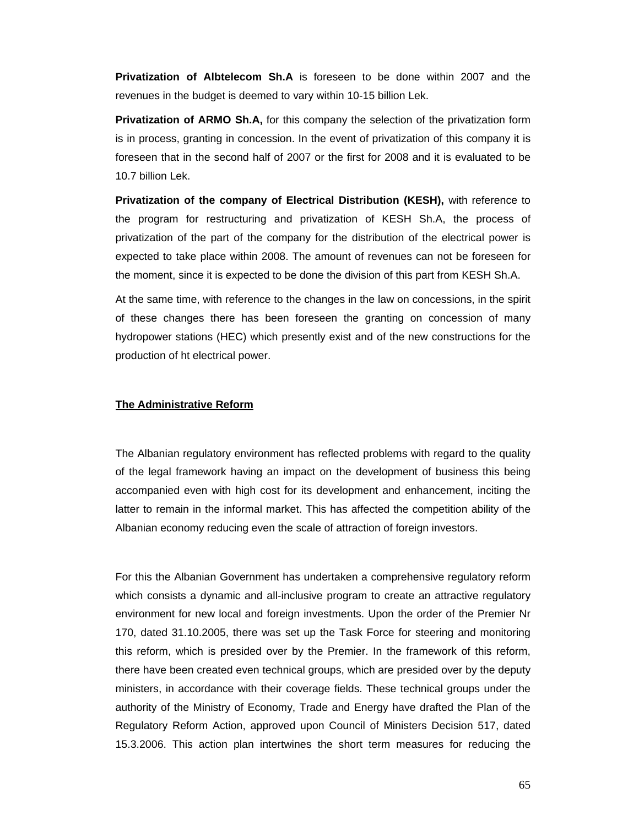**Privatization of Albtelecom Sh.A** is foreseen to be done within 2007 and the revenues in the budget is deemed to vary within 10-15 billion Lek.

**Privatization of ARMO Sh.A,** for this company the selection of the privatization form is in process, granting in concession. In the event of privatization of this company it is foreseen that in the second half of 2007 or the first for 2008 and it is evaluated to be 10.7 billion Lek.

**Privatization of the company of Electrical Distribution (KESH),** with reference to the program for restructuring and privatization of KESH Sh.A, the process of privatization of the part of the company for the distribution of the electrical power is expected to take place within 2008. The amount of revenues can not be foreseen for the moment, since it is expected to be done the division of this part from KESH Sh.A.

At the same time, with reference to the changes in the law on concessions, in the spirit of these changes there has been foreseen the granting on concession of many hydropower stations (HEC) which presently exist and of the new constructions for the production of ht electrical power.

#### **The Administrative Reform**

The Albanian regulatory environment has reflected problems with regard to the quality of the legal framework having an impact on the development of business this being accompanied even with high cost for its development and enhancement, inciting the latter to remain in the informal market. This has affected the competition ability of the Albanian economy reducing even the scale of attraction of foreign investors.

For this the Albanian Government has undertaken a comprehensive regulatory reform which consists a dynamic and all-inclusive program to create an attractive regulatory environment for new local and foreign investments. Upon the order of the Premier Nr 170, dated 31.10.2005, there was set up the Task Force for steering and monitoring this reform, which is presided over by the Premier. In the framework of this reform, there have been created even technical groups, which are presided over by the deputy ministers, in accordance with their coverage fields. These technical groups under the authority of the Ministry of Economy, Trade and Energy have drafted the Plan of the Regulatory Reform Action, approved upon Council of Ministers Decision 517, dated 15.3.2006. This action plan intertwines the short term measures for reducing the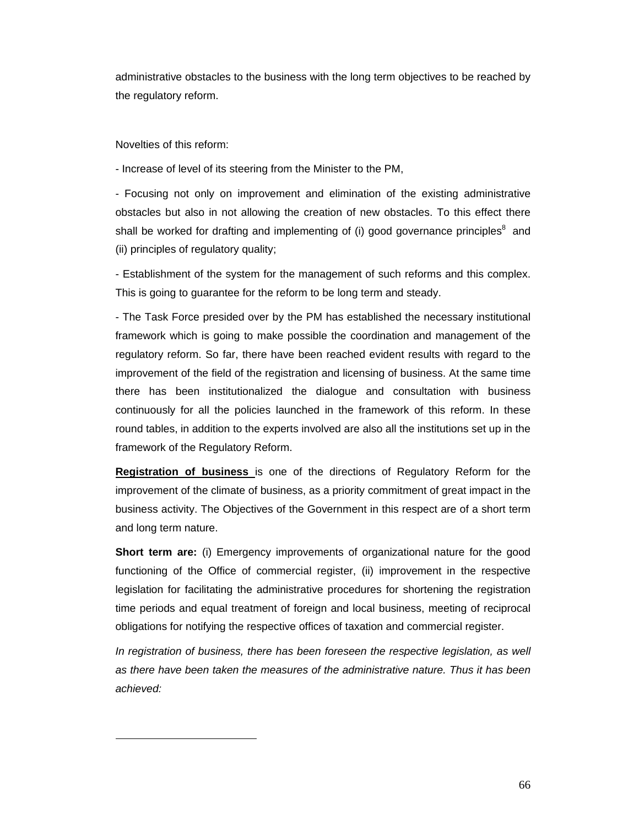administrative obstacles to the business with the long term objectives to be reached by the regulatory reform.

Novelties of this reform:

l

- Increase of level of its steering from the Minister to the PM,

- Focusing not only on improvement and elimination of the existing administrative obstacles but also in not allowing the creation of new obstacles. To this effect there shall be worked for drafting and implementing of (i) good governance principles $8$  and (ii) principles of regulatory quality;

- Establishment of the system for the management of such reforms and this complex. This is going to guarantee for the reform to be long term and steady.

- The Task Force presided over by the PM has established the necessary institutional framework which is going to make possible the coordination and management of the regulatory reform. So far, there have been reached evident results with regard to the improvement of the field of the registration and licensing of business. At the same time there has been institutionalized the dialogue and consultation with business continuously for all the policies launched in the framework of this reform. In these round tables, in addition to the experts involved are also all the institutions set up in the framework of the Regulatory Reform.

**Registration of business** is one of the directions of Regulatory Reform for the improvement of the climate of business, as a priority commitment of great impact in the business activity. The Objectives of the Government in this respect are of a short term and long term nature.

**Short term are:** (i) Emergency improvements of organizational nature for the good functioning of the Office of commercial register, (ii) improvement in the respective legislation for facilitating the administrative procedures for shortening the registration time periods and equal treatment of foreign and local business, meeting of reciprocal obligations for notifying the respective offices of taxation and commercial register.

*In registration of business, there has been foreseen the respective legislation, as well as there have been taken the measures of the administrative nature. Thus it has been achieved:*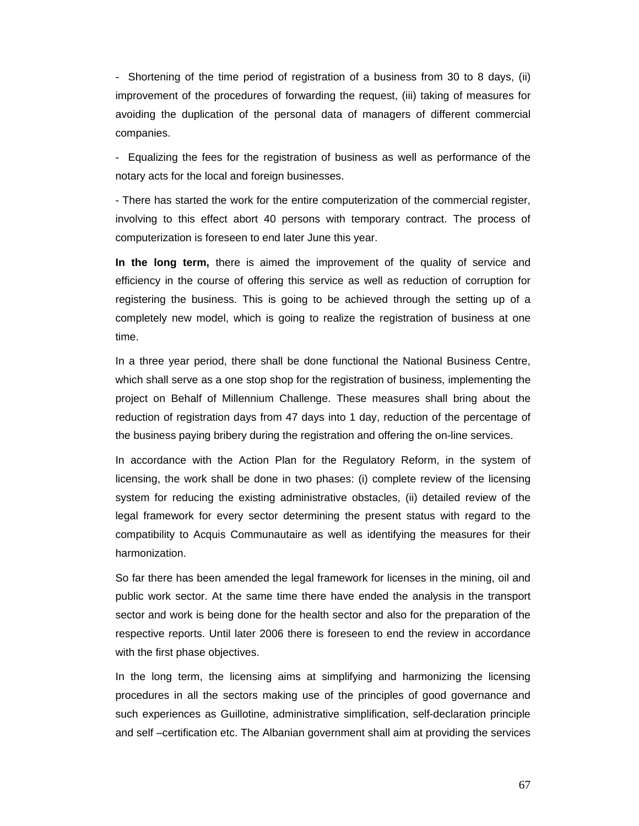- Shortening of the time period of registration of a business from 30 to 8 days, (ii) improvement of the procedures of forwarding the request, (iii) taking of measures for avoiding the duplication of the personal data of managers of different commercial companies.

- Equalizing the fees for the registration of business as well as performance of the notary acts for the local and foreign businesses.

- There has started the work for the entire computerization of the commercial register, involving to this effect abort 40 persons with temporary contract. The process of computerization is foreseen to end later June this year.

**In the long term,** there is aimed the improvement of the quality of service and efficiency in the course of offering this service as well as reduction of corruption for registering the business. This is going to be achieved through the setting up of a completely new model, which is going to realize the registration of business at one time.

In a three year period, there shall be done functional the National Business Centre, which shall serve as a one stop shop for the registration of business, implementing the project on Behalf of Millennium Challenge. These measures shall bring about the reduction of registration days from 47 days into 1 day, reduction of the percentage of the business paying bribery during the registration and offering the on-line services.

In accordance with the Action Plan for the Regulatory Reform, in the system of licensing, the work shall be done in two phases: (i) complete review of the licensing system for reducing the existing administrative obstacles, (ii) detailed review of the legal framework for every sector determining the present status with regard to the compatibility to Acquis Communautaire as well as identifying the measures for their harmonization.

So far there has been amended the legal framework for licenses in the mining, oil and public work sector. At the same time there have ended the analysis in the transport sector and work is being done for the health sector and also for the preparation of the respective reports. Until later 2006 there is foreseen to end the review in accordance with the first phase objectives.

In the long term, the licensing aims at simplifying and harmonizing the licensing procedures in all the sectors making use of the principles of good governance and such experiences as Guillotine, administrative simplification, self-declaration principle and self –certification etc. The Albanian government shall aim at providing the services

67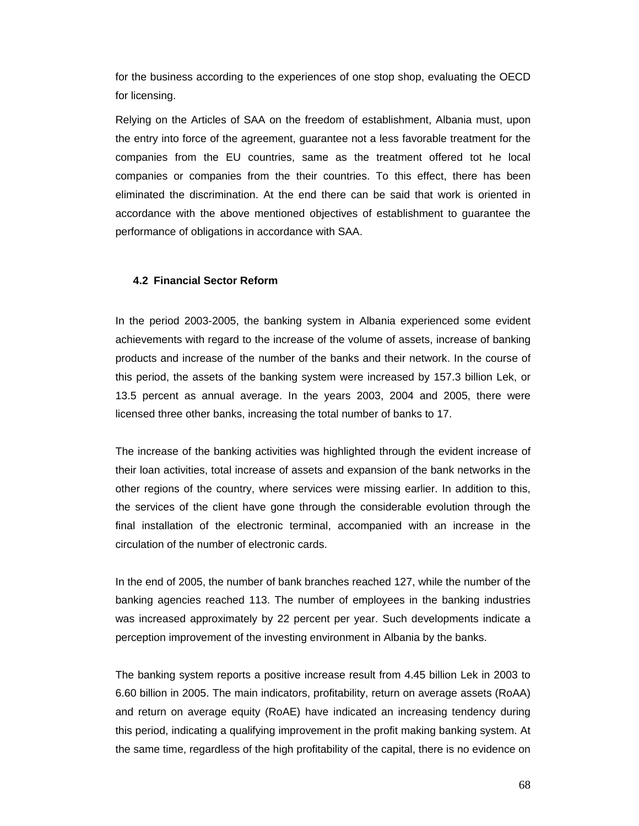for the business according to the experiences of one stop shop, evaluating the OECD for licensing.

Relying on the Articles of SAA on the freedom of establishment, Albania must, upon the entry into force of the agreement, guarantee not a less favorable treatment for the companies from the EU countries, same as the treatment offered tot he local companies or companies from the their countries. To this effect, there has been eliminated the discrimination. At the end there can be said that work is oriented in accordance with the above mentioned objectives of establishment to guarantee the performance of obligations in accordance with SAA.

## **4.2 Financial Sector Reform**

In the period 2003-2005, the banking system in Albania experienced some evident achievements with regard to the increase of the volume of assets, increase of banking products and increase of the number of the banks and their network. In the course of this period, the assets of the banking system were increased by 157.3 billion Lek, or 13.5 percent as annual average. In the years 2003, 2004 and 2005, there were licensed three other banks, increasing the total number of banks to 17.

The increase of the banking activities was highlighted through the evident increase of their loan activities, total increase of assets and expansion of the bank networks in the other regions of the country, where services were missing earlier. In addition to this, the services of the client have gone through the considerable evolution through the final installation of the electronic terminal, accompanied with an increase in the circulation of the number of electronic cards.

In the end of 2005, the number of bank branches reached 127, while the number of the banking agencies reached 113. The number of employees in the banking industries was increased approximately by 22 percent per year. Such developments indicate a perception improvement of the investing environment in Albania by the banks.

The banking system reports a positive increase result from 4.45 billion Lek in 2003 to 6.60 billion in 2005. The main indicators, profitability, return on average assets (RoAA) and return on average equity (RoAE) have indicated an increasing tendency during this period, indicating a qualifying improvement in the profit making banking system. At the same time, regardless of the high profitability of the capital, there is no evidence on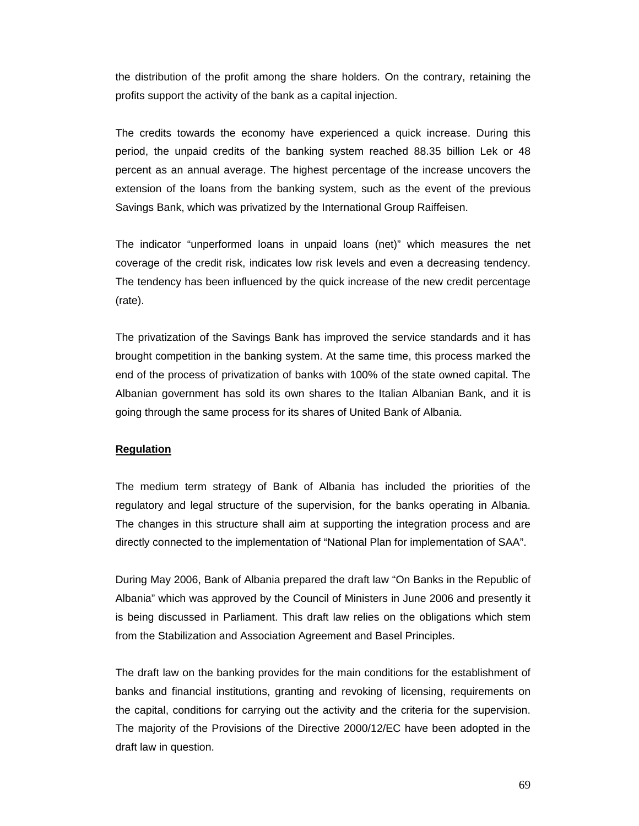the distribution of the profit among the share holders. On the contrary, retaining the profits support the activity of the bank as a capital injection.

The credits towards the economy have experienced a quick increase. During this period, the unpaid credits of the banking system reached 88.35 billion Lek or 48 percent as an annual average. The highest percentage of the increase uncovers the extension of the loans from the banking system, such as the event of the previous Savings Bank, which was privatized by the International Group Raiffeisen.

The indicator "unperformed loans in unpaid loans (net)" which measures the net coverage of the credit risk, indicates low risk levels and even a decreasing tendency. The tendency has been influenced by the quick increase of the new credit percentage (rate).

The privatization of the Savings Bank has improved the service standards and it has brought competition in the banking system. At the same time, this process marked the end of the process of privatization of banks with 100% of the state owned capital. The Albanian government has sold its own shares to the Italian Albanian Bank, and it is going through the same process for its shares of United Bank of Albania.

# **Regulation**

The medium term strategy of Bank of Albania has included the priorities of the regulatory and legal structure of the supervision, for the banks operating in Albania. The changes in this structure shall aim at supporting the integration process and are directly connected to the implementation of "National Plan for implementation of SAA".

During May 2006, Bank of Albania prepared the draft law "On Banks in the Republic of Albania" which was approved by the Council of Ministers in June 2006 and presently it is being discussed in Parliament. This draft law relies on the obligations which stem from the Stabilization and Association Agreement and Basel Principles.

The draft law on the banking provides for the main conditions for the establishment of banks and financial institutions, granting and revoking of licensing, requirements on the capital, conditions for carrying out the activity and the criteria for the supervision. The majority of the Provisions of the Directive 2000/12/EC have been adopted in the draft law in question.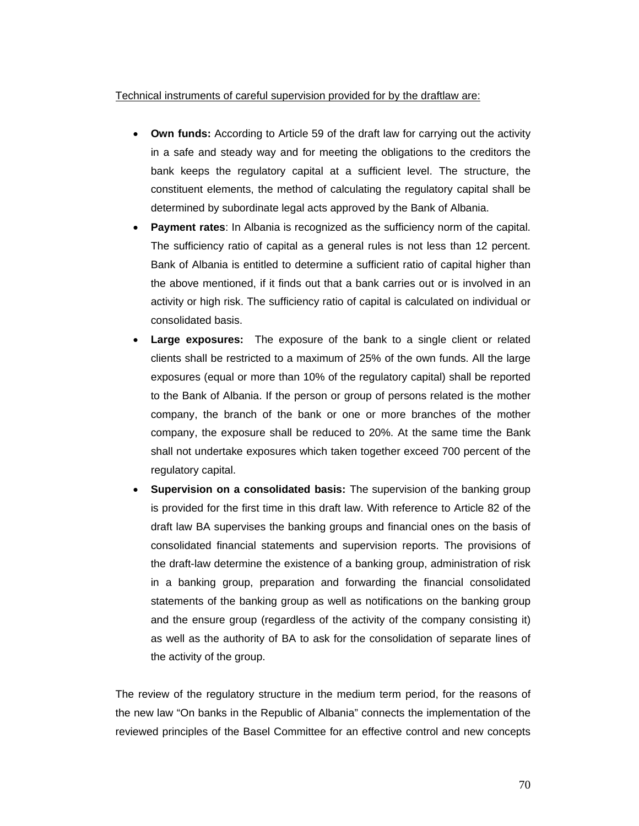# Technical instruments of careful supervision provided for by the draftlaw are:

- **Own funds:** According to Article 59 of the draft law for carrying out the activity in a safe and steady way and for meeting the obligations to the creditors the bank keeps the regulatory capital at a sufficient level. The structure, the constituent elements, the method of calculating the regulatory capital shall be determined by subordinate legal acts approved by the Bank of Albania.
- **Payment rates:** In Albania is recognized as the sufficiency norm of the capital. The sufficiency ratio of capital as a general rules is not less than 12 percent. Bank of Albania is entitled to determine a sufficient ratio of capital higher than the above mentioned, if it finds out that a bank carries out or is involved in an activity or high risk. The sufficiency ratio of capital is calculated on individual or consolidated basis.
- **Large exposures:** The exposure of the bank to a single client or related clients shall be restricted to a maximum of 25% of the own funds. All the large exposures (equal or more than 10% of the regulatory capital) shall be reported to the Bank of Albania. If the person or group of persons related is the mother company, the branch of the bank or one or more branches of the mother company, the exposure shall be reduced to 20%. At the same time the Bank shall not undertake exposures which taken together exceed 700 percent of the regulatory capital.
- **Supervision on a consolidated basis:** The supervision of the banking group is provided for the first time in this draft law. With reference to Article 82 of the draft law BA supervises the banking groups and financial ones on the basis of consolidated financial statements and supervision reports. The provisions of the draft-law determine the existence of a banking group, administration of risk in a banking group, preparation and forwarding the financial consolidated statements of the banking group as well as notifications on the banking group and the ensure group (regardless of the activity of the company consisting it) as well as the authority of BA to ask for the consolidation of separate lines of the activity of the group.

The review of the regulatory structure in the medium term period, for the reasons of the new law "On banks in the Republic of Albania" connects the implementation of the reviewed principles of the Basel Committee for an effective control and new concepts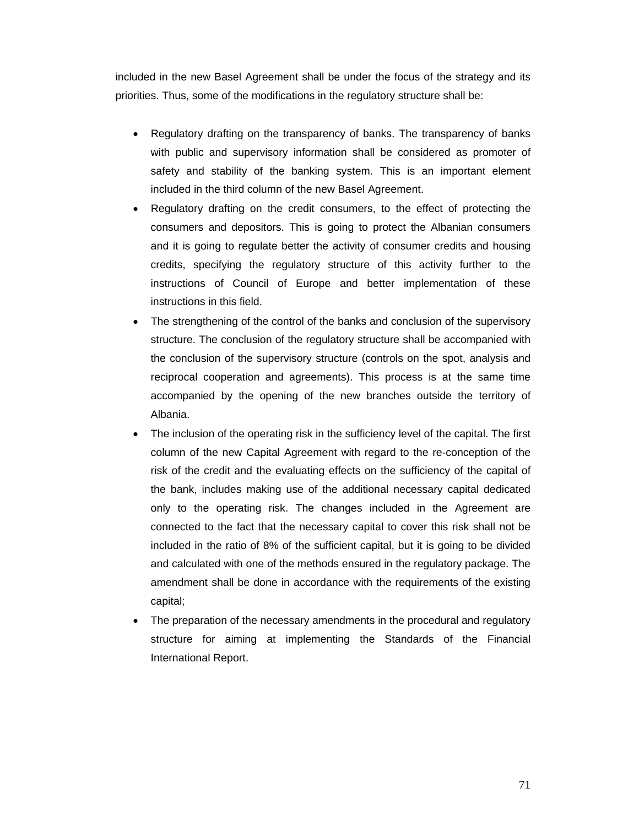included in the new Basel Agreement shall be under the focus of the strategy and its priorities. Thus, some of the modifications in the regulatory structure shall be:

- Regulatory drafting on the transparency of banks. The transparency of banks with public and supervisory information shall be considered as promoter of safety and stability of the banking system. This is an important element included in the third column of the new Basel Agreement.
- Regulatory drafting on the credit consumers, to the effect of protecting the consumers and depositors. This is going to protect the Albanian consumers and it is going to regulate better the activity of consumer credits and housing credits, specifying the regulatory structure of this activity further to the instructions of Council of Europe and better implementation of these instructions in this field.
- The strengthening of the control of the banks and conclusion of the supervisory structure. The conclusion of the regulatory structure shall be accompanied with the conclusion of the supervisory structure (controls on the spot, analysis and reciprocal cooperation and agreements). This process is at the same time accompanied by the opening of the new branches outside the territory of Albania.
- The inclusion of the operating risk in the sufficiency level of the capital. The first column of the new Capital Agreement with regard to the re-conception of the risk of the credit and the evaluating effects on the sufficiency of the capital of the bank, includes making use of the additional necessary capital dedicated only to the operating risk. The changes included in the Agreement are connected to the fact that the necessary capital to cover this risk shall not be included in the ratio of 8% of the sufficient capital, but it is going to be divided and calculated with one of the methods ensured in the regulatory package. The amendment shall be done in accordance with the requirements of the existing capital;
- The preparation of the necessary amendments in the procedural and regulatory structure for aiming at implementing the Standards of the Financial International Report.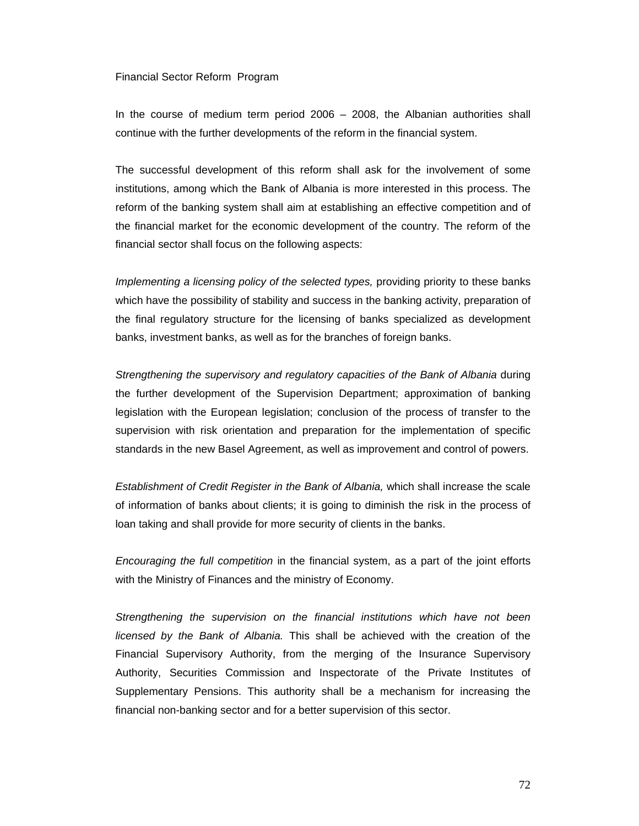#### Financial Sector Reform Program

In the course of medium term period 2006 – 2008, the Albanian authorities shall continue with the further developments of the reform in the financial system.

The successful development of this reform shall ask for the involvement of some institutions, among which the Bank of Albania is more interested in this process. The reform of the banking system shall aim at establishing an effective competition and of the financial market for the economic development of the country. The reform of the financial sector shall focus on the following aspects:

*Implementing a licensing policy of the selected types, providing priority to these banks* which have the possibility of stability and success in the banking activity, preparation of the final regulatory structure for the licensing of banks specialized as development banks, investment banks, as well as for the branches of foreign banks.

*Strengthening the supervisory and regulatory capacities of the Bank of Albania* during the further development of the Supervision Department; approximation of banking legislation with the European legislation; conclusion of the process of transfer to the supervision with risk orientation and preparation for the implementation of specific standards in the new Basel Agreement, as well as improvement and control of powers.

*Establishment of Credit Register in the Bank of Albania,* which shall increase the scale of information of banks about clients; it is going to diminish the risk in the process of loan taking and shall provide for more security of clients in the banks.

*Encouraging the full competition* in the financial system, as a part of the joint efforts with the Ministry of Finances and the ministry of Economy.

*Strengthening the supervision on the financial institutions which have not been licensed by the Bank of Albania.* This shall be achieved with the creation of the Financial Supervisory Authority, from the merging of the Insurance Supervisory Authority, Securities Commission and Inspectorate of the Private Institutes of Supplementary Pensions. This authority shall be a mechanism for increasing the financial non-banking sector and for a better supervision of this sector.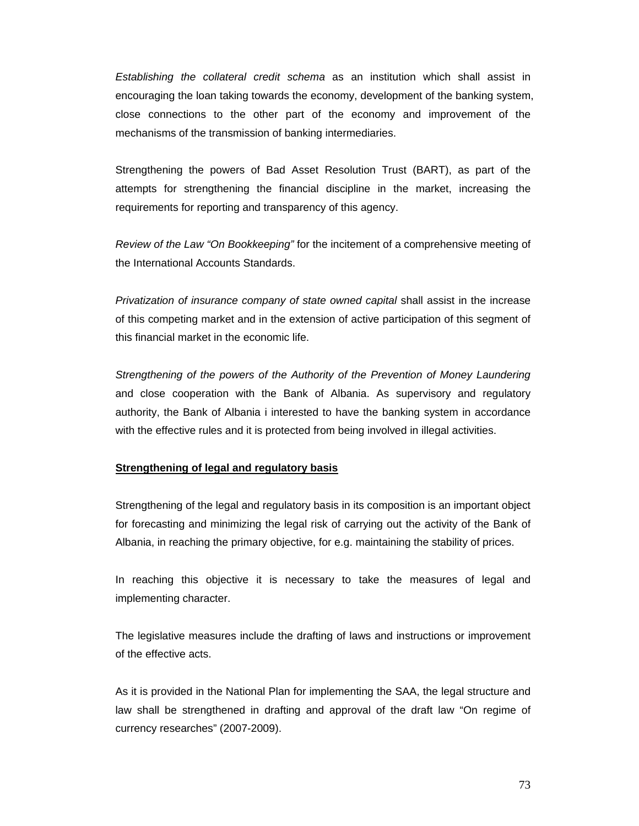*Establishing the collateral credit schema* as an institution which shall assist in encouraging the loan taking towards the economy, development of the banking system, close connections to the other part of the economy and improvement of the mechanisms of the transmission of banking intermediaries.

Strengthening the powers of Bad Asset Resolution Trust (BART), as part of the attempts for strengthening the financial discipline in the market, increasing the requirements for reporting and transparency of this agency.

*Review of the Law "On Bookkeeping"* for the incitement of a comprehensive meeting of the International Accounts Standards.

*Privatization of insurance company of state owned capital* shall assist in the increase of this competing market and in the extension of active participation of this segment of this financial market in the economic life.

*Strengthening of the powers of the Authority of the Prevention of Money Laundering*  and close cooperation with the Bank of Albania. As supervisory and regulatory authority, the Bank of Albania i interested to have the banking system in accordance with the effective rules and it is protected from being involved in illegal activities.

#### **Strengthening of legal and regulatory basis**

Strengthening of the legal and regulatory basis in its composition is an important object for forecasting and minimizing the legal risk of carrying out the activity of the Bank of Albania, in reaching the primary objective, for e.g. maintaining the stability of prices.

In reaching this objective it is necessary to take the measures of legal and implementing character.

The legislative measures include the drafting of laws and instructions or improvement of the effective acts.

As it is provided in the National Plan for implementing the SAA, the legal structure and law shall be strengthened in drafting and approval of the draft law "On regime of currency researches" (2007-2009).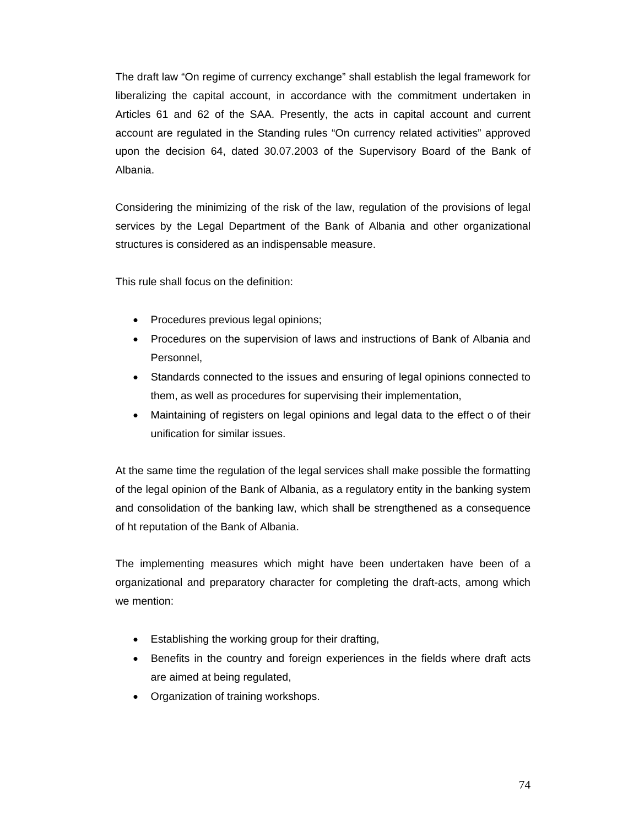The draft law "On regime of currency exchange" shall establish the legal framework for liberalizing the capital account, in accordance with the commitment undertaken in Articles 61 and 62 of the SAA. Presently, the acts in capital account and current account are regulated in the Standing rules "On currency related activities" approved upon the decision 64, dated 30.07.2003 of the Supervisory Board of the Bank of Albania.

Considering the minimizing of the risk of the law, regulation of the provisions of legal services by the Legal Department of the Bank of Albania and other organizational structures is considered as an indispensable measure.

This rule shall focus on the definition:

- Procedures previous legal opinions;
- Procedures on the supervision of laws and instructions of Bank of Albania and Personnel,
- Standards connected to the issues and ensuring of legal opinions connected to them, as well as procedures for supervising their implementation,
- Maintaining of registers on legal opinions and legal data to the effect o of their unification for similar issues.

At the same time the regulation of the legal services shall make possible the formatting of the legal opinion of the Bank of Albania, as a regulatory entity in the banking system and consolidation of the banking law, which shall be strengthened as a consequence of ht reputation of the Bank of Albania.

The implementing measures which might have been undertaken have been of a organizational and preparatory character for completing the draft-acts, among which we mention:

- Establishing the working group for their drafting,
- Benefits in the country and foreign experiences in the fields where draft acts are aimed at being regulated,
- Organization of training workshops.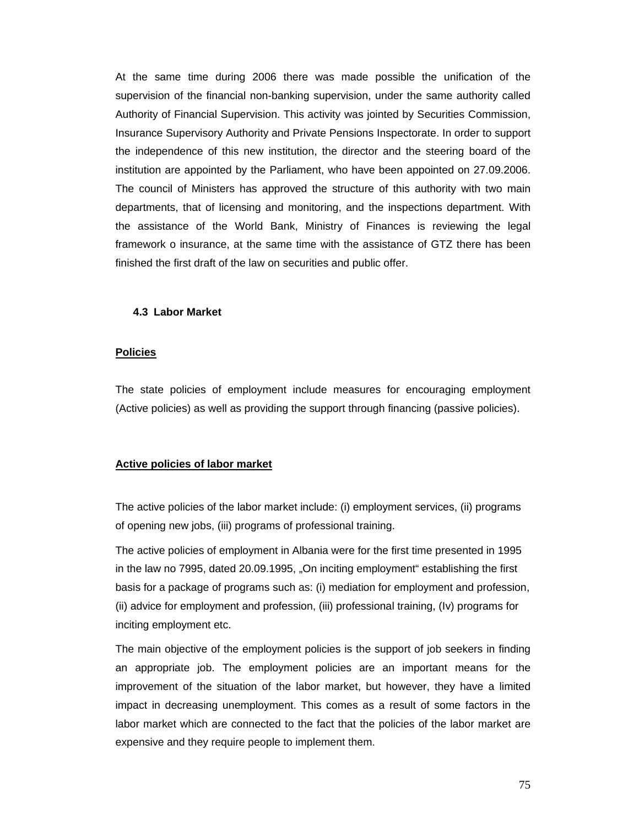At the same time during 2006 there was made possible the unification of the supervision of the financial non-banking supervision, under the same authority called Authority of Financial Supervision. This activity was jointed by Securities Commission, Insurance Supervisory Authority and Private Pensions Inspectorate. In order to support the independence of this new institution, the director and the steering board of the institution are appointed by the Parliament, who have been appointed on 27.09.2006. The council of Ministers has approved the structure of this authority with two main departments, that of licensing and monitoring, and the inspections department. With the assistance of the World Bank, Ministry of Finances is reviewing the legal framework o insurance, at the same time with the assistance of GTZ there has been finished the first draft of the law on securities and public offer.

#### **4.3 Labor Market**

#### **Policies**

The state policies of employment include measures for encouraging employment (Active policies) as well as providing the support through financing (passive policies).

### **Active policies of labor market**

The active policies of the labor market include: (i) employment services, (ii) programs of opening new jobs, (iii) programs of professional training.

The active policies of employment in Albania were for the first time presented in 1995 in the law no 7995, dated 20.09.1995, "On inciting employment" establishing the first basis for a package of programs such as: (i) mediation for employment and profession, (ii) advice for employment and profession, (iii) professional training, (Iv) programs for inciting employment etc.

The main objective of the employment policies is the support of job seekers in finding an appropriate job. The employment policies are an important means for the improvement of the situation of the labor market, but however, they have a limited impact in decreasing unemployment. This comes as a result of some factors in the labor market which are connected to the fact that the policies of the labor market are expensive and they require people to implement them.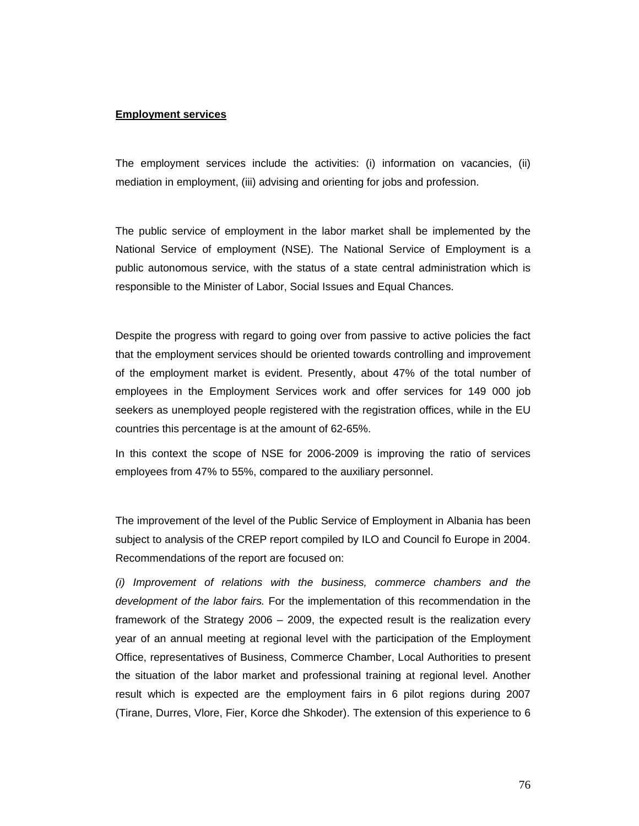#### **Employment services**

The employment services include the activities: (i) information on vacancies, (ii) mediation in employment, (iii) advising and orienting for jobs and profession.

The public service of employment in the labor market shall be implemented by the National Service of employment (NSE). The National Service of Employment is a public autonomous service, with the status of a state central administration which is responsible to the Minister of Labor, Social Issues and Equal Chances.

Despite the progress with regard to going over from passive to active policies the fact that the employment services should be oriented towards controlling and improvement of the employment market is evident. Presently, about 47% of the total number of employees in the Employment Services work and offer services for 149 000 job seekers as unemployed people registered with the registration offices, while in the EU countries this percentage is at the amount of 62-65%.

In this context the scope of NSE for 2006-2009 is improving the ratio of services employees from 47% to 55%, compared to the auxiliary personnel.

The improvement of the level of the Public Service of Employment in Albania has been subject to analysis of the CREP report compiled by ILO and Council fo Europe in 2004. Recommendations of the report are focused on:

*(i) Improvement of relations with the business, commerce chambers and the development of the labor fairs.* For the implementation of this recommendation in the framework of the Strategy 2006 – 2009, the expected result is the realization every year of an annual meeting at regional level with the participation of the Employment Office, representatives of Business, Commerce Chamber, Local Authorities to present the situation of the labor market and professional training at regional level. Another result which is expected are the employment fairs in 6 pilot regions during 2007 (Tirane, Durres, Vlore, Fier, Korce dhe Shkoder). The extension of this experience to 6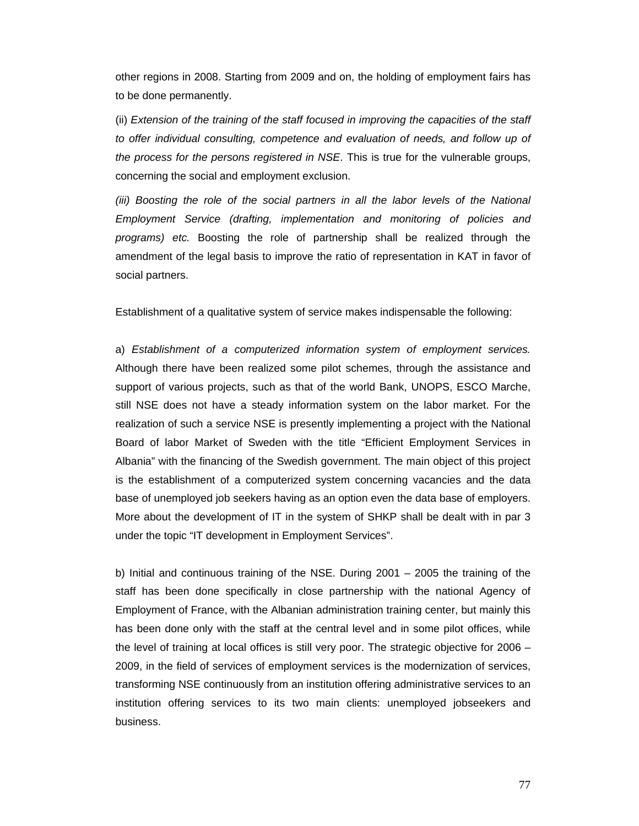other regions in 2008. Starting from 2009 and on, the holding of employment fairs has to be done permanently.

(ii) *Extension of the training of the staff focused in improving the capacities of the staff to offer individual consulting, competence and evaluation of needs, and follow up of the process for the persons registered in NSE*. This is true for the vulnerable groups, concerning the social and employment exclusion.

*(iii)* Boosting the role of the social partners in all the labor levels of the National *Employment Service (drafting, implementation and monitoring of policies and programs) etc.* Boosting the role of partnership shall be realized through the amendment of the legal basis to improve the ratio of representation in KAT in favor of social partners.

Establishment of a qualitative system of service makes indispensable the following:

a) *Establishment of a computerized information system of employment services.*  Although there have been realized some pilot schemes, through the assistance and support of various projects, such as that of the world Bank, UNOPS, ESCO Marche, still NSE does not have a steady information system on the labor market. For the realization of such a service NSE is presently implementing a project with the National Board of labor Market of Sweden with the title "Efficient Employment Services in Albania" with the financing of the Swedish government. The main object of this project is the establishment of a computerized system concerning vacancies and the data base of unemployed job seekers having as an option even the data base of employers. More about the development of IT in the system of SHKP shall be dealt with in par 3 under the topic "IT development in Employment Services".

b) Initial and continuous training of the NSE. During 2001 – 2005 the training of the staff has been done specifically in close partnership with the national Agency of Employment of France, with the Albanian administration training center, but mainly this has been done only with the staff at the central level and in some pilot offices, while the level of training at local offices is still very poor. The strategic objective for 2006 – 2009, in the field of services of employment services is the modernization of services, transforming NSE continuously from an institution offering administrative services to an institution offering services to its two main clients: unemployed jobseekers and business.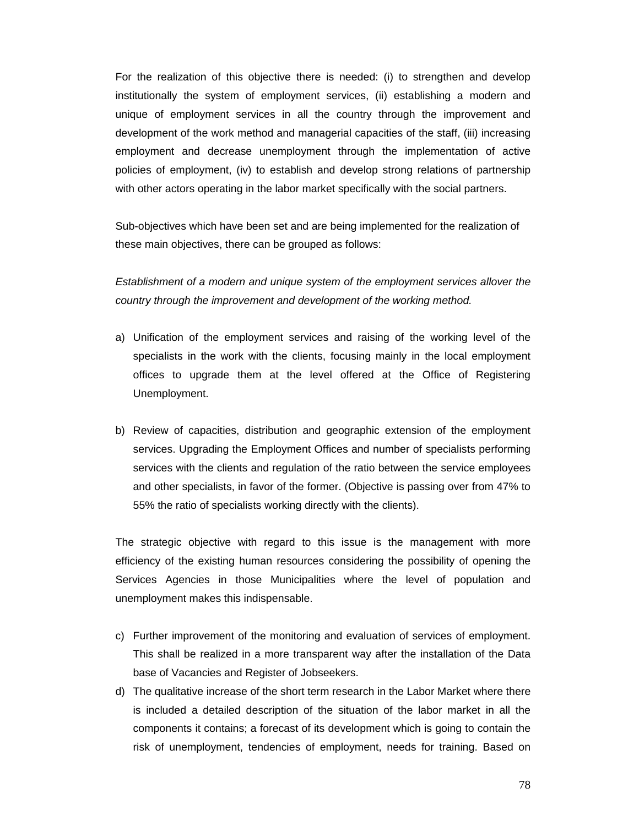For the realization of this objective there is needed: (i) to strengthen and develop institutionally the system of employment services, (ii) establishing a modern and unique of employment services in all the country through the improvement and development of the work method and managerial capacities of the staff, (iii) increasing employment and decrease unemployment through the implementation of active policies of employment, (iv) to establish and develop strong relations of partnership with other actors operating in the labor market specifically with the social partners.

Sub-objectives which have been set and are being implemented for the realization of these main objectives, there can be grouped as follows:

*Establishment of a modern and unique system of the employment services allover the country through the improvement and development of the working method.* 

- a) Unification of the employment services and raising of the working level of the specialists in the work with the clients, focusing mainly in the local employment offices to upgrade them at the level offered at the Office of Registering Unemployment.
- b) Review of capacities, distribution and geographic extension of the employment services. Upgrading the Employment Offices and number of specialists performing services with the clients and regulation of the ratio between the service employees and other specialists, in favor of the former. (Objective is passing over from 47% to 55% the ratio of specialists working directly with the clients).

The strategic objective with regard to this issue is the management with more efficiency of the existing human resources considering the possibility of opening the Services Agencies in those Municipalities where the level of population and unemployment makes this indispensable.

- c) Further improvement of the monitoring and evaluation of services of employment. This shall be realized in a more transparent way after the installation of the Data base of Vacancies and Register of Jobseekers.
- d) The qualitative increase of the short term research in the Labor Market where there is included a detailed description of the situation of the labor market in all the components it contains; a forecast of its development which is going to contain the risk of unemployment, tendencies of employment, needs for training. Based on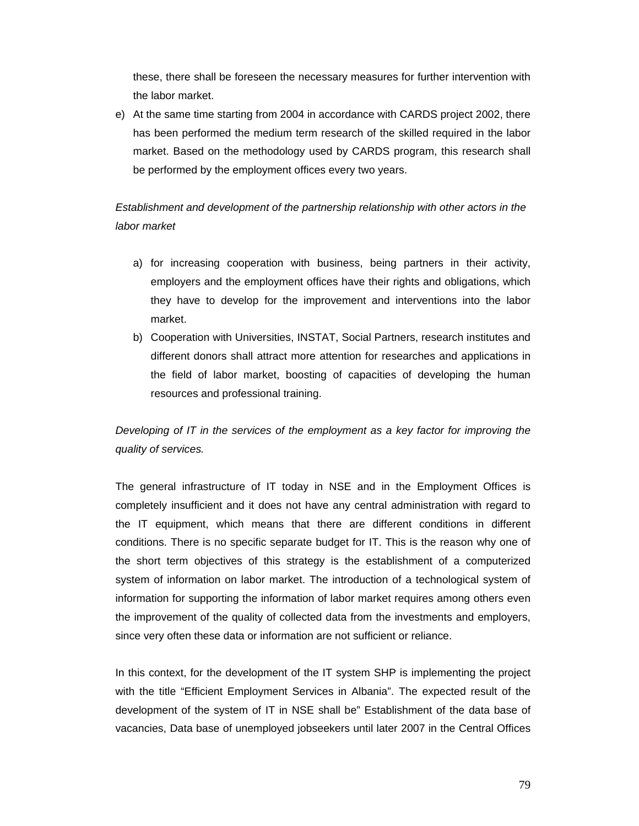these, there shall be foreseen the necessary measures for further intervention with the labor market.

e) At the same time starting from 2004 in accordance with CARDS project 2002, there has been performed the medium term research of the skilled required in the labor market. Based on the methodology used by CARDS program, this research shall be performed by the employment offices every two years.

# *Establishment and development of the partnership relationship with other actors in the labor market*

- a) for increasing cooperation with business, being partners in their activity, employers and the employment offices have their rights and obligations, which they have to develop for the improvement and interventions into the labor market.
- b) Cooperation with Universities, INSTAT, Social Partners, research institutes and different donors shall attract more attention for researches and applications in the field of labor market, boosting of capacities of developing the human resources and professional training.

*Developing of IT in the services of the employment as a key factor for improving the quality of services.* 

The general infrastructure of IT today in NSE and in the Employment Offices is completely insufficient and it does not have any central administration with regard to the IT equipment, which means that there are different conditions in different conditions. There is no specific separate budget for IT. This is the reason why one of the short term objectives of this strategy is the establishment of a computerized system of information on labor market. The introduction of a technological system of information for supporting the information of labor market requires among others even the improvement of the quality of collected data from the investments and employers, since very often these data or information are not sufficient or reliance.

In this context, for the development of the IT system SHP is implementing the project with the title "Efficient Employment Services in Albania". The expected result of the development of the system of IT in NSE shall be" Establishment of the data base of vacancies, Data base of unemployed jobseekers until later 2007 in the Central Offices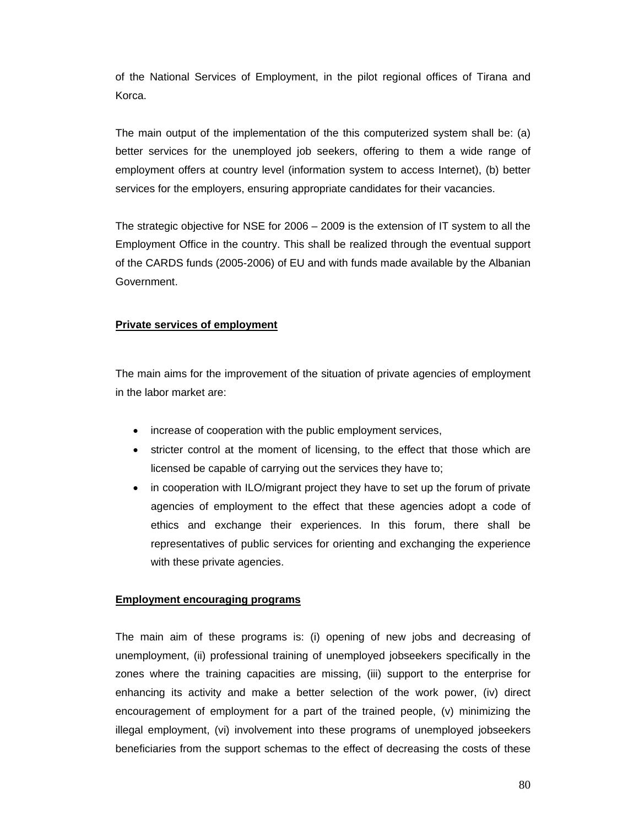of the National Services of Employment, in the pilot regional offices of Tirana and Korca.

The main output of the implementation of the this computerized system shall be: (a) better services for the unemployed job seekers, offering to them a wide range of employment offers at country level (information system to access Internet), (b) better services for the employers, ensuring appropriate candidates for their vacancies.

The strategic objective for NSE for 2006 – 2009 is the extension of IT system to all the Employment Office in the country. This shall be realized through the eventual support of the CARDS funds (2005-2006) of EU and with funds made available by the Albanian Government.

## **Private services of employment**

The main aims for the improvement of the situation of private agencies of employment in the labor market are:

- increase of cooperation with the public employment services,
- stricter control at the moment of licensing, to the effect that those which are licensed be capable of carrying out the services they have to;
- in cooperation with ILO/migrant project they have to set up the forum of private agencies of employment to the effect that these agencies adopt a code of ethics and exchange their experiences. In this forum, there shall be representatives of public services for orienting and exchanging the experience with these private agencies.

#### **Employment encouraging programs**

The main aim of these programs is: (i) opening of new jobs and decreasing of unemployment, (ii) professional training of unemployed jobseekers specifically in the zones where the training capacities are missing, (iii) support to the enterprise for enhancing its activity and make a better selection of the work power, (iv) direct encouragement of employment for a part of the trained people, (v) minimizing the illegal employment, (vi) involvement into these programs of unemployed jobseekers beneficiaries from the support schemas to the effect of decreasing the costs of these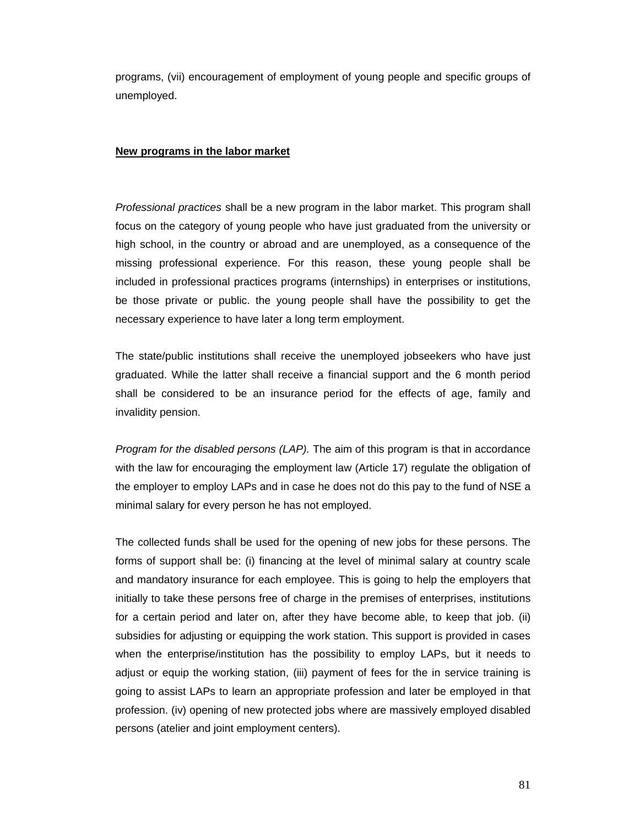programs, (vii) encouragement of employment of young people and specific groups of unemployed.

#### **New programs in the labor market**

*Professional practices* shall be a new program in the labor market. This program shall focus on the category of young people who have just graduated from the university or high school, in the country or abroad and are unemployed, as a consequence of the missing professional experience. For this reason, these young people shall be included in professional practices programs (internships) in enterprises or institutions, be those private or public. the young people shall have the possibility to get the necessary experience to have later a long term employment.

The state/public institutions shall receive the unemployed jobseekers who have just graduated. While the latter shall receive a financial support and the 6 month period shall be considered to be an insurance period for the effects of age, family and invalidity pension.

*Program for the disabled persons (LAP).* The aim of this program is that in accordance with the law for encouraging the employment law (Article 17) regulate the obligation of the employer to employ LAPs and in case he does not do this pay to the fund of NSE a minimal salary for every person he has not employed.

The collected funds shall be used for the opening of new jobs for these persons. The forms of support shall be: (i) financing at the level of minimal salary at country scale and mandatory insurance for each employee. This is going to help the employers that initially to take these persons free of charge in the premises of enterprises, institutions for a certain period and later on, after they have become able, to keep that job. (ii) subsidies for adjusting or equipping the work station. This support is provided in cases when the enterprise/institution has the possibility to employ LAPs, but it needs to adjust or equip the working station, (iii) payment of fees for the in service training is going to assist LAPs to learn an appropriate profession and later be employed in that profession. (iv) opening of new protected jobs where are massively employed disabled persons (atelier and joint employment centers).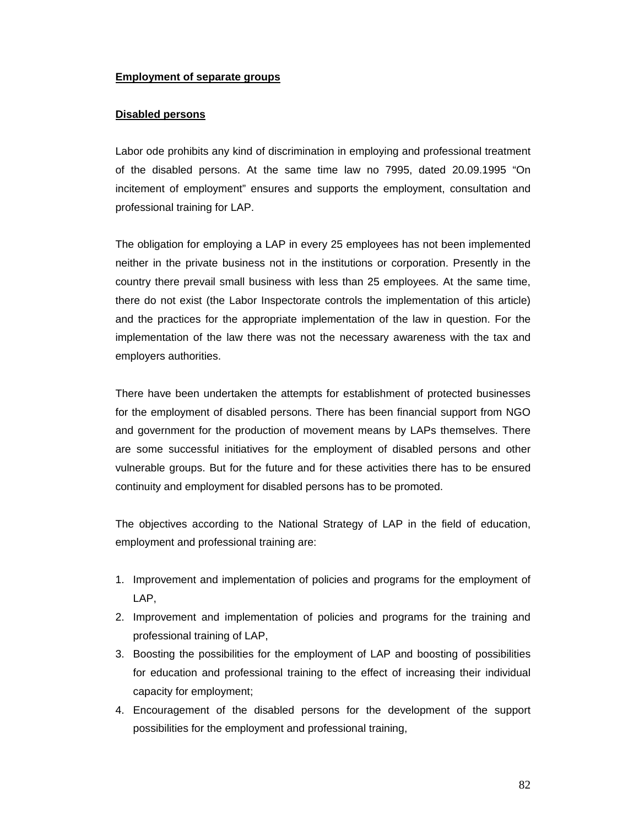### **Employment of separate groups**

### **Disabled persons**

Labor ode prohibits any kind of discrimination in employing and professional treatment of the disabled persons. At the same time law no 7995, dated 20.09.1995 "On incitement of employment" ensures and supports the employment, consultation and professional training for LAP.

The obligation for employing a LAP in every 25 employees has not been implemented neither in the private business not in the institutions or corporation. Presently in the country there prevail small business with less than 25 employees. At the same time, there do not exist (the Labor Inspectorate controls the implementation of this article) and the practices for the appropriate implementation of the law in question. For the implementation of the law there was not the necessary awareness with the tax and employers authorities.

There have been undertaken the attempts for establishment of protected businesses for the employment of disabled persons. There has been financial support from NGO and government for the production of movement means by LAPs themselves. There are some successful initiatives for the employment of disabled persons and other vulnerable groups. But for the future and for these activities there has to be ensured continuity and employment for disabled persons has to be promoted.

The objectives according to the National Strategy of LAP in the field of education, employment and professional training are:

- 1. Improvement and implementation of policies and programs for the employment of LAP,
- 2. Improvement and implementation of policies and programs for the training and professional training of LAP,
- 3. Boosting the possibilities for the employment of LAP and boosting of possibilities for education and professional training to the effect of increasing their individual capacity for employment;
- 4. Encouragement of the disabled persons for the development of the support possibilities for the employment and professional training,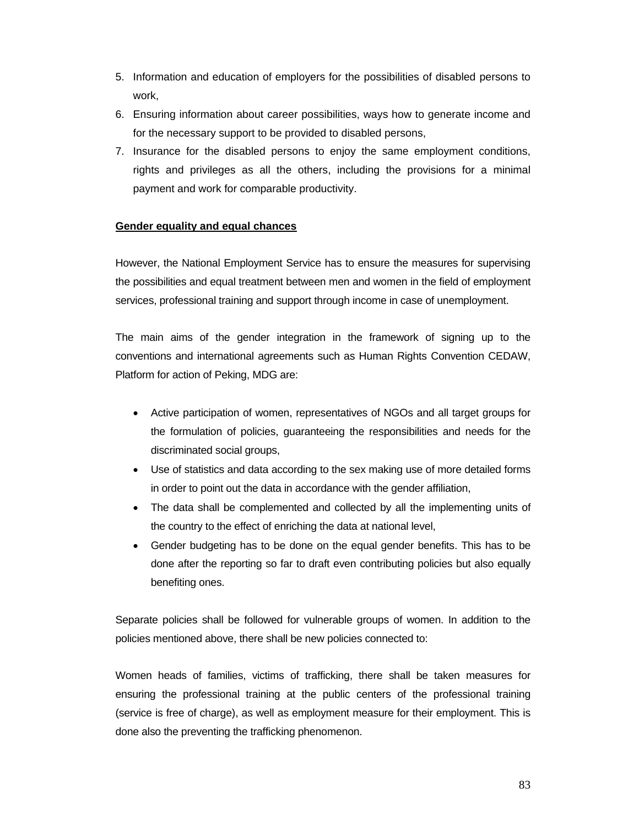- 5. Information and education of employers for the possibilities of disabled persons to work,
- 6. Ensuring information about career possibilities, ways how to generate income and for the necessary support to be provided to disabled persons,
- 7. Insurance for the disabled persons to enjoy the same employment conditions, rights and privileges as all the others, including the provisions for a minimal payment and work for comparable productivity.

## **Gender equality and equal chances**

However, the National Employment Service has to ensure the measures for supervising the possibilities and equal treatment between men and women in the field of employment services, professional training and support through income in case of unemployment.

The main aims of the gender integration in the framework of signing up to the conventions and international agreements such as Human Rights Convention CEDAW, Platform for action of Peking, MDG are:

- Active participation of women, representatives of NGOs and all target groups for the formulation of policies, guaranteeing the responsibilities and needs for the discriminated social groups,
- Use of statistics and data according to the sex making use of more detailed forms in order to point out the data in accordance with the gender affiliation,
- The data shall be complemented and collected by all the implementing units of the country to the effect of enriching the data at national level,
- Gender budgeting has to be done on the equal gender benefits. This has to be done after the reporting so far to draft even contributing policies but also equally benefiting ones.

Separate policies shall be followed for vulnerable groups of women. In addition to the policies mentioned above, there shall be new policies connected to:

Women heads of families, victims of trafficking, there shall be taken measures for ensuring the professional training at the public centers of the professional training (service is free of charge), as well as employment measure for their employment. This is done also the preventing the trafficking phenomenon.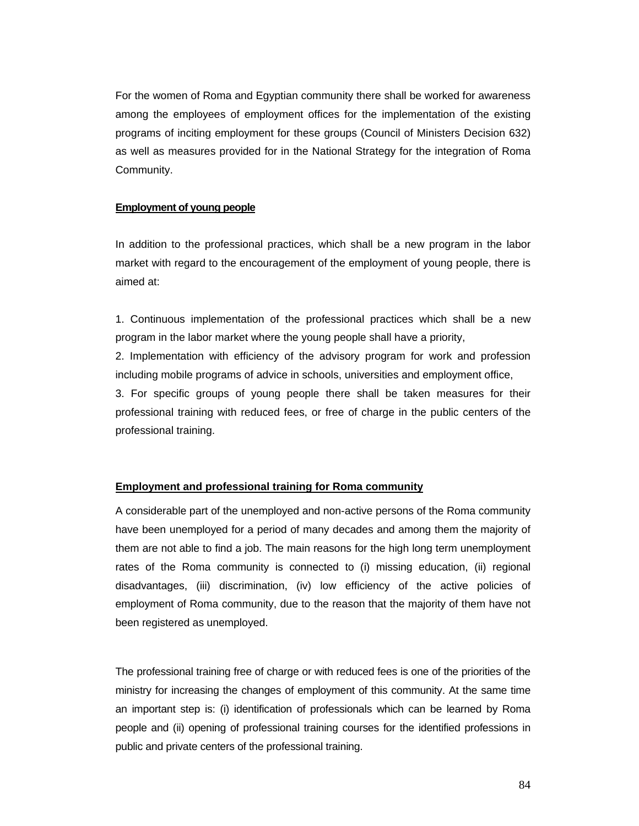For the women of Roma and Egyptian community there shall be worked for awareness among the employees of employment offices for the implementation of the existing programs of inciting employment for these groups (Council of Ministers Decision 632) as well as measures provided for in the National Strategy for the integration of Roma Community.

#### **Employment of young people**

In addition to the professional practices, which shall be a new program in the labor market with regard to the encouragement of the employment of young people, there is aimed at:

1. Continuous implementation of the professional practices which shall be a new program in the labor market where the young people shall have a priority,

2. Implementation with efficiency of the advisory program for work and profession including mobile programs of advice in schools, universities and employment office,

3. For specific groups of young people there shall be taken measures for their professional training with reduced fees, or free of charge in the public centers of the professional training.

#### **Employment and professional training for Roma community**

A considerable part of the unemployed and non-active persons of the Roma community have been unemployed for a period of many decades and among them the majority of them are not able to find a job. The main reasons for the high long term unemployment rates of the Roma community is connected to (i) missing education, (ii) regional disadvantages, (iii) discrimination, (iv) low efficiency of the active policies of employment of Roma community, due to the reason that the majority of them have not been registered as unemployed.

The professional training free of charge or with reduced fees is one of the priorities of the ministry for increasing the changes of employment of this community. At the same time an important step is: (i) identification of professionals which can be learned by Roma people and (ii) opening of professional training courses for the identified professions in public and private centers of the professional training.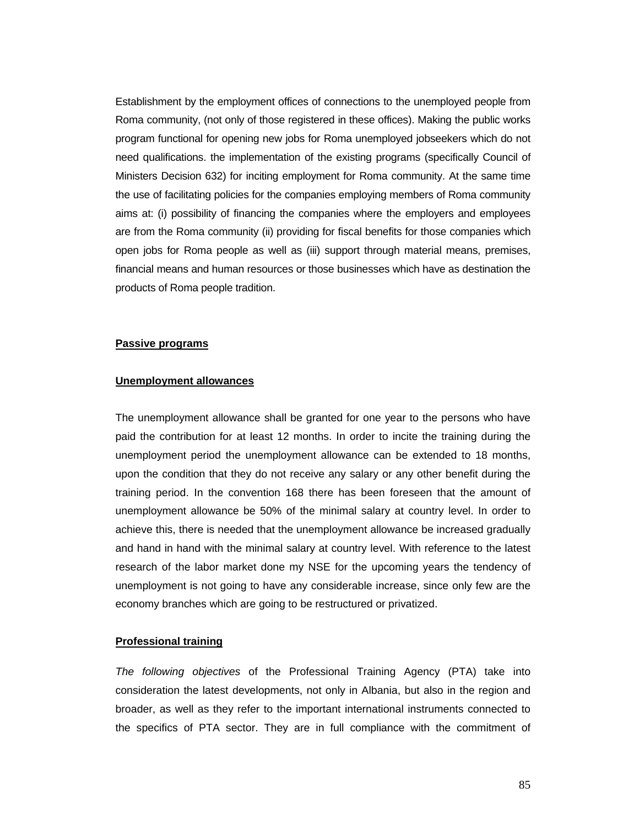Establishment by the employment offices of connections to the unemployed people from Roma community, (not only of those registered in these offices). Making the public works program functional for opening new jobs for Roma unemployed jobseekers which do not need qualifications. the implementation of the existing programs (specifically Council of Ministers Decision 632) for inciting employment for Roma community. At the same time the use of facilitating policies for the companies employing members of Roma community aims at: (i) possibility of financing the companies where the employers and employees are from the Roma community (ii) providing for fiscal benefits for those companies which open jobs for Roma people as well as (iii) support through material means, premises, financial means and human resources or those businesses which have as destination the products of Roma people tradition.

#### **Passive programs**

#### **Unemployment allowances**

The unemployment allowance shall be granted for one year to the persons who have paid the contribution for at least 12 months. In order to incite the training during the unemployment period the unemployment allowance can be extended to 18 months, upon the condition that they do not receive any salary or any other benefit during the training period. In the convention 168 there has been foreseen that the amount of unemployment allowance be 50% of the minimal salary at country level. In order to achieve this, there is needed that the unemployment allowance be increased gradually and hand in hand with the minimal salary at country level. With reference to the latest research of the labor market done my NSE for the upcoming years the tendency of unemployment is not going to have any considerable increase, since only few are the economy branches which are going to be restructured or privatized.

#### **Professional training**

*The following objectives* of the Professional Training Agency (PTA) take into consideration the latest developments, not only in Albania, but also in the region and broader, as well as they refer to the important international instruments connected to the specifics of PTA sector. They are in full compliance with the commitment of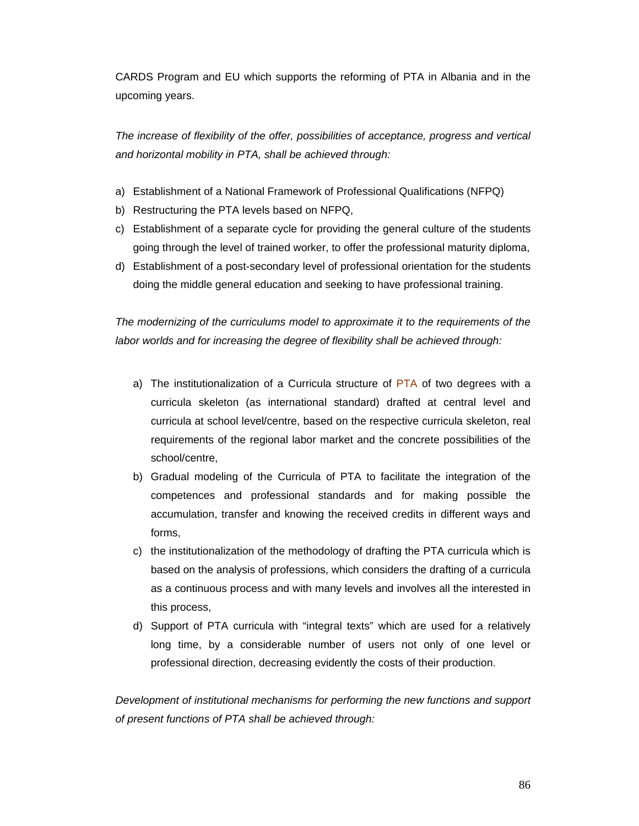CARDS Program and EU which supports the reforming of PTA in Albania and in the upcoming years.

*The increase of flexibility of the offer, possibilities of acceptance, progress and vertical and horizontal mobility in PTA, shall be achieved through:* 

- a) Establishment of a National Framework of Professional Qualifications (NFPQ)
- b) Restructuring the PTA levels based on NFPQ,
- c) Establishment of a separate cycle for providing the general culture of the students going through the level of trained worker, to offer the professional maturity diploma,
- d) Establishment of a post-secondary level of professional orientation for the students doing the middle general education and seeking to have professional training.

*The modernizing of the curriculums model to approximate it to the requirements of the labor worlds and for increasing the degree of flexibility shall be achieved through:* 

- a) The institutionalization of a Curricula structure of PTA of two degrees with a curricula skeleton (as international standard) drafted at central level and curricula at school level/centre, based on the respective curricula skeleton, real requirements of the regional labor market and the concrete possibilities of the school/centre,
- b) Gradual modeling of the Curricula of PTA to facilitate the integration of the competences and professional standards and for making possible the accumulation, transfer and knowing the received credits in different ways and forms,
- c) the institutionalization of the methodology of drafting the PTA curricula which is based on the analysis of professions, which considers the drafting of a curricula as a continuous process and with many levels and involves all the interested in this process,
- d) Support of PTA curricula with "integral texts" which are used for a relatively long time, by a considerable number of users not only of one level or professional direction, decreasing evidently the costs of their production.

*Development of institutional mechanisms for performing the new functions and support of present functions of PTA shall be achieved through:*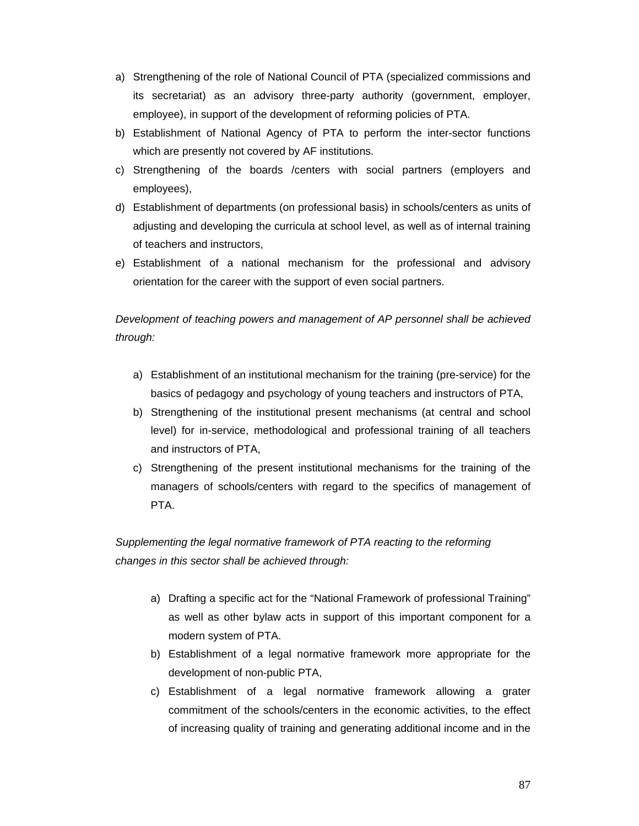- a) Strengthening of the role of National Council of PTA (specialized commissions and its secretariat) as an advisory three-party authority (government, employer, employee), in support of the development of reforming policies of PTA.
- b) Establishment of National Agency of PTA to perform the inter-sector functions which are presently not covered by AF institutions.
- c) Strengthening of the boards /centers with social partners (employers and employees),
- d) Establishment of departments (on professional basis) in schools/centers as units of adjusting and developing the curricula at school level, as well as of internal training of teachers and instructors,
- e) Establishment of a national mechanism for the professional and advisory orientation for the career with the support of even social partners.

# *Development of teaching powers and management of AP personnel shall be achieved through:*

- a) Establishment of an institutional mechanism for the training (pre-service) for the basics of pedagogy and psychology of young teachers and instructors of PTA,
- b) Strengthening of the institutional present mechanisms (at central and school level) for in-service, methodological and professional training of all teachers and instructors of PTA,
- c) Strengthening of the present institutional mechanisms for the training of the managers of schools/centers with regard to the specifics of management of PTA.

*Supplementing the legal normative framework of PTA reacting to the reforming changes in this sector shall be achieved through:* 

- a) Drafting a specific act for the "National Framework of professional Training" as well as other bylaw acts in support of this important component for a modern system of PTA.
- b) Establishment of a legal normative framework more appropriate for the development of non-public PTA,
- c) Establishment of a legal normative framework allowing a grater commitment of the schools/centers in the economic activities, to the effect of increasing quality of training and generating additional income and in the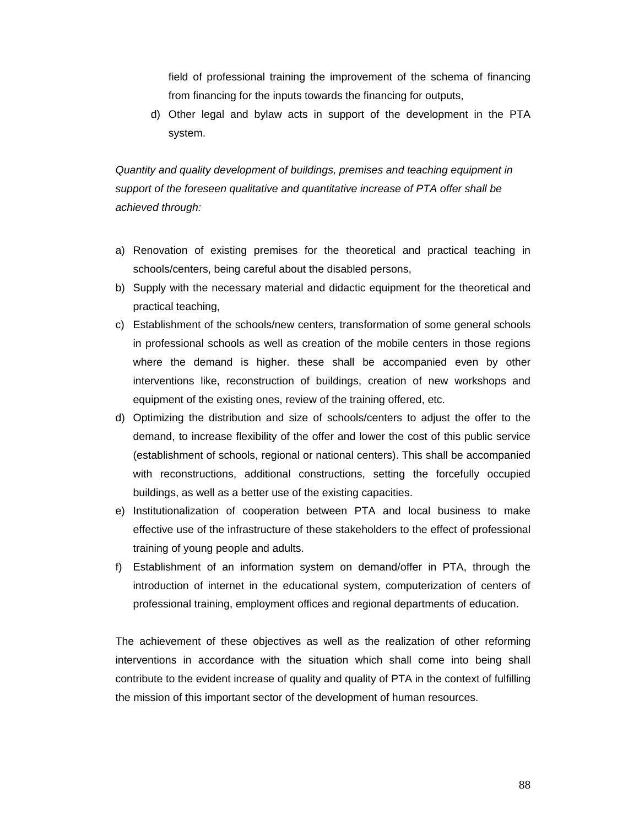field of professional training the improvement of the schema of financing from financing for the inputs towards the financing for outputs,

d) Other legal and bylaw acts in support of the development in the PTA system.

*Quantity and quality development of buildings, premises and teaching equipment in support of the foreseen qualitative and quantitative increase of PTA offer shall be achieved through:* 

- a) Renovation of existing premises for the theoretical and practical teaching in schools/centers, being careful about the disabled persons,
- b) Supply with the necessary material and didactic equipment for the theoretical and practical teaching,
- c) Establishment of the schools/new centers, transformation of some general schools in professional schools as well as creation of the mobile centers in those regions where the demand is higher. these shall be accompanied even by other interventions like, reconstruction of buildings, creation of new workshops and equipment of the existing ones, review of the training offered, etc.
- d) Optimizing the distribution and size of schools/centers to adjust the offer to the demand, to increase flexibility of the offer and lower the cost of this public service (establishment of schools, regional or national centers). This shall be accompanied with reconstructions, additional constructions, setting the forcefully occupied buildings, as well as a better use of the existing capacities.
- e) Institutionalization of cooperation between PTA and local business to make effective use of the infrastructure of these stakeholders to the effect of professional training of young people and adults.
- f) Establishment of an information system on demand/offer in PTA, through the introduction of internet in the educational system, computerization of centers of professional training, employment offices and regional departments of education.

The achievement of these objectives as well as the realization of other reforming interventions in accordance with the situation which shall come into being shall contribute to the evident increase of quality and quality of PTA in the context of fulfilling the mission of this important sector of the development of human resources.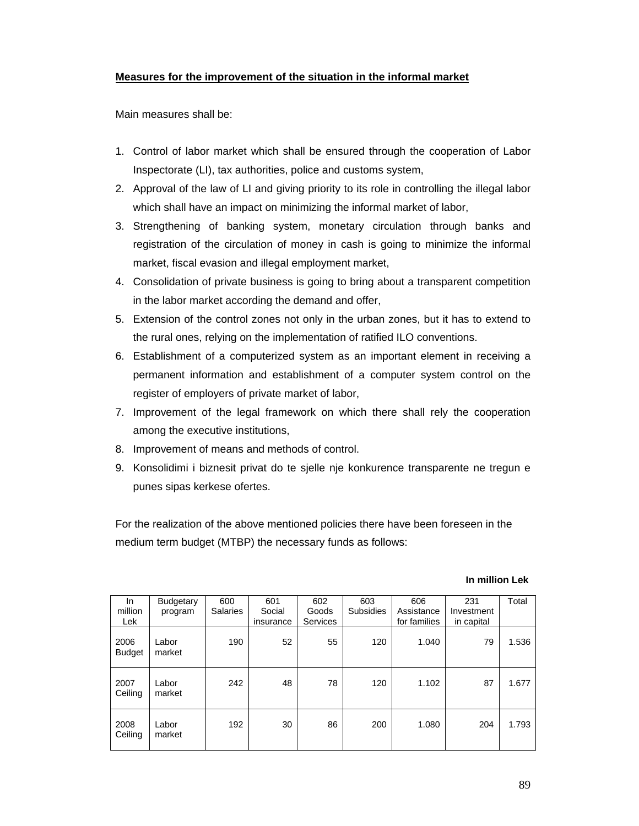## **Measures for the improvement of the situation in the informal market**

Main measures shall be:

- 1. Control of labor market which shall be ensured through the cooperation of Labor Inspectorate (LI), tax authorities, police and customs system,
- 2. Approval of the law of LI and giving priority to its role in controlling the illegal labor which shall have an impact on minimizing the informal market of labor,
- 3. Strengthening of banking system, monetary circulation through banks and registration of the circulation of money in cash is going to minimize the informal market, fiscal evasion and illegal employment market,
- 4. Consolidation of private business is going to bring about a transparent competition in the labor market according the demand and offer,
- 5. Extension of the control zones not only in the urban zones, but it has to extend to the rural ones, relying on the implementation of ratified ILO conventions.
- 6. Establishment of a computerized system as an important element in receiving a permanent information and establishment of a computer system control on the register of employers of private market of labor,
- 7. Improvement of the legal framework on which there shall rely the cooperation among the executive institutions,
- 8. Improvement of means and methods of control.
- 9. Konsolidimi i biznesit privat do te sjelle nje konkurence transparente ne tregun e punes sipas kerkese ofertes.

For the realization of the above mentioned policies there have been foreseen in the medium term budget (MTBP) the necessary funds as follows:

### **In million Lek**

| <b>In</b><br>million<br>Lek | <b>Budgetary</b><br>program | 600<br><b>Salaries</b> | 601<br>Social<br>insurance | 602<br>Goods<br>Services | 603<br><b>Subsidies</b> | 606<br>Assistance<br>for families | 231<br>Investment<br>in capital | Total |
|-----------------------------|-----------------------------|------------------------|----------------------------|--------------------------|-------------------------|-----------------------------------|---------------------------------|-------|
| 2006<br><b>Budget</b>       | Labor<br>market             | 190                    | 52                         | 55                       | 120                     | 1.040                             | 79                              | 1.536 |
| 2007<br>Ceiling             | Labor<br>market             | 242                    | 48                         | 78                       | 120                     | 1.102                             | 87                              | 1.677 |
| 2008<br>Ceiling             | Labor<br>market             | 192                    | 30                         | 86                       | 200                     | 1.080                             | 204                             | 1.793 |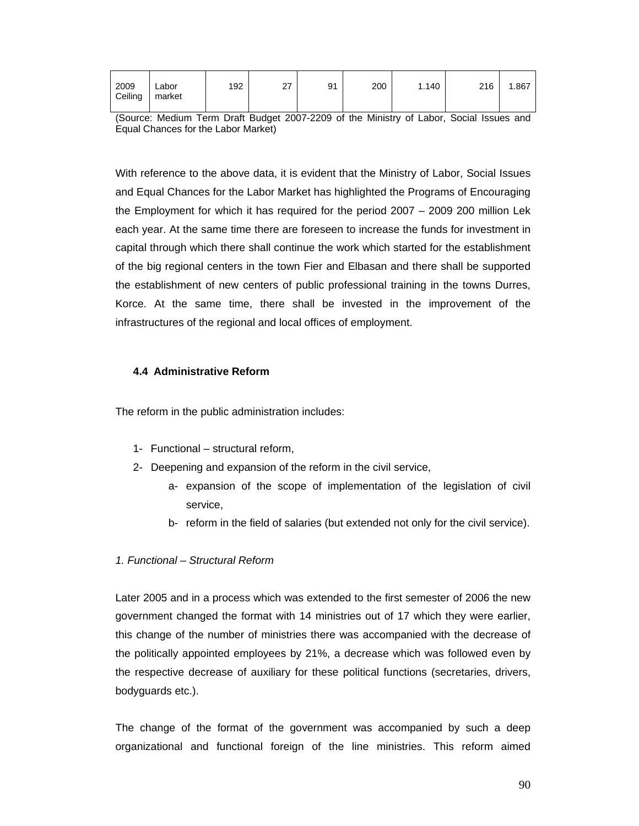| 2009<br>Ceiling | ∟abor<br>market | 192 | דה<br>∠ | 91 | 200 | 1.140 | 216 | 1.867 |
|-----------------|-----------------|-----|---------|----|-----|-------|-----|-------|
|                 |                 |     |         |    |     |       |     |       |

<sup>(</sup>Source: Medium Term Draft Budget 2007-2209 of the Ministry of Labor, Social Issues and Equal Chances for the Labor Market)

With reference to the above data, it is evident that the Ministry of Labor, Social Issues and Equal Chances for the Labor Market has highlighted the Programs of Encouraging the Employment for which it has required for the period 2007 – 2009 200 million Lek each year. At the same time there are foreseen to increase the funds for investment in capital through which there shall continue the work which started for the establishment of the big regional centers in the town Fier and Elbasan and there shall be supported the establishment of new centers of public professional training in the towns Durres, Korce. At the same time, there shall be invested in the improvement of the infrastructures of the regional and local offices of employment.

#### **4.4 Administrative Reform**

The reform in the public administration includes:

- 1- Functional structural reform,
- 2- Deepening and expansion of the reform in the civil service,
	- a- expansion of the scope of implementation of the legislation of civil service,
	- b- reform in the field of salaries (but extended not only for the civil service).

## *1. Functional – Structural Reform*

Later 2005 and in a process which was extended to the first semester of 2006 the new government changed the format with 14 ministries out of 17 which they were earlier, this change of the number of ministries there was accompanied with the decrease of the politically appointed employees by 21%, a decrease which was followed even by the respective decrease of auxiliary for these political functions (secretaries, drivers, bodyguards etc.).

The change of the format of the government was accompanied by such a deep organizational and functional foreign of the line ministries. This reform aimed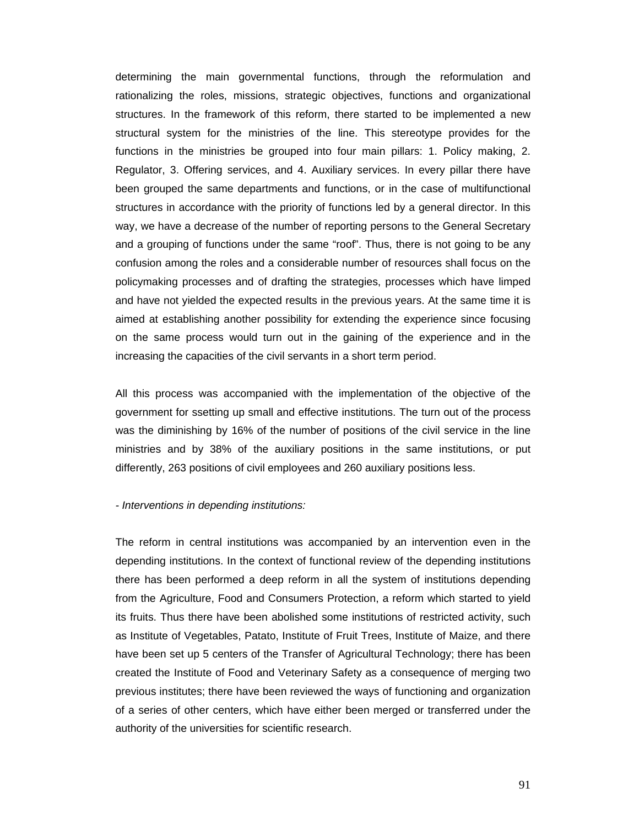determining the main governmental functions, through the reformulation and rationalizing the roles, missions, strategic objectives, functions and organizational structures. In the framework of this reform, there started to be implemented a new structural system for the ministries of the line. This stereotype provides for the functions in the ministries be grouped into four main pillars: 1. Policy making, 2. Regulator, 3. Offering services, and 4. Auxiliary services. In every pillar there have been grouped the same departments and functions, or in the case of multifunctional structures in accordance with the priority of functions led by a general director. In this way, we have a decrease of the number of reporting persons to the General Secretary and a grouping of functions under the same "roof". Thus, there is not going to be any confusion among the roles and a considerable number of resources shall focus on the policymaking processes and of drafting the strategies, processes which have limped and have not yielded the expected results in the previous years. At the same time it is aimed at establishing another possibility for extending the experience since focusing on the same process would turn out in the gaining of the experience and in the increasing the capacities of the civil servants in a short term period.

All this process was accompanied with the implementation of the objective of the government for ssetting up small and effective institutions. The turn out of the process was the diminishing by 16% of the number of positions of the civil service in the line ministries and by 38% of the auxiliary positions in the same institutions, or put differently, 263 positions of civil employees and 260 auxiliary positions less.

#### *- Interventions in depending institutions:*

The reform in central institutions was accompanied by an intervention even in the depending institutions. In the context of functional review of the depending institutions there has been performed a deep reform in all the system of institutions depending from the Agriculture, Food and Consumers Protection, a reform which started to yield its fruits. Thus there have been abolished some institutions of restricted activity, such as Institute of Vegetables, Patato, Institute of Fruit Trees, Institute of Maize, and there have been set up 5 centers of the Transfer of Agricultural Technology; there has been created the Institute of Food and Veterinary Safety as a consequence of merging two previous institutes; there have been reviewed the ways of functioning and organization of a series of other centers, which have either been merged or transferred under the authority of the universities for scientific research.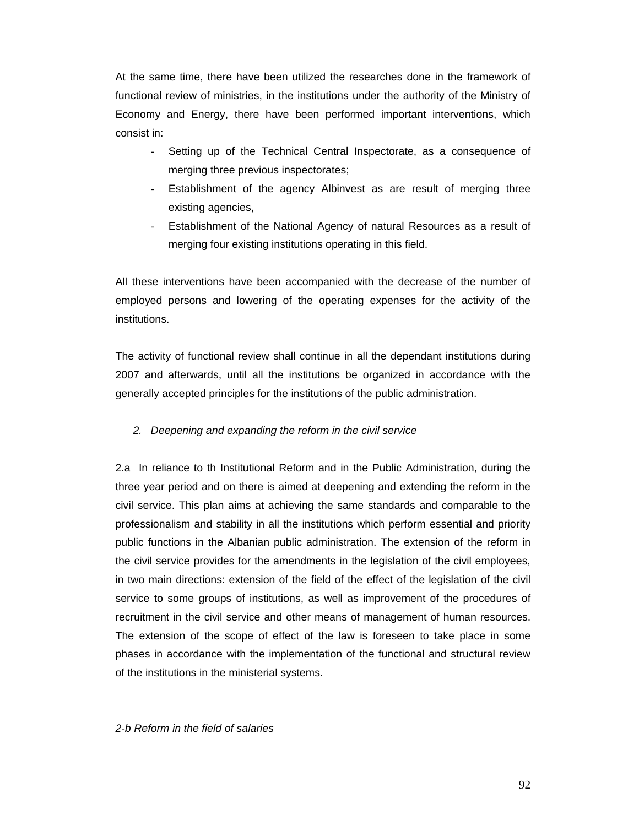At the same time, there have been utilized the researches done in the framework of functional review of ministries, in the institutions under the authority of the Ministry of Economy and Energy, there have been performed important interventions, which consist in:

- Setting up of the Technical Central Inspectorate, as a consequence of merging three previous inspectorates;
- Establishment of the agency Albinvest as are result of merging three existing agencies,
- Establishment of the National Agency of natural Resources as a result of merging four existing institutions operating in this field.

All these interventions have been accompanied with the decrease of the number of employed persons and lowering of the operating expenses for the activity of the institutions.

The activity of functional review shall continue in all the dependant institutions during 2007 and afterwards, until all the institutions be organized in accordance with the generally accepted principles for the institutions of the public administration.

## *2. Deepening and expanding the reform in the civil service*

2.a In reliance to th Institutional Reform and in the Public Administration, during the three year period and on there is aimed at deepening and extending the reform in the civil service. This plan aims at achieving the same standards and comparable to the professionalism and stability in all the institutions which perform essential and priority public functions in the Albanian public administration. The extension of the reform in the civil service provides for the amendments in the legislation of the civil employees, in two main directions: extension of the field of the effect of the legislation of the civil service to some groups of institutions, as well as improvement of the procedures of recruitment in the civil service and other means of management of human resources. The extension of the scope of effect of the law is foreseen to take place in some phases in accordance with the implementation of the functional and structural review of the institutions in the ministerial systems.

## *2-b Reform in the field of salaries*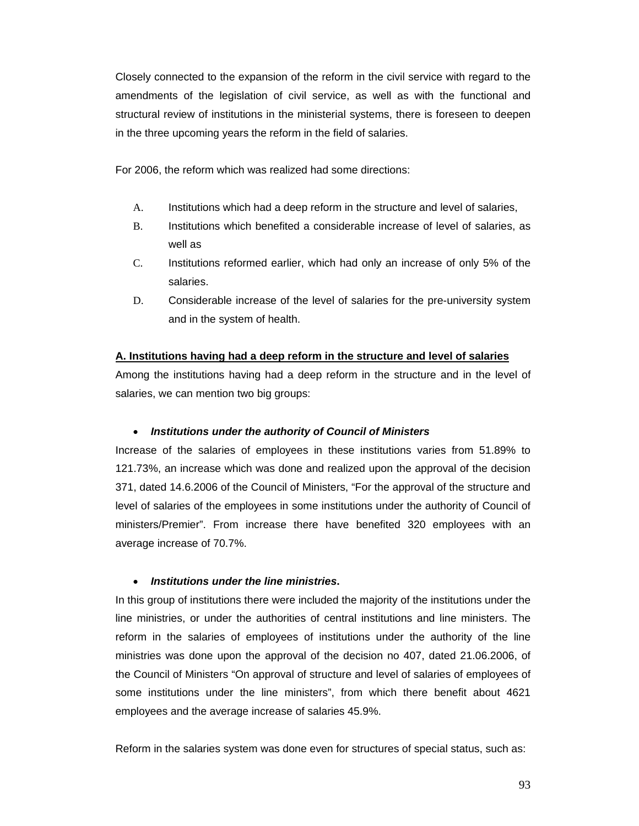Closely connected to the expansion of the reform in the civil service with regard to the amendments of the legislation of civil service, as well as with the functional and structural review of institutions in the ministerial systems, there is foreseen to deepen in the three upcoming years the reform in the field of salaries.

For 2006, the reform which was realized had some directions:

- A. Institutions which had a deep reform in the structure and level of salaries,
- B. Institutions which benefited a considerable increase of level of salaries, as well as
- C. Institutions reformed earlier, which had only an increase of only 5% of the salaries.
- D. Considerable increase of the level of salaries for the pre-university system and in the system of health.

## **A. Institutions having had a deep reform in the structure and level of salaries**

Among the institutions having had a deep reform in the structure and in the level of salaries, we can mention two big groups:

## • *Institutions under the authority of Council of Ministers*

Increase of the salaries of employees in these institutions varies from 51.89% to 121.73%, an increase which was done and realized upon the approval of the decision 371, dated 14.6.2006 of the Council of Ministers, "For the approval of the structure and level of salaries of the employees in some institutions under the authority of Council of ministers/Premier". From increase there have benefited 320 employees with an average increase of 70.7%.

## • *Institutions under the line ministries***.**

In this group of institutions there were included the majority of the institutions under the line ministries, or under the authorities of central institutions and line ministers. The reform in the salaries of employees of institutions under the authority of the line ministries was done upon the approval of the decision no 407, dated 21.06.2006, of the Council of Ministers "On approval of structure and level of salaries of employees of some institutions under the line ministers", from which there benefit about 4621 employees and the average increase of salaries 45.9%.

Reform in the salaries system was done even for structures of special status, such as: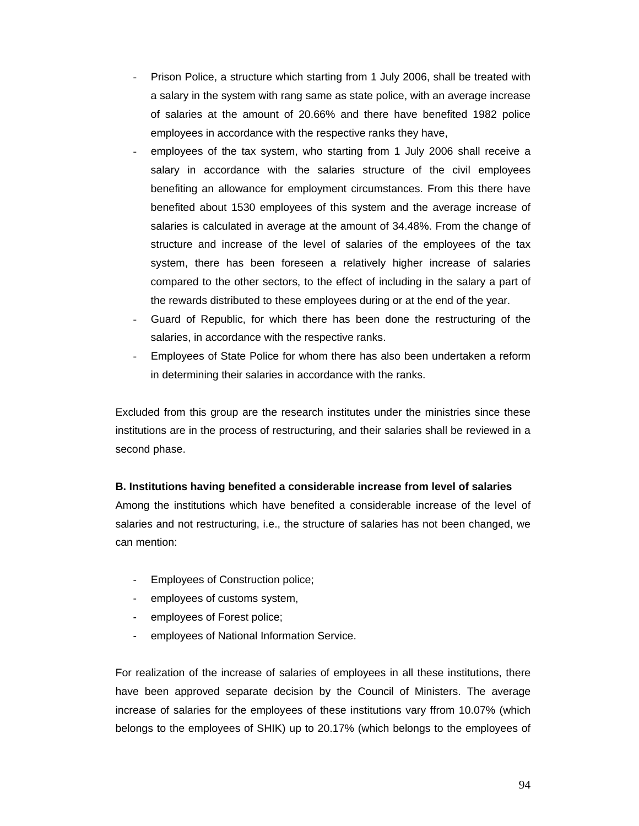- Prison Police, a structure which starting from 1 July 2006, shall be treated with a salary in the system with rang same as state police, with an average increase of salaries at the amount of 20.66% and there have benefited 1982 police employees in accordance with the respective ranks they have,
- employees of the tax system, who starting from 1 July 2006 shall receive a salary in accordance with the salaries structure of the civil employees benefiting an allowance for employment circumstances. From this there have benefited about 1530 employees of this system and the average increase of salaries is calculated in average at the amount of 34.48%. From the change of structure and increase of the level of salaries of the employees of the tax system, there has been foreseen a relatively higher increase of salaries compared to the other sectors, to the effect of including in the salary a part of the rewards distributed to these employees during or at the end of the year.
- Guard of Republic, for which there has been done the restructuring of the salaries, in accordance with the respective ranks.
- Employees of State Police for whom there has also been undertaken a reform in determining their salaries in accordance with the ranks.

Excluded from this group are the research institutes under the ministries since these institutions are in the process of restructuring, and their salaries shall be reviewed in a second phase.

## **B. Institutions having benefited a considerable increase from level of salaries**

Among the institutions which have benefited a considerable increase of the level of salaries and not restructuring, i.e., the structure of salaries has not been changed, we can mention:

- Employees of Construction police;
- employees of customs system,
- employees of Forest police;
- employees of National Information Service.

For realization of the increase of salaries of employees in all these institutions, there have been approved separate decision by the Council of Ministers. The average increase of salaries for the employees of these institutions vary ffrom 10.07% (which belongs to the employees of SHIK) up to 20.17% (which belongs to the employees of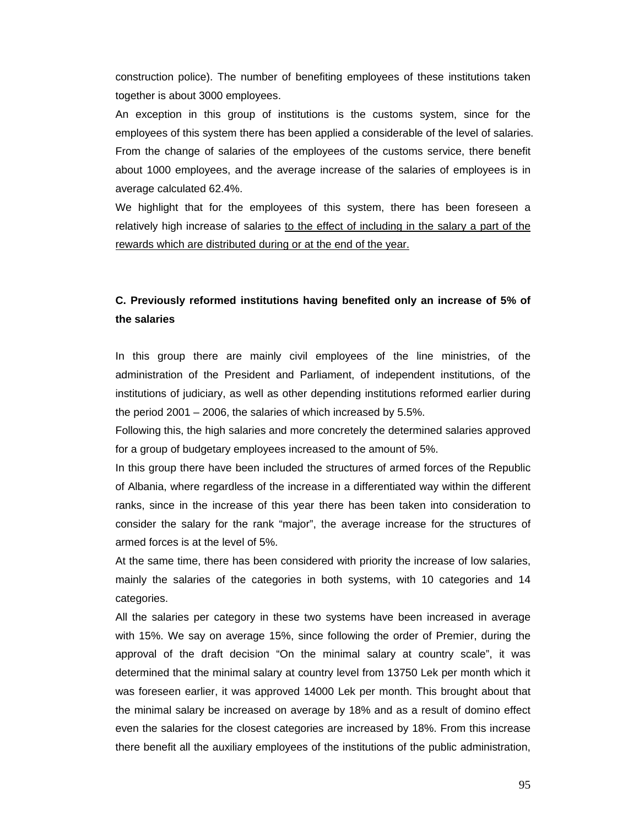construction police). The number of benefiting employees of these institutions taken together is about 3000 employees.

An exception in this group of institutions is the customs system, since for the employees of this system there has been applied a considerable of the level of salaries. From the change of salaries of the employees of the customs service, there benefit about 1000 employees, and the average increase of the salaries of employees is in average calculated 62.4%.

We highlight that for the employees of this system, there has been foreseen a relatively high increase of salaries to the effect of including in the salary a part of the rewards which are distributed during or at the end of the year.

## **C. Previously reformed institutions having benefited only an increase of 5% of the salaries**

In this group there are mainly civil employees of the line ministries, of the administration of the President and Parliament, of independent institutions, of the institutions of judiciary, as well as other depending institutions reformed earlier during the period 2001 – 2006, the salaries of which increased by 5.5%.

Following this, the high salaries and more concretely the determined salaries approved for a group of budgetary employees increased to the amount of 5%.

In this group there have been included the structures of armed forces of the Republic of Albania, where regardless of the increase in a differentiated way within the different ranks, since in the increase of this year there has been taken into consideration to consider the salary for the rank "major", the average increase for the structures of armed forces is at the level of 5%.

At the same time, there has been considered with priority the increase of low salaries, mainly the salaries of the categories in both systems, with 10 categories and 14 categories.

All the salaries per category in these two systems have been increased in average with 15%. We say on average 15%, since following the order of Premier, during the approval of the draft decision "On the minimal salary at country scale", it was determined that the minimal salary at country level from 13750 Lek per month which it was foreseen earlier, it was approved 14000 Lek per month. This brought about that the minimal salary be increased on average by 18% and as a result of domino effect even the salaries for the closest categories are increased by 18%. From this increase there benefit all the auxiliary employees of the institutions of the public administration,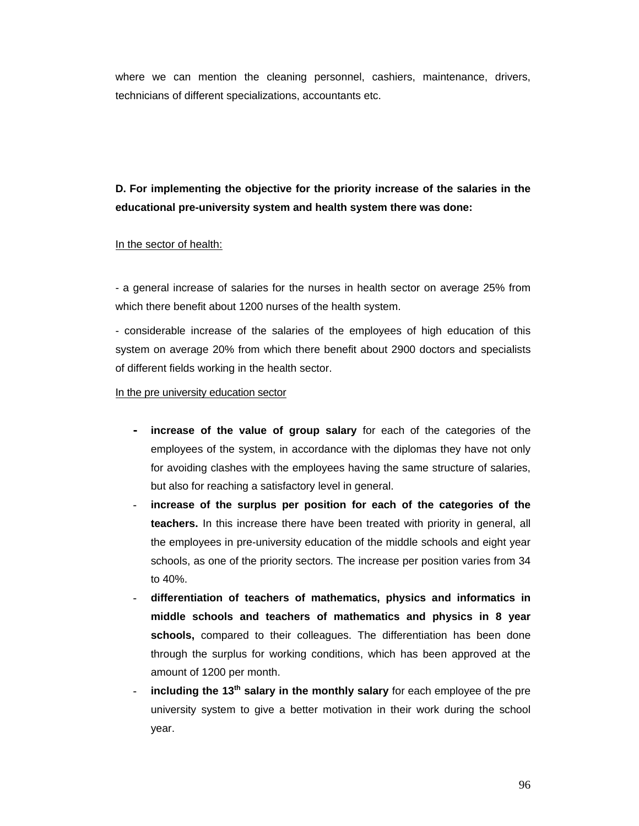where we can mention the cleaning personnel, cashiers, maintenance, drivers, technicians of different specializations, accountants etc.

**D. For implementing the objective for the priority increase of the salaries in the educational pre-university system and health system there was done:** 

#### In the sector of health:

- a general increase of salaries for the nurses in health sector on average 25% from which there benefit about 1200 nurses of the health system.

- considerable increase of the salaries of the employees of high education of this system on average 20% from which there benefit about 2900 doctors and specialists of different fields working in the health sector.

In the pre university education sector

- **- increase of the value of group salary** for each of the categories of the employees of the system, in accordance with the diplomas they have not only for avoiding clashes with the employees having the same structure of salaries, but also for reaching a satisfactory level in general.
- **- increase of the surplus per position for each of the categories of the teachers.** In this increase there have been treated with priority in general, all the employees in pre-university education of the middle schools and eight year schools, as one of the priority sectors. The increase per position varies from 34 to 40%.
- **- differentiation of teachers of mathematics, physics and informatics in middle schools and teachers of mathematics and physics in 8 year schools,** compared to their colleagues. The differentiation has been done through the surplus for working conditions, which has been approved at the amount of 1200 per month.
- **including the 13<sup>th</sup> salary in the monthly salary** for each employee of the pre university system to give a better motivation in their work during the school year.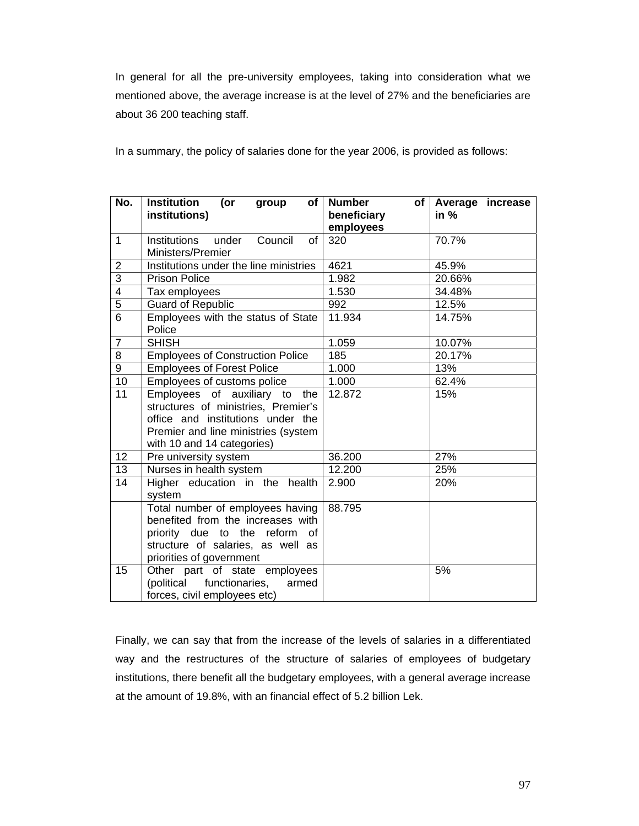In general for all the pre-university employees, taking into consideration what we mentioned above, the average increase is at the level of 27% and the beneficiaries are about 36 200 teaching staff.

In a summary, the policy of salaries done for the year 2006, is provided as follows:

| No.            | <b>Institution</b><br>(or<br>group<br>of<br>institutions)                                                                                                                      | <b>Number</b><br>of l<br>beneficiary | Average increase<br>in $%$ |
|----------------|--------------------------------------------------------------------------------------------------------------------------------------------------------------------------------|--------------------------------------|----------------------------|
|                |                                                                                                                                                                                | employees                            |                            |
| $\mathbf{1}$   | <b>Institutions</b><br>Council<br>under<br>οf                                                                                                                                  | 320                                  | 70.7%                      |
|                | Ministers/Premier                                                                                                                                                              |                                      |                            |
| $\overline{2}$ | Institutions under the line ministries                                                                                                                                         | 4621                                 | 45.9%                      |
| $\overline{3}$ | <b>Prison Police</b>                                                                                                                                                           | 1.982                                | 20.66%                     |
| $\overline{4}$ | Tax employees                                                                                                                                                                  | 1.530                                | 34.48%                     |
| $\overline{5}$ | <b>Guard of Republic</b>                                                                                                                                                       | 992                                  | 12.5%                      |
| $\overline{6}$ | Employees with the status of State<br>Police                                                                                                                                   | 11.934                               | 14.75%                     |
| $\overline{7}$ | <b>SHISH</b>                                                                                                                                                                   | 1.059                                | 10.07%                     |
| 8              | <b>Employees of Construction Police</b>                                                                                                                                        | 185                                  | 20.17%                     |
| 9              | <b>Employees of Forest Police</b>                                                                                                                                              | 1.000                                | 13%                        |
| 10             | Employees of customs police                                                                                                                                                    | 1.000                                | 62.4%                      |
| 11             | Employees of auxiliary to the<br>structures of ministries, Premier's<br>office and institutions under the<br>Premier and line ministries (system<br>with 10 and 14 categories) | 12.872                               | 15%                        |
| 12             | Pre university system                                                                                                                                                          | 36.200                               | 27%                        |
| 13             | Nurses in health system                                                                                                                                                        | 12.200                               | 25%                        |
| 14             | Higher education in the health<br>system                                                                                                                                       | 2.900                                | 20%                        |
|                | Total number of employees having<br>benefited from the increases with<br>priority due to the reform<br>of<br>structure of salaries, as well as<br>priorities of government     | 88.795                               |                            |
| 15             | Other part of state employees<br>(political functionaries,<br>armed<br>forces, civil employees etc)                                                                            |                                      | 5%                         |

Finally, we can say that from the increase of the levels of salaries in a differentiated way and the restructures of the structure of salaries of employees of budgetary institutions, there benefit all the budgetary employees, with a general average increase at the amount of 19.8%, with an financial effect of 5.2 billion Lek.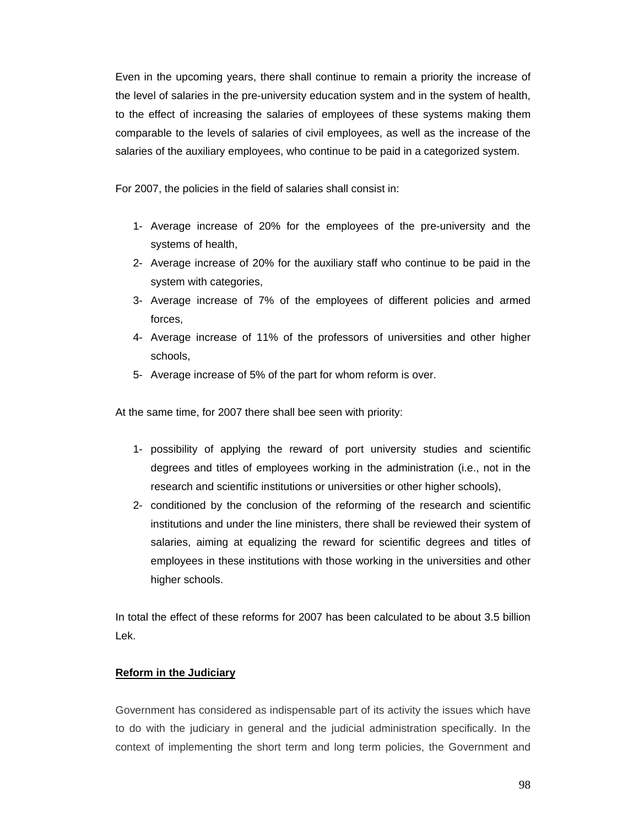Even in the upcoming years, there shall continue to remain a priority the increase of the level of salaries in the pre-university education system and in the system of health, to the effect of increasing the salaries of employees of these systems making them comparable to the levels of salaries of civil employees, as well as the increase of the salaries of the auxiliary employees, who continue to be paid in a categorized system.

For 2007, the policies in the field of salaries shall consist in:

- 1- Average increase of 20% for the employees of the pre-university and the systems of health,
- 2- Average increase of 20% for the auxiliary staff who continue to be paid in the system with categories,
- 3- Average increase of 7% of the employees of different policies and armed forces,
- 4- Average increase of 11% of the professors of universities and other higher schools,
- 5- Average increase of 5% of the part for whom reform is over.

At the same time, for 2007 there shall bee seen with priority:

- 1- possibility of applying the reward of port university studies and scientific degrees and titles of employees working in the administration (i.e., not in the research and scientific institutions or universities or other higher schools),
- 2- conditioned by the conclusion of the reforming of the research and scientific institutions and under the line ministers, there shall be reviewed their system of salaries, aiming at equalizing the reward for scientific degrees and titles of employees in these institutions with those working in the universities and other higher schools.

In total the effect of these reforms for 2007 has been calculated to be about 3.5 billion Lek.

#### **Reform in the Judiciary**

Government has considered as indispensable part of its activity the issues which have to do with the judiciary in general and the judicial administration specifically. In the context of implementing the short term and long term policies, the Government and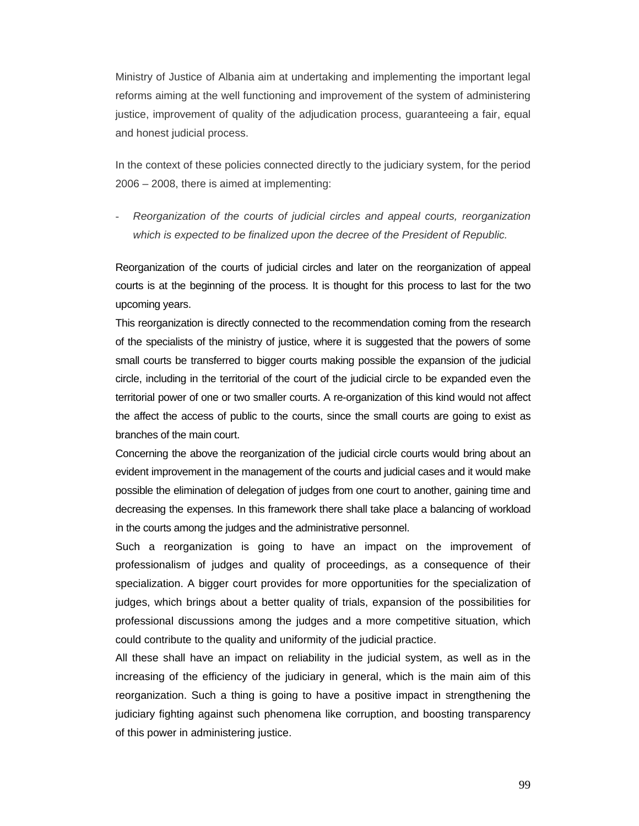Ministry of Justice of Albania aim at undertaking and implementing the important legal reforms aiming at the well functioning and improvement of the system of administering justice, improvement of quality of the adjudication process, guaranteeing a fair, equal and honest judicial process.

In the context of these policies connected directly to the judiciary system, for the period 2006 – 2008, there is aimed at implementing:

- *Reorganization of the courts of judicial circles and appeal courts, reorganization which is expected to be finalized upon the decree of the President of Republic.* 

Reorganization of the courts of judicial circles and later on the reorganization of appeal courts is at the beginning of the process. It is thought for this process to last for the two upcoming years.

This reorganization is directly connected to the recommendation coming from the research of the specialists of the ministry of justice, where it is suggested that the powers of some small courts be transferred to bigger courts making possible the expansion of the judicial circle, including in the territorial of the court of the judicial circle to be expanded even the territorial power of one or two smaller courts. A re-organization of this kind would not affect the affect the access of public to the courts, since the small courts are going to exist as branches of the main court.

Concerning the above the reorganization of the judicial circle courts would bring about an evident improvement in the management of the courts and judicial cases and it would make possible the elimination of delegation of judges from one court to another, gaining time and decreasing the expenses. In this framework there shall take place a balancing of workload in the courts among the judges and the administrative personnel.

Such a reorganization is going to have an impact on the improvement of professionalism of judges and quality of proceedings, as a consequence of their specialization. A bigger court provides for more opportunities for the specialization of judges, which brings about a better quality of trials, expansion of the possibilities for professional discussions among the judges and a more competitive situation, which could contribute to the quality and uniformity of the judicial practice.

All these shall have an impact on reliability in the judicial system, as well as in the increasing of the efficiency of the judiciary in general, which is the main aim of this reorganization. Such a thing is going to have a positive impact in strengthening the judiciary fighting against such phenomena like corruption, and boosting transparency of this power in administering justice.

99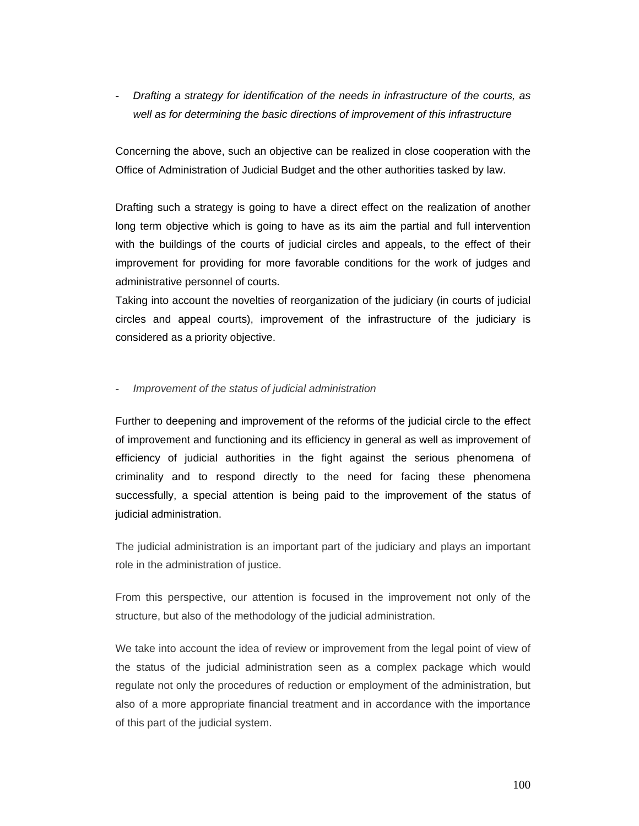- *Drafting a strategy for identification of the needs in infrastructure of the courts, as well as for determining the basic directions of improvement of this infrastructure* 

Concerning the above, such an objective can be realized in close cooperation with the Office of Administration of Judicial Budget and the other authorities tasked by law.

Drafting such a strategy is going to have a direct effect on the realization of another long term objective which is going to have as its aim the partial and full intervention with the buildings of the courts of judicial circles and appeals, to the effect of their improvement for providing for more favorable conditions for the work of judges and administrative personnel of courts.

Taking into account the novelties of reorganization of the judiciary (in courts of judicial circles and appeal courts), improvement of the infrastructure of the judiciary is considered as a priority objective.

#### - *Improvement of the status of judicial administration*

Further to deepening and improvement of the reforms of the judicial circle to the effect of improvement and functioning and its efficiency in general as well as improvement of efficiency of judicial authorities in the fight against the serious phenomena of criminality and to respond directly to the need for facing these phenomena successfully, a special attention is being paid to the improvement of the status of judicial administration.

The judicial administration is an important part of the judiciary and plays an important role in the administration of justice.

From this perspective, our attention is focused in the improvement not only of the structure, but also of the methodology of the judicial administration.

We take into account the idea of review or improvement from the legal point of view of the status of the judicial administration seen as a complex package which would regulate not only the procedures of reduction or employment of the administration, but also of a more appropriate financial treatment and in accordance with the importance of this part of the judicial system.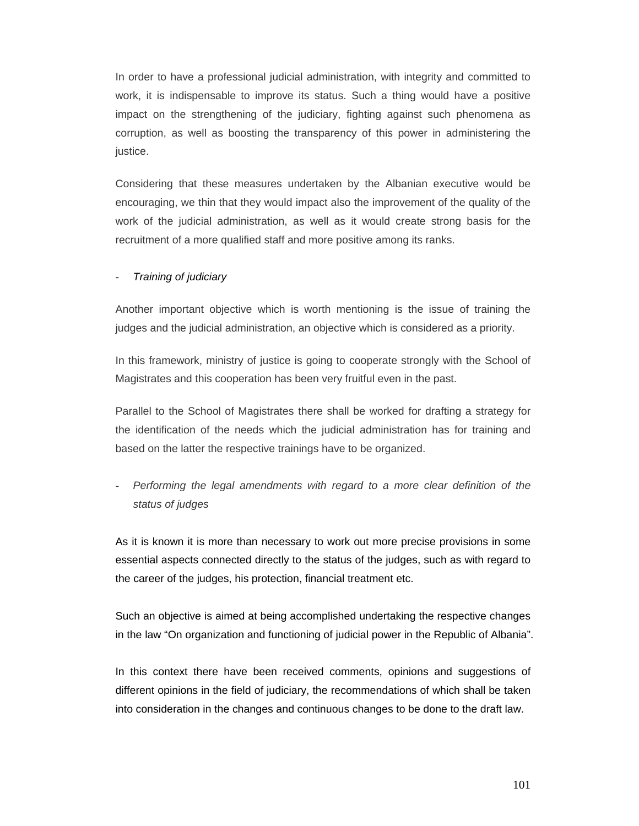In order to have a professional judicial administration, with integrity and committed to work, it is indispensable to improve its status. Such a thing would have a positive impact on the strengthening of the judiciary, fighting against such phenomena as corruption, as well as boosting the transparency of this power in administering the justice.

Considering that these measures undertaken by the Albanian executive would be encouraging, we thin that they would impact also the improvement of the quality of the work of the judicial administration, as well as it would create strong basis for the recruitment of a more qualified staff and more positive among its ranks.

### - *Training of judiciary*

Another important objective which is worth mentioning is the issue of training the judges and the judicial administration, an objective which is considered as a priority.

In this framework, ministry of justice is going to cooperate strongly with the School of Magistrates and this cooperation has been very fruitful even in the past.

Parallel to the School of Magistrates there shall be worked for drafting a strategy for the identification of the needs which the judicial administration has for training and based on the latter the respective trainings have to be organized.

- *Performing the legal amendments with regard to a more clear definition of the status of judges* 

As it is known it is more than necessary to work out more precise provisions in some essential aspects connected directly to the status of the judges, such as with regard to the career of the judges, his protection, financial treatment etc.

Such an objective is aimed at being accomplished undertaking the respective changes in the law "On organization and functioning of judicial power in the Republic of Albania".

In this context there have been received comments, opinions and suggestions of different opinions in the field of judiciary, the recommendations of which shall be taken into consideration in the changes and continuous changes to be done to the draft law.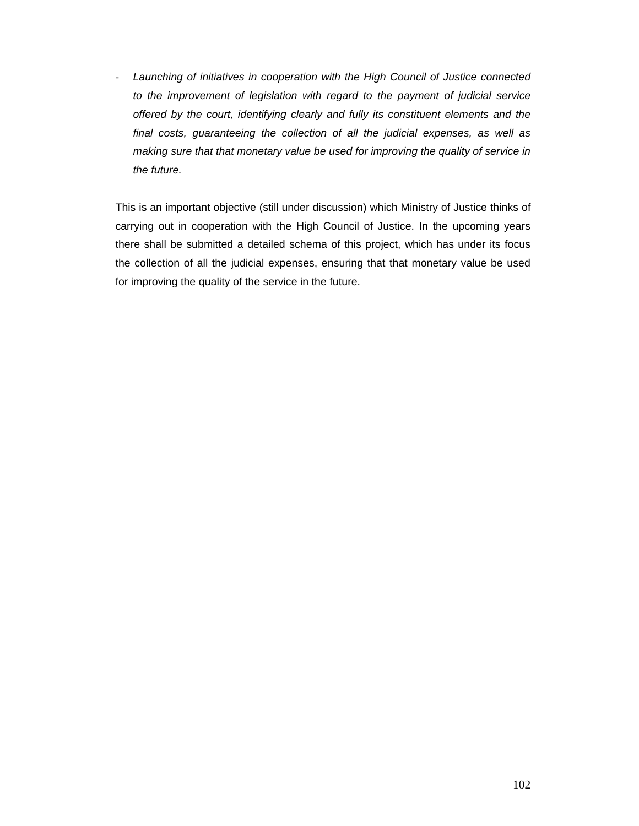- *Launching of initiatives in cooperation with the High Council of Justice connected to the improvement of legislation with regard to the payment of judicial service offered by the court, identifying clearly and fully its constituent elements and the final costs, guaranteeing the collection of all the judicial expenses, as well as making sure that that monetary value be used for improving the quality of service in the future.* 

This is an important objective (still under discussion) which Ministry of Justice thinks of carrying out in cooperation with the High Council of Justice. In the upcoming years there shall be submitted a detailed schema of this project, which has under its focus the collection of all the judicial expenses, ensuring that that monetary value be used for improving the quality of the service in the future.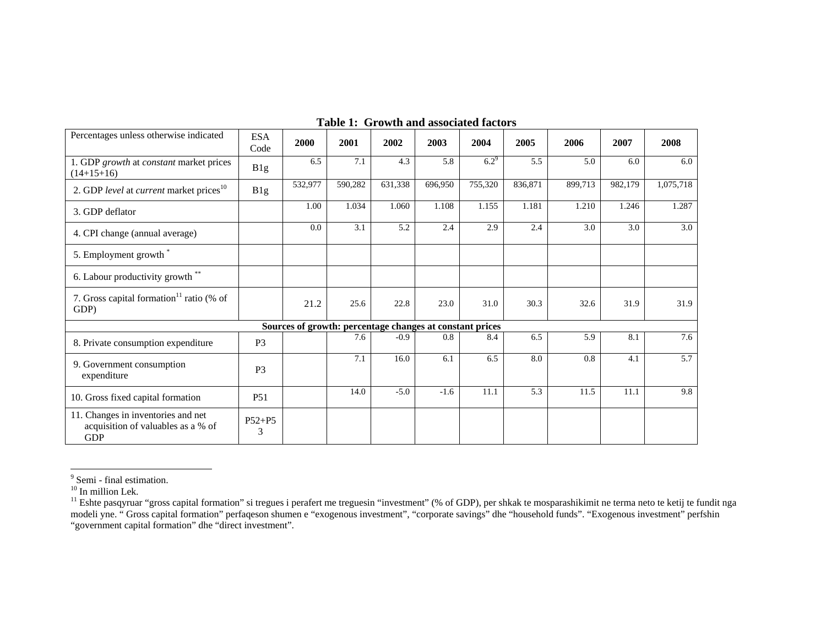| Percentages unless otherwise indicated                                                 | <b>ESA</b><br>Code | 2000                                                     | 2001    | 2002    | 2003    | 2004    | 2005    | 2006    | 2007    | 2008      |
|----------------------------------------------------------------------------------------|--------------------|----------------------------------------------------------|---------|---------|---------|---------|---------|---------|---------|-----------|
| 1. GDP growth at constant market prices<br>$(14+15+16)$                                | B1g                | 6.5                                                      | 7.1     | 4.3     | 5.8     | $6.2^9$ | 5.5     | 5.0     | 6.0     | 6.0       |
| 2. GDP level at current market prices <sup>10</sup>                                    | B1g                | 532,977                                                  | 590,282 | 631,338 | 696,950 | 755,320 | 836,871 | 899,713 | 982,179 | 1,075,718 |
| 3. GDP deflator                                                                        |                    | 1.00                                                     | 1.034   | 1.060   | 1.108   | 1.155   | 1.181   | 1.210   | 1.246   | 1.287     |
| 4. CPI change (annual average)                                                         |                    | 0.0                                                      | 3.1     | 5.2     | 2.4     | 2.9     | 2.4     | 3.0     | 3.0     | 3.0       |
| 5. Employment growth*                                                                  |                    |                                                          |         |         |         |         |         |         |         |           |
| 6. Labour productivity growth **                                                       |                    |                                                          |         |         |         |         |         |         |         |           |
| 7. Gross capital formation <sup>11</sup> ratio (% of<br>GDP)                           |                    | 21.2                                                     | 25.6    | 22.8    | 23.0    | 31.0    | 30.3    | 32.6    | 31.9    | 31.9      |
|                                                                                        |                    | Sources of growth: percentage changes at constant prices |         |         |         |         |         |         |         |           |
| 8. Private consumption expenditure                                                     | P <sub>3</sub>     |                                                          | 7.6     | $-0.9$  | 0.8     | 8.4     | 6.5     | 5.9     | 8.1     | 7.6       |
| 9. Government consumption<br>expenditure                                               | P <sub>3</sub>     |                                                          | 7.1     | 16.0    | 6.1     | 6.5     | 8.0     | 0.8     | 4.1     | 5.7       |
| 10. Gross fixed capital formation                                                      | P51                |                                                          | 14.0    | $-5.0$  | $-1.6$  | 11.1    | 5.3     | 11.5    | 11.1    | 9.8       |
| 11. Changes in inventories and net<br>acquisition of valuables as a % of<br><b>GDP</b> | $P52 + P5$<br>3    |                                                          |         |         |         |         |         |         |         |           |

#### **Table 1: Growth and associated factors**

<sup>&</sup>lt;sup>9</sup> Semi - final estimation.<br><sup>10</sup> In million Lek.<br><sup>11</sup> Eshte pasqyruar "gross capital formation" si tregues i perafert me treguesin "investment" (% of GDP), per shkak te mosparashikimit ne terma neto te ketij te fundit nga modeli yne. " Gross capital formation" perfaqeson shumen e "exogenous investment", "corporate savings" dhe "household funds". "Exogenous investment" perfshin "government capital formation" dhe "direct investment".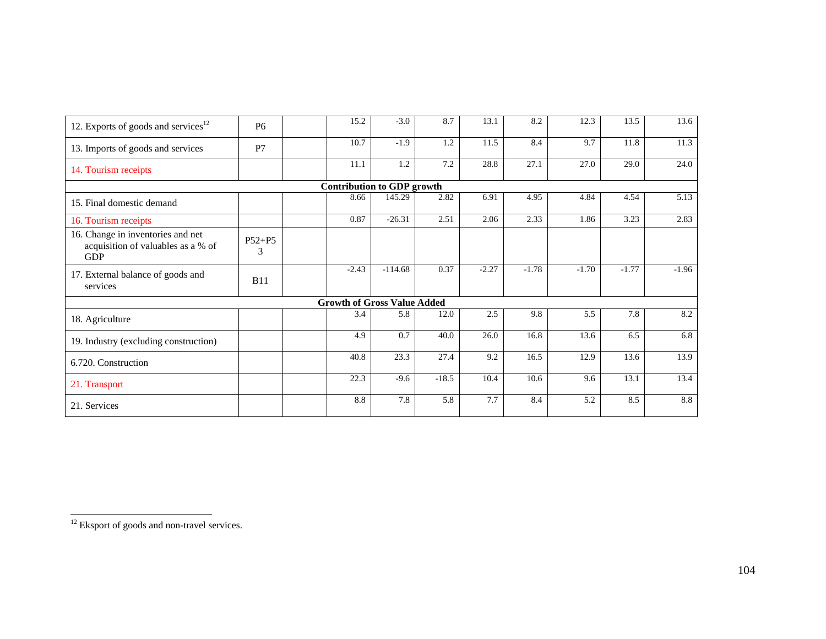| 12. Exports of goods and services $^{12}$                                             | <b>P6</b>       | 15.2                               | $-3.0$    | 8.7     | 13.1    | 8.2     | 12.3    | 13.5    | 13.6    |
|---------------------------------------------------------------------------------------|-----------------|------------------------------------|-----------|---------|---------|---------|---------|---------|---------|
| 13. Imports of goods and services                                                     | P7              | 10.7                               | $-1.9$    | 1.2     | 11.5    | 8.4     | 9.7     | 11.8    | 11.3    |
| 14. Tourism receipts                                                                  |                 | 11.1                               | 1.2       | 7.2     | 28.8    | 27.1    | 27.0    | 29.0    | 24.0    |
|                                                                                       |                 | <b>Contribution to GDP growth</b>  |           |         |         |         |         |         |         |
| 15. Final domestic demand                                                             |                 | 8.66                               | 145.29    | 2.82    | 6.91    | 4.95    | 4.84    | 4.54    | 5.13    |
| 16. Tourism receipts                                                                  |                 | 0.87                               | $-26.31$  | 2.51    | 2.06    | 2.33    | 1.86    | 3.23    | 2.83    |
| 16. Change in inventories and net<br>acquisition of valuables as a % of<br><b>GDP</b> | $P52 + P5$<br>3 |                                    |           |         |         |         |         |         |         |
| 17. External balance of goods and<br>services                                         | <b>B11</b>      | $-2.43$                            | $-114.68$ | 0.37    | $-2.27$ | $-1.78$ | $-1.70$ | $-1.77$ | $-1.96$ |
|                                                                                       |                 | <b>Growth of Gross Value Added</b> |           |         |         |         |         |         |         |
| 18. Agriculture                                                                       |                 | 3.4                                | 5.8       | 12.0    | 2.5     | 9.8     | 5.5     | 7.8     | 8.2     |
| 19. Industry (excluding construction)                                                 |                 | 4.9                                | 0.7       | 40.0    | 26.0    | 16.8    | 13.6    | 6.5     | 6.8     |
| 6.720. Construction                                                                   |                 | 40.8                               | 23.3      | 27.4    | 9.2     | 16.5    | 12.9    | 13.6    | 13.9    |
| 21. Transport                                                                         |                 | 22.3                               | $-9.6$    | $-18.5$ | 10.4    | 10.6    | 9.6     | 13.1    | 13.4    |
| 21. Services                                                                          |                 | 8.8                                | 7.8       | 5.8     | 7.7     | 8.4     | 5.2     | 8.5     | 8.8     |

<sup>&</sup>lt;sup>12</sup> Eksport of goods and non-travel services.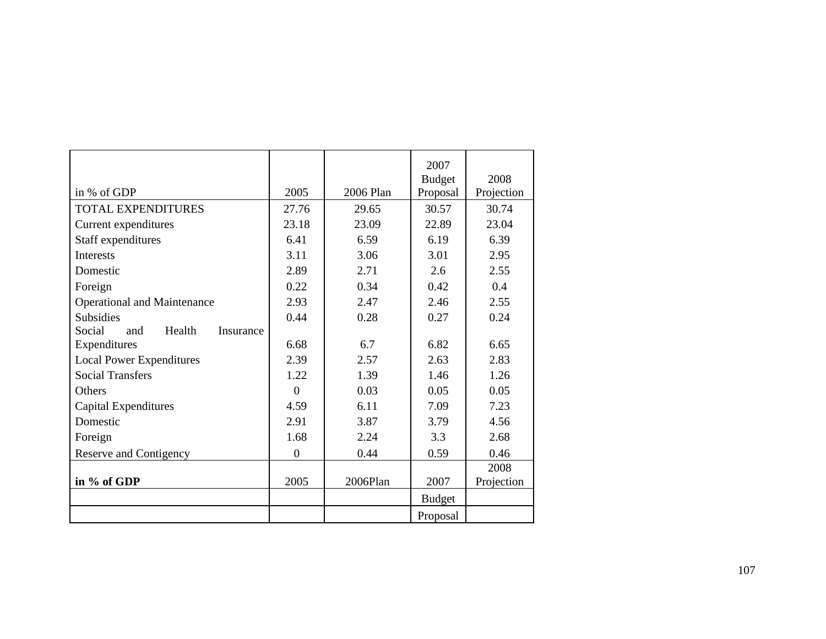|                                      |          |           | 2007          |            |
|--------------------------------------|----------|-----------|---------------|------------|
|                                      |          |           | <b>Budget</b> | 2008       |
| in % of GDP                          | 2005     | 2006 Plan | Proposal      | Projection |
| <b>TOTAL EXPENDITURES</b>            | 27.76    | 29.65     | 30.57         | 30.74      |
| Current expenditures                 | 23.18    | 23.09     | 22.89         | 23.04      |
| Staff expenditures                   | 6.41     | 6.59      | 6.19          | 6.39       |
| Interests                            | 3.11     | 3.06      | 3.01          | 2.95       |
| Domestic                             | 2.89     | 2.71      | 2.6           | 2.55       |
| Foreign                              | 0.22     | 0.34      | 0.42          | 0.4        |
| <b>Operational and Maintenance</b>   | 2.93     | 2.47      | 2.46          | 2.55       |
| <b>Subsidies</b>                     | 0.44     | 0.28      | 0.27          | 0.24       |
| Social<br>Health<br>and<br>Insurance |          |           |               |            |
| Expenditures                         | 6.68     | 6.7       | 6.82          | 6.65       |
| <b>Local Power Expenditures</b>      | 2.39     | 2.57      | 2.63          | 2.83       |
| <b>Social Transfers</b>              | 1.22     | 1.39      | 1.46          | 1.26       |
| <b>Others</b>                        | $\theta$ | 0.03      | 0.05          | 0.05       |
| Capital Expenditures                 | 4.59     | 6.11      | 7.09          | 7.23       |
| Domestic                             | 2.91     | 3.87      | 3.79          | 4.56       |
| Foreign                              | 1.68     | 2.24      | 3.3           | 2.68       |
| Reserve and Contigency               | $\theta$ | 0.44      | 0.59          | 0.46       |
|                                      |          |           |               | 2008       |
| in % of GDP                          | 2005     | 2006Plan  | 2007          | Projection |
|                                      |          |           | <b>Budget</b> |            |
|                                      |          |           | Proposal      |            |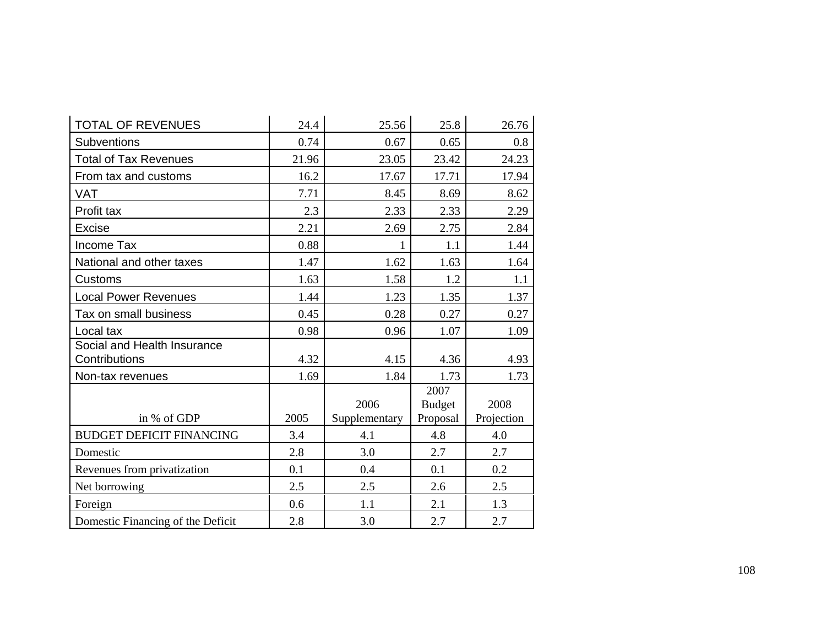| <b>TOTAL OF REVENUES</b>                     | 24.4  | 25.56                 | 25.8                              | 26.76              |
|----------------------------------------------|-------|-----------------------|-----------------------------------|--------------------|
| Subventions                                  | 0.74  | 0.67                  | 0.65                              | 0.8                |
| <b>Total of Tax Revenues</b>                 | 21.96 | 23.05                 | 23.42                             | 24.23              |
| From tax and customs                         | 16.2  | 17.67                 | 17.71                             | 17.94              |
| <b>VAT</b>                                   | 7.71  | 8.45                  | 8.69                              | 8.62               |
| Profit tax                                   | 2.3   | 2.33                  | 2.33                              | 2.29               |
| <b>Excise</b>                                | 2.21  | 2.69                  | 2.75                              | 2.84               |
| <b>Income Tax</b>                            | 0.88  |                       | 1.1                               | 1.44               |
| National and other taxes                     | 1.47  | 1.62                  | 1.63                              | 1.64               |
| Customs                                      | 1.63  | 1.58                  | 1.2                               | 1.1                |
| <b>Local Power Revenues</b>                  | 1.44  | 1.23                  | 1.35                              | 1.37               |
| Tax on small business                        | 0.45  | 0.28                  | 0.27                              | 0.27               |
| Local tax                                    | 0.98  | 0.96                  | 1.07                              | 1.09               |
| Social and Health Insurance<br>Contributions | 4.32  | 4.15                  | 4.36                              | 4.93               |
| Non-tax revenues                             | 1.69  | 1.84                  | 1.73                              | 1.73               |
| in % of GDP                                  | 2005  | 2006<br>Supplementary | 2007<br><b>Budget</b><br>Proposal | 2008<br>Projection |
| <b>BUDGET DEFICIT FINANCING</b>              | 3.4   | 4.1                   | 4.8                               | 4.0                |
| Domestic                                     | 2.8   | 3.0                   | 2.7                               | 2.7                |
| Revenues from privatization                  | 0.1   | 0.4                   | 0.1                               | 0.2                |
| Net borrowing                                | 2.5   | 2.5                   | 2.6                               | 2.5                |
| Foreign                                      | 0.6   | 1.1                   | 2.1                               | 1.3                |
| Domestic Financing of the Deficit            | 2.8   | 3.0                   | 2.7                               | 2.7                |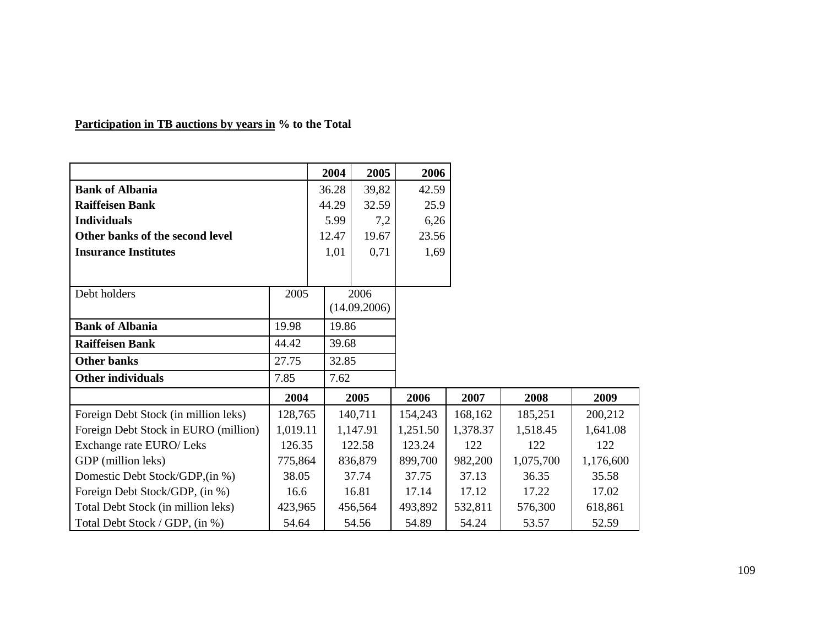|                                      |          | 2004  |       | 2005         | 2006     |          |           |           |
|--------------------------------------|----------|-------|-------|--------------|----------|----------|-----------|-----------|
| <b>Bank of Albania</b>               |          | 36.28 |       | 39,82        | 42.59    |          |           |           |
| <b>Raiffeisen Bank</b>               |          | 44.29 |       | 32.59        | 25.9     |          |           |           |
| <b>Individuals</b>                   |          |       | 5.99  | 7,2          | 6,26     |          |           |           |
| Other banks of the second level      |          | 12.47 |       | 19.67        | 23.56    |          |           |           |
| <b>Insurance Institutes</b>          |          |       | 1,01  | 0,71         | 1,69     |          |           |           |
| Debt holders                         | 2005     |       |       | 2006         |          |          |           |           |
|                                      |          |       |       | (14.09.2006) |          |          |           |           |
| <b>Bank of Albania</b>               | 19.98    |       | 19.86 |              |          |          |           |           |
| <b>Raiffeisen Bank</b>               | 44.42    |       | 39.68 |              |          |          |           |           |
| <b>Other banks</b>                   | 27.75    |       | 32.85 |              |          |          |           |           |
| <b>Other individuals</b>             | 7.85     |       | 7.62  |              |          |          |           |           |
|                                      | 2004     |       |       | 2005         | 2006     | 2007     | 2008      | 2009      |
| Foreign Debt Stock (in million leks) | 128,765  |       |       | 140,711      | 154,243  | 168,162  | 185,251   | 200,212   |
| Foreign Debt Stock in EURO (million) | 1,019.11 |       |       | 1,147.91     | 1,251.50 | 1,378.37 | 1,518.45  | 1,641.08  |
| Exchange rate EURO/ Leks             | 126.35   |       |       | 122.58       | 123.24   | 122      | 122       | 122       |
| GDP (million leks)                   | 775,864  |       |       | 836,879      | 899,700  | 982,200  | 1,075,700 | 1,176,600 |
| Domestic Debt Stock/GDP,(in %)       | 38.05    |       |       | 37.74        | 37.75    | 37.13    | 36.35     | 35.58     |
| Foreign Debt Stock/GDP, (in %)       | 16.6     |       |       | 16.81        | 17.14    | 17.12    | 17.22     | 17.02     |
| Total Debt Stock (in million leks)   | 423,965  |       |       | 456,564      | 493,892  | 532,811  | 576,300   | 618,861   |
| Total Debt Stock / GDP, (in %)       | 54.64    |       |       | 54.56        | 54.89    | 54.24    | 53.57     | 52.59     |

## **Participation in TB auctions by years in % to the Total**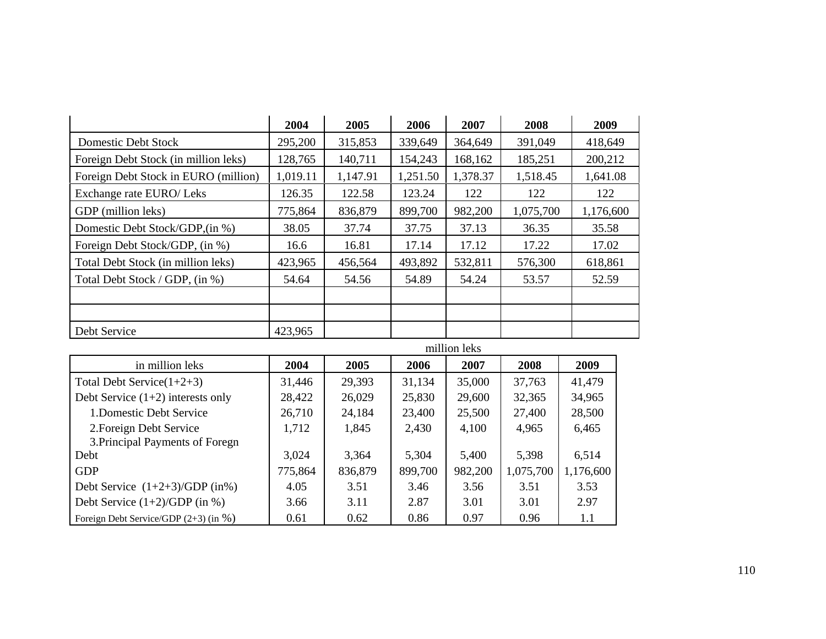|                                      | 2004     | 2005     | 2006     | 2007     | 2008      | 2009      |
|--------------------------------------|----------|----------|----------|----------|-----------|-----------|
| <b>Domestic Debt Stock</b>           | 295,200  | 315,853  | 339,649  | 364,649  | 391,049   | 418,649   |
| Foreign Debt Stock (in million leks) | 128,765  | 140,711  | 154,243  | 168,162  | 185,251   | 200,212   |
| Foreign Debt Stock in EURO (million) | 1,019.11 | 1,147.91 | 1,251.50 | 1,378.37 | 1,518.45  | 1,641.08  |
| Exchange rate EURO/ Leks             | 126.35   | 122.58   | 123.24   | 122      | 122       | 122       |
| GDP (million leks)                   | 775,864  | 836,879  | 899,700  | 982,200  | 1,075,700 | 1,176,600 |
| Domestic Debt Stock/GDP.(in %)       | 38.05    | 37.74    | 37.75    | 37.13    | 36.35     | 35.58     |
| Foreign Debt Stock/GDP, (in %)       | 16.6     | 16.81    | 17.14    | 17.12    | 17.22     | 17.02     |
| Total Debt Stock (in million leks)   | 423,965  | 456,564  | 493,892  | 532,811  | 576,300   | 618,861   |
| Total Debt Stock / GDP, (in %)       | 54.64    | 54.56    | 54.89    | 54.24    | 53.57     | 52.59     |
|                                      |          |          |          |          |           |           |
|                                      |          |          |          |          |           |           |
| Debt Service                         | 423,965  |          |          |          |           |           |

| million leks                            |         |         |         |         |           |           |  |  |
|-----------------------------------------|---------|---------|---------|---------|-----------|-----------|--|--|
| in million leks                         | 2004    | 2005    | 2006    | 2007    | 2008      | 2009      |  |  |
| Total Debt Service $(1+2+3)$            | 31,446  | 29,393  | 31,134  | 35,000  | 37,763    | 41,479    |  |  |
| Debt Service $(1+2)$ interests only     | 28,422  | 26,029  | 25,830  | 29,600  | 32,365    | 34,965    |  |  |
| 1. Domestic Debt Service                | 26,710  | 24,184  | 23,400  | 25,500  | 27,400    | 28,500    |  |  |
| 2. Foreign Debt Service                 | 1,712   | 1,845   | 2,430   | 4,100   | 4,965     | 6,465     |  |  |
| 3. Principal Payments of Foregn         |         |         |         |         |           |           |  |  |
| Debt                                    | 3,024   | 3,364   | 5,304   | 5,400   | 5,398     | 6,514     |  |  |
| <b>GDP</b>                              | 775,864 | 836,879 | 899,700 | 982,200 | 1,075,700 | 1,176,600 |  |  |
| Debt Service $(1+2+3)/GDP$ (in%)        | 4.05    | 3.51    | 3.46    | 3.56    | 3.51      | 3.53      |  |  |
| Debt Service $(1+2)/GDP$ (in %)         | 3.66    | 3.11    | 2.87    | 3.01    | 3.01      | 2.97      |  |  |
| Foreign Debt Service/GDP $(2+3)$ (in %) | 0.61    | 0.62    | 0.86    | 0.97    | 0.96      | 1.1       |  |  |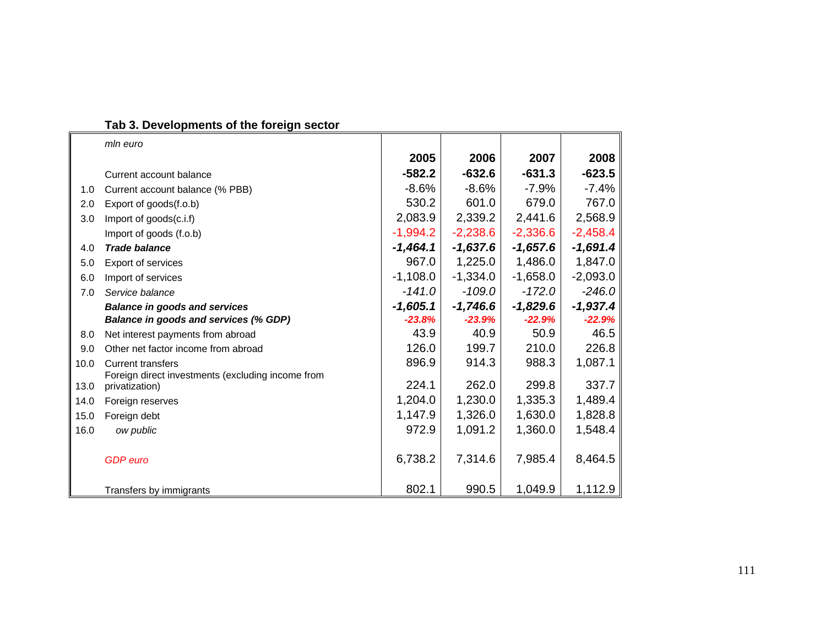|  |  | Tab 3. Developments of the foreign sector |  |
|--|--|-------------------------------------------|--|
|  |  |                                           |  |

|              | mln euro                                                            |            |            |            |            |
|--------------|---------------------------------------------------------------------|------------|------------|------------|------------|
|              |                                                                     | 2005       | 2006       | 2007       | 2008       |
|              | Current account balance                                             | $-582.2$   | $-632.6$   | $-631.3$   | $-623.5$   |
| 1.0          | Current account balance (% PBB)                                     | $-8.6%$    | $-8.6%$    | $-7.9%$    | $-7.4%$    |
| 2.0          | Export of goods(f.o.b)                                              | 530.2      | 601.0      | 679.0      | 767.0      |
| 3.0          | Import of goods(c.i.f)                                              | 2,083.9    | 2,339.2    | 2,441.6    | 2,568.9    |
|              | Import of goods (f.o.b)                                             | $-1,994.2$ | $-2,238.6$ | $-2,336.6$ | $-2,458.4$ |
| 4.0          | <b>Trade balance</b>                                                | $-1,464.1$ | $-1,637.6$ | $-1,657.6$ | $-1,691.4$ |
| 5.0          | Export of services                                                  | 967.0      | 1,225.0    | 1,486.0    | 1,847.0    |
| 6.0          | Import of services                                                  | $-1,108.0$ | $-1,334.0$ | $-1,658.0$ | $-2,093.0$ |
| 7.0          | Service balance                                                     | $-141.0$   | $-109.0$   | $-172.0$   | $-246.0$   |
|              | <b>Balance in goods and services</b>                                | $-1,605.1$ | $-1,746.6$ | $-1,829.6$ | $-1,937.4$ |
|              | Balance in goods and services (% GDP)                               | $-23.8%$   | $-23.9%$   | $-22.9%$   | $-22.9%$   |
| 8.0          | Net interest payments from abroad                                   | 43.9       | 40.9       | 50.9       | 46.5       |
| 9.0          | Other net factor income from abroad                                 | 126.0      | 199.7      | 210.0      | 226.8      |
| 10.0         | <b>Current transfers</b>                                            | 896.9      | 914.3      | 988.3      | 1,087.1    |
|              | Foreign direct investments (excluding income from<br>privatization) | 224.1      | 262.0      | 299.8      | 337.7      |
| 13.0<br>14.0 |                                                                     | 1,204.0    | 1,230.0    | 1,335.3    | 1,489.4    |
|              | Foreign reserves                                                    |            |            |            | 1,828.8    |
| 15.0         | Foreign debt                                                        | 1,147.9    | 1,326.0    | 1,630.0    |            |
| 16.0         | ow public                                                           | 972.9      | 1,091.2    | 1,360.0    | 1,548.4    |
|              | <b>GDP</b> euro                                                     | 6,738.2    | 7,314.6    | 7,985.4    | 8,464.5    |
|              | Transfers by immigrants                                             | 802.1      | 990.5      | 1,049.9    | 1,112.9    |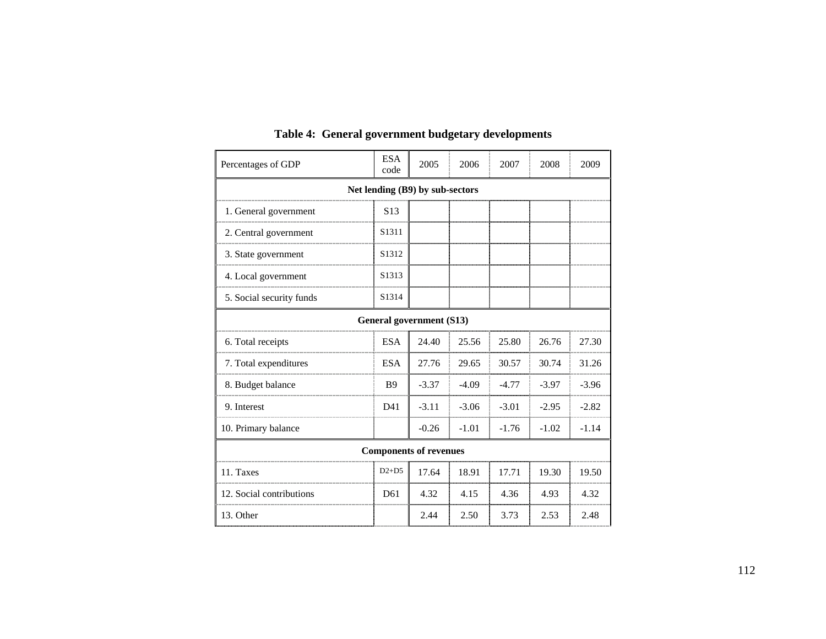| Percentages of GDP              | <b>ESA</b><br>code | 2005    | 2006    | 2007    | 2008    | 2009    |  |  |  |
|---------------------------------|--------------------|---------|---------|---------|---------|---------|--|--|--|
| Net lending (B9) by sub-sectors |                    |         |         |         |         |         |  |  |  |
| 1. General government           | S <sub>13</sub>    |         |         |         |         |         |  |  |  |
| 2. Central government           | S1311              |         |         |         |         |         |  |  |  |
| 3. State government             | S1312              |         |         |         |         |         |  |  |  |
| 4. Local government             | S1313              |         |         |         |         |         |  |  |  |
| 5. Social security funds        | S1314              |         |         |         |         |         |  |  |  |
| General government (S13)        |                    |         |         |         |         |         |  |  |  |
| 6. Total receipts               | <b>ESA</b>         | 24.40   | 25.56   | 25.80   | 26.76   | 27.30   |  |  |  |
| 7. Total expenditures           | <b>ESA</b>         | 27.76   | 29.65   | 30.57   | 30.74   | 31.26   |  |  |  |
| 8. Budget balance               | <b>B</b> 9         | $-3.37$ | $-4.09$ | $-4.77$ | $-3.97$ | $-3.96$ |  |  |  |
| 9. Interest                     | D41                | $-3.11$ | $-3.06$ | $-3.01$ | $-2.95$ | $-2.82$ |  |  |  |
| 10. Primary balance             |                    | $-0.26$ | $-1.01$ | $-1.76$ | $-1.02$ | $-1.14$ |  |  |  |
| <b>Components of revenues</b>   |                    |         |         |         |         |         |  |  |  |
| 11. Taxes                       | $D2+D5$            | 17.64   | 18.91   | 17.71   | 19.30   | 19.50   |  |  |  |
| 12. Social contributions        | D <sub>61</sub>    | 4.32    | 4.15    | 4.36    | 4.93    | 4.32    |  |  |  |
| 13. Other                       |                    | 2.44    | 2.50    | 3.73    | 2.53    | 2.48    |  |  |  |

## **Table 4: General government budgetary developments**